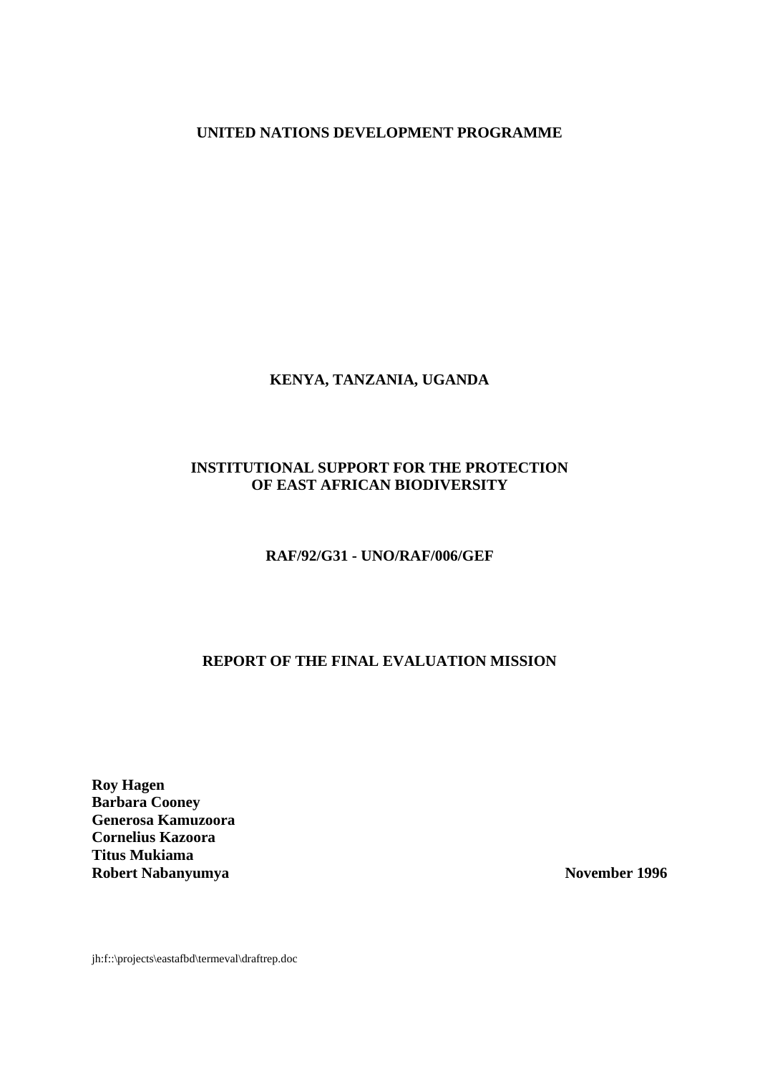**UNITED NATIONS DEVELOPMENT PROGRAMME**

**KENYA, TANZANIA, UGANDA**

# **INSTITUTIONAL SUPPORT FOR THE PROTECTION OF EAST AFRICAN BIODIVERSITY**

**RAF/92/G31 - UNO/RAF/006/GEF**

# **REPORT OF THE FINAL EVALUATION MISSION**

**Roy Hagen Barbara Cooney Generosa Kamuzoora Cornelius Kazoora Titus Mukiama Robert Nabanyumya** November 1996

jh:f::\projects\eastafbd\termeval\draftrep.doc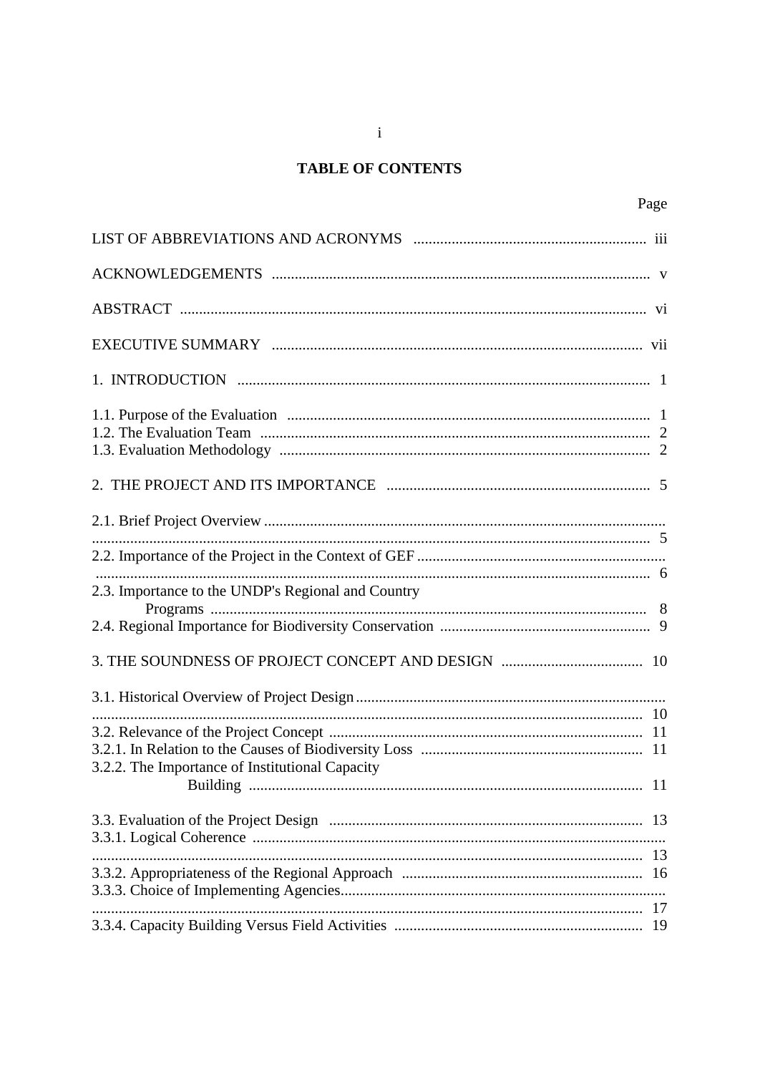# **TABLE OF CONTENTS**

| 2.3. Importance to the UNDP's Regional and Country |
|----------------------------------------------------|
|                                                    |
|                                                    |
|                                                    |
| 3.2.2. The Importance of Institutional Capacity    |
|                                                    |
|                                                    |
| -13                                                |
| 19                                                 |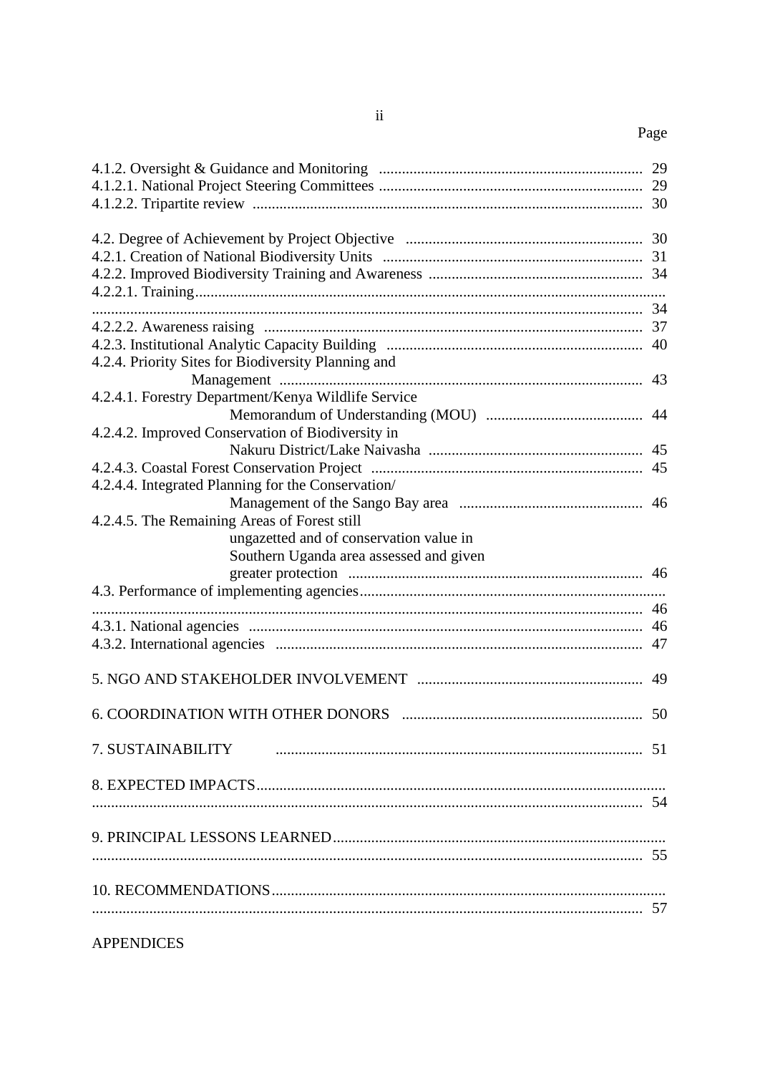# Page

| 4.2.4. Priority Sites for Biodiversity Planning and |    |
|-----------------------------------------------------|----|
|                                                     | 43 |
| 4.2.4.1. Forestry Department/Kenya Wildlife Service |    |
|                                                     |    |
| 4.2.4.2. Improved Conservation of Biodiversity in   |    |
|                                                     |    |
|                                                     |    |
| 4.2.4.4. Integrated Planning for the Conservation/  |    |
|                                                     |    |
|                                                     |    |
| 4.2.4.5. The Remaining Areas of Forest still        |    |
| ungazetted and of conservation value in             |    |
| Southern Uganda area assessed and given             |    |
|                                                     |    |
|                                                     |    |
|                                                     |    |
|                                                     |    |
|                                                     |    |
|                                                     |    |
|                                                     |    |
| 7. SUSTAINABILITY                                   |    |
|                                                     |    |
|                                                     |    |
|                                                     |    |
|                                                     |    |
|                                                     |    |
|                                                     |    |

# **APPENDICES**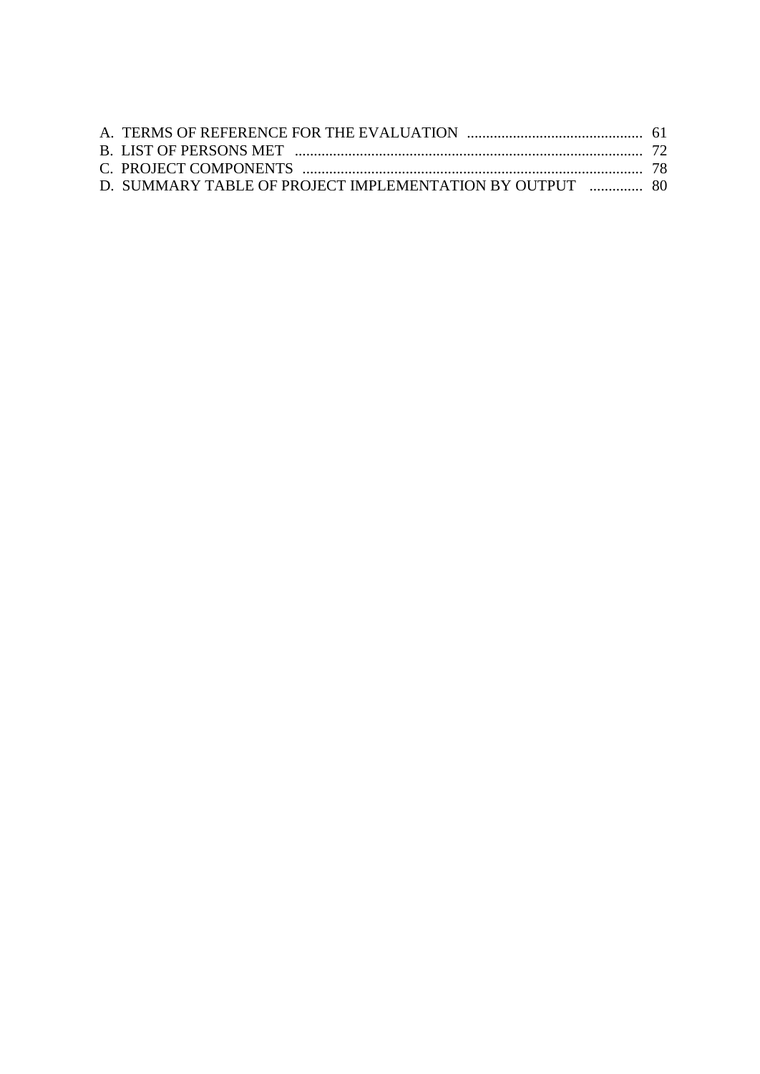| D. SUMMARY TABLE OF PROJECT IMPLEMENTATION BY OUTPUT  80 |  |
|----------------------------------------------------------|--|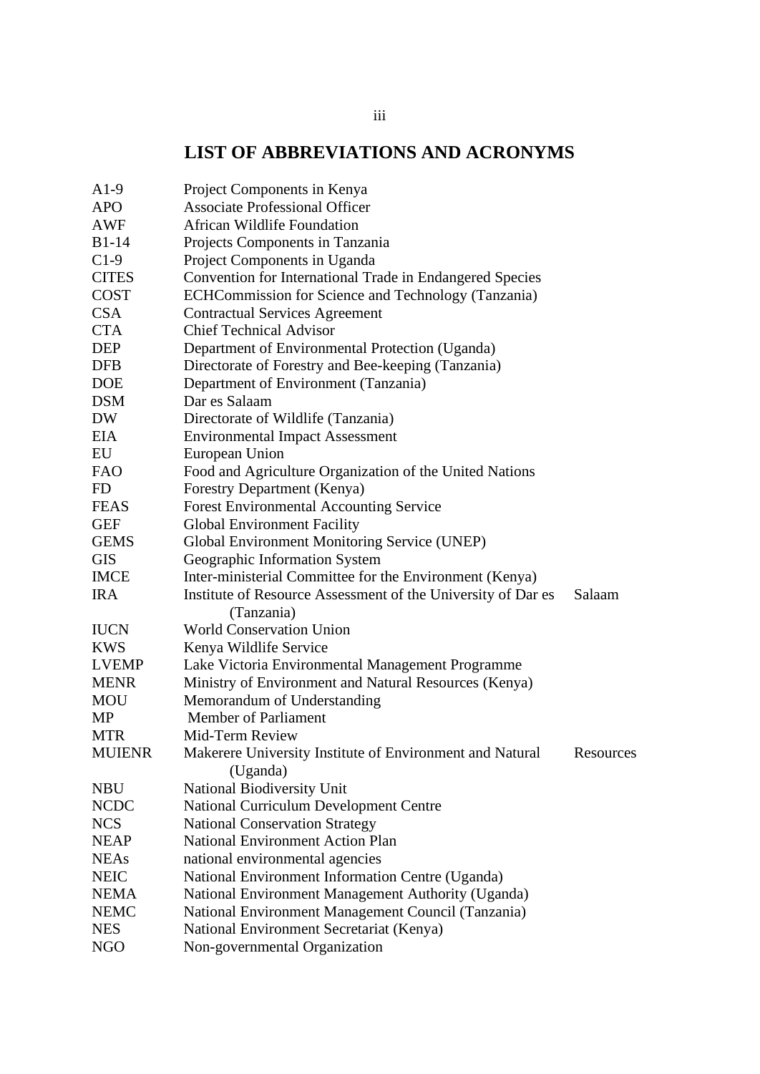# **LIST OF ABBREVIATIONS AND ACRONYMS**

| $A1-9$        | Project Components in Kenya                                  |           |
|---------------|--------------------------------------------------------------|-----------|
| <b>APO</b>    | <b>Associate Professional Officer</b>                        |           |
| AWF           | <b>African Wildlife Foundation</b>                           |           |
| $B1-14$       | Projects Components in Tanzania                              |           |
| $C1-9$        | Project Components in Uganda                                 |           |
| <b>CITES</b>  | Convention for International Trade in Endangered Species     |           |
| <b>COST</b>   | ECHCommission for Science and Technology (Tanzania)          |           |
| <b>CSA</b>    | <b>Contractual Services Agreement</b>                        |           |
| <b>CTA</b>    | <b>Chief Technical Advisor</b>                               |           |
| <b>DEP</b>    | Department of Environmental Protection (Uganda)              |           |
| <b>DFB</b>    | Directorate of Forestry and Bee-keeping (Tanzania)           |           |
| <b>DOE</b>    | Department of Environment (Tanzania)                         |           |
| <b>DSM</b>    | Dar es Salaam                                                |           |
| <b>DW</b>     | Directorate of Wildlife (Tanzania)                           |           |
| EIA           | <b>Environmental Impact Assessment</b>                       |           |
| EU            | European Union                                               |           |
| <b>FAO</b>    | Food and Agriculture Organization of the United Nations      |           |
| <b>FD</b>     | Forestry Department (Kenya)                                  |           |
| <b>FEAS</b>   | <b>Forest Environmental Accounting Service</b>               |           |
| <b>GEF</b>    | <b>Global Environment Facility</b>                           |           |
| <b>GEMS</b>   | Global Environment Monitoring Service (UNEP)                 |           |
| <b>GIS</b>    | Geographic Information System                                |           |
| <b>IMCE</b>   | Inter-ministerial Committee for the Environment (Kenya)      |           |
| <b>IRA</b>    | Institute of Resource Assessment of the University of Dar es | Salaam    |
|               | (Tanzania)                                                   |           |
| <b>IUCN</b>   | <b>World Conservation Union</b>                              |           |
| <b>KWS</b>    | Kenya Wildlife Service                                       |           |
| <b>LVEMP</b>  | Lake Victoria Environmental Management Programme             |           |
| <b>MENR</b>   | Ministry of Environment and Natural Resources (Kenya)        |           |
| <b>MOU</b>    | Memorandum of Understanding                                  |           |
| MP            | <b>Member of Parliament</b>                                  |           |
| <b>MTR</b>    | Mid-Term Review                                              |           |
| <b>MUIENR</b> | Makerere University Institute of Environment and Natural     | Resources |
|               | (Uganda)                                                     |           |
| <b>NBU</b>    | <b>National Biodiversity Unit</b>                            |           |
| <b>NCDC</b>   | <b>National Curriculum Development Centre</b>                |           |
| <b>NCS</b>    | <b>National Conservation Strategy</b>                        |           |
| <b>NEAP</b>   | <b>National Environment Action Plan</b>                      |           |
| <b>NEAs</b>   | national environmental agencies                              |           |
| <b>NEIC</b>   | National Environment Information Centre (Uganda)             |           |
| <b>NEMA</b>   | National Environment Management Authority (Uganda)           |           |
| <b>NEMC</b>   | National Environment Management Council (Tanzania)           |           |
| <b>NES</b>    | National Environment Secretariat (Kenya)                     |           |
| <b>NGO</b>    | Non-governmental Organization                                |           |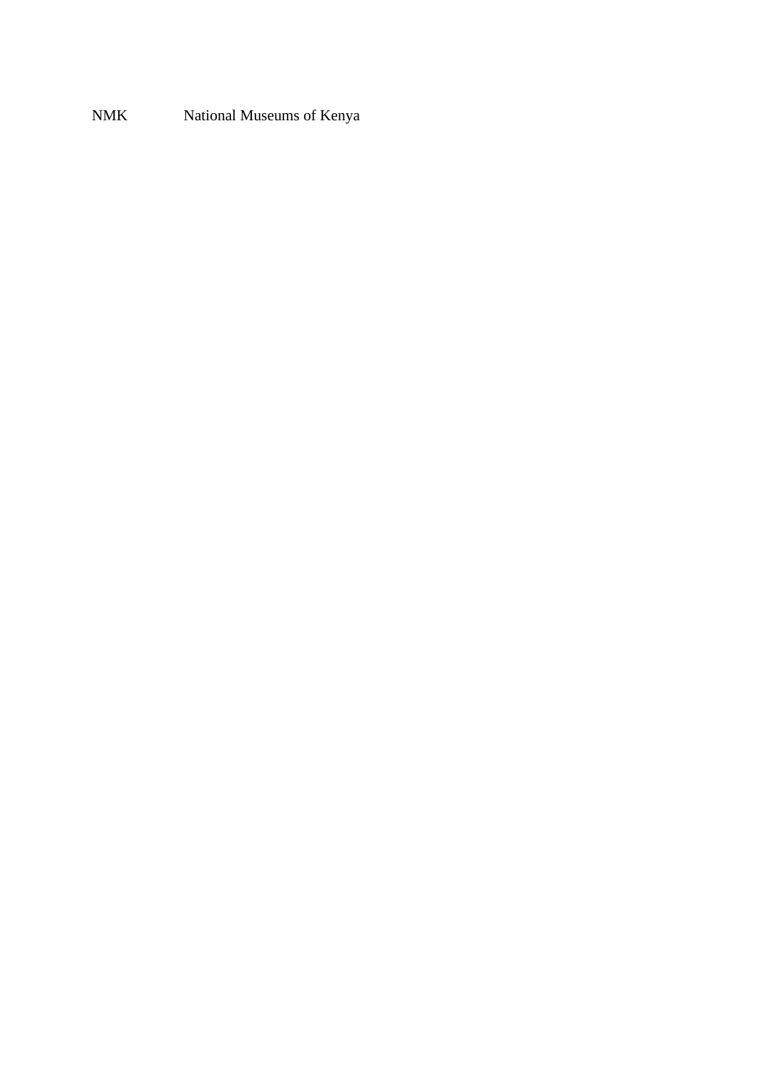NMK National Museums of Kenya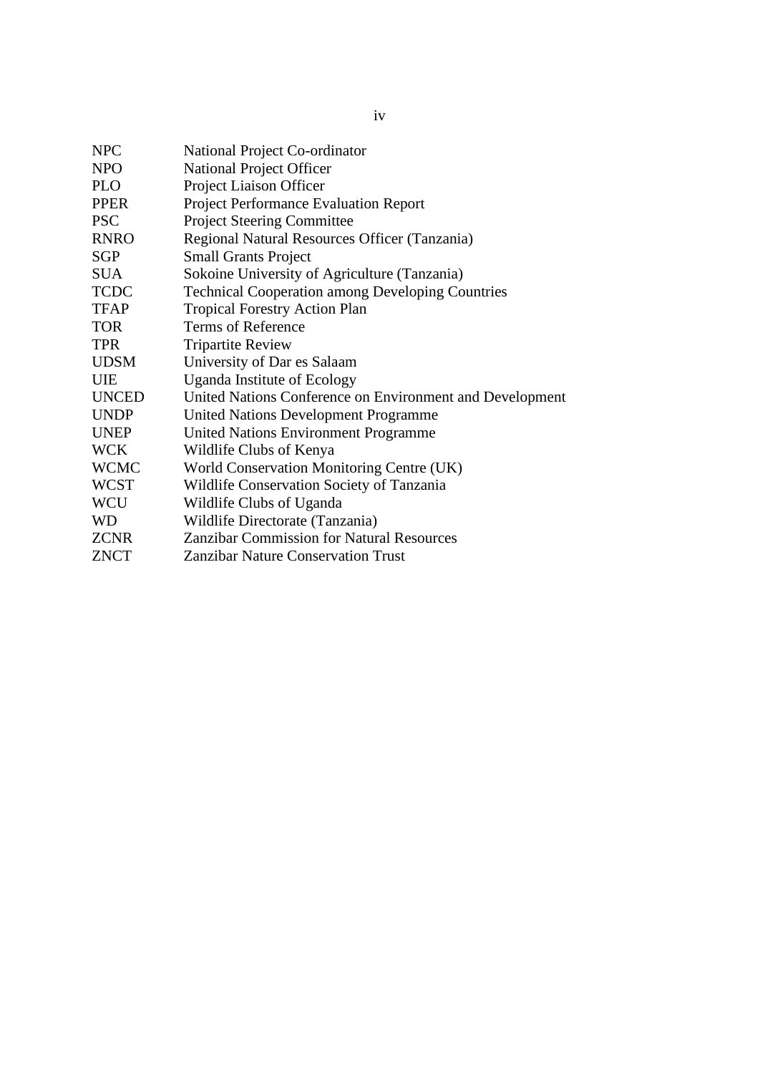| <b>NPC</b>   | National Project Co-ordinator                            |
|--------------|----------------------------------------------------------|
| <b>NPO</b>   | <b>National Project Officer</b>                          |
| <b>PLO</b>   | Project Liaison Officer                                  |
| <b>PPER</b>  | Project Performance Evaluation Report                    |
| <b>PSC</b>   | <b>Project Steering Committee</b>                        |
| <b>RNRO</b>  | Regional Natural Resources Officer (Tanzania)            |
| <b>SGP</b>   | <b>Small Grants Project</b>                              |
| <b>SUA</b>   | Sokoine University of Agriculture (Tanzania)             |
| <b>TCDC</b>  | <b>Technical Cooperation among Developing Countries</b>  |
| <b>TFAP</b>  | <b>Tropical Forestry Action Plan</b>                     |
| <b>TOR</b>   | Terms of Reference                                       |
| <b>TPR</b>   | <b>Tripartite Review</b>                                 |
| <b>UDSM</b>  | University of Dar es Salaam                              |
| UIE          | <b>Uganda Institute of Ecology</b>                       |
| <b>UNCED</b> | United Nations Conference on Environment and Development |
| <b>UNDP</b>  | <b>United Nations Development Programme</b>              |
| <b>UNEP</b>  | <b>United Nations Environment Programme</b>              |
| <b>WCK</b>   | Wildlife Clubs of Kenya                                  |
| <b>WCMC</b>  | World Conservation Monitoring Centre (UK)                |
| <b>WCST</b>  | Wildlife Conservation Society of Tanzania                |
| <b>WCU</b>   | Wildlife Clubs of Uganda                                 |
| <b>WD</b>    | Wildlife Directorate (Tanzania)                          |
| <b>ZCNR</b>  | <b>Zanzibar Commission for Natural Resources</b>         |
| <b>ZNCT</b>  | <b>Zanzibar Nature Conservation Trust</b>                |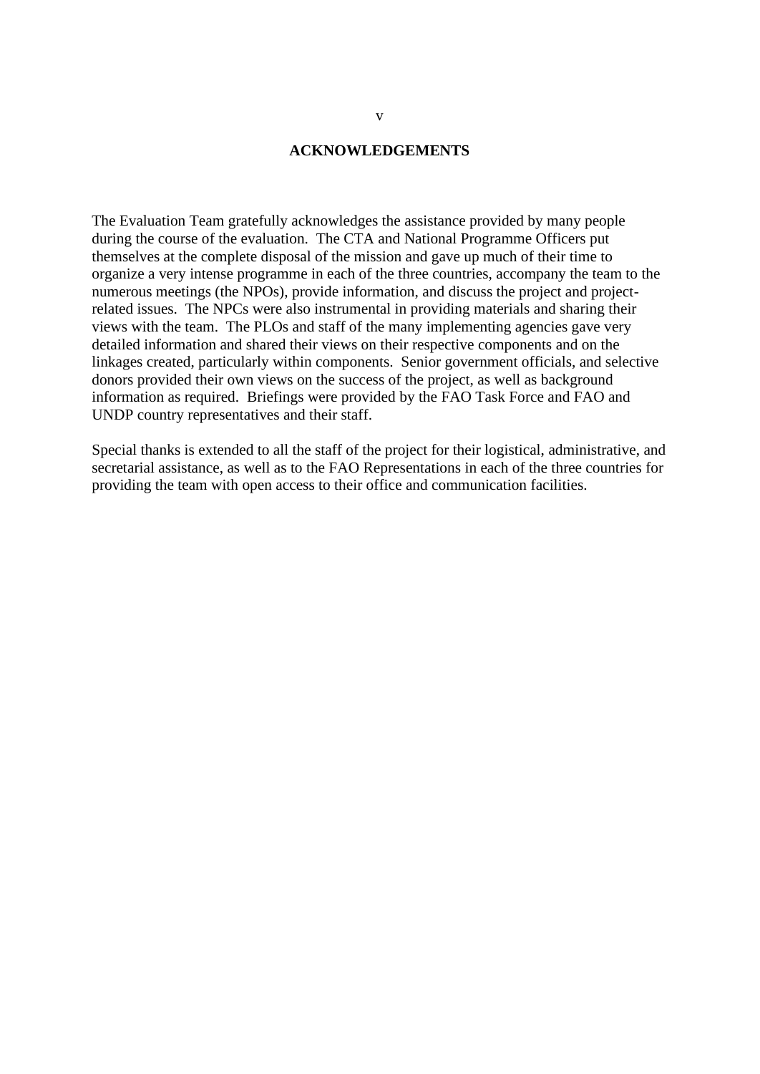# **ACKNOWLEDGEMENTS**

The Evaluation Team gratefully acknowledges the assistance provided by many people during the course of the evaluation. The CTA and National Programme Officers put themselves at the complete disposal of the mission and gave up much of their time to organize a very intense programme in each of the three countries, accompany the team to the numerous meetings (the NPOs), provide information, and discuss the project and projectrelated issues. The NPCs were also instrumental in providing materials and sharing their views with the team. The PLOs and staff of the many implementing agencies gave very detailed information and shared their views on their respective components and on the linkages created, particularly within components. Senior government officials, and selective donors provided their own views on the success of the project, as well as background information as required. Briefings were provided by the FAO Task Force and FAO and UNDP country representatives and their staff.

Special thanks is extended to all the staff of the project for their logistical, administrative, and secretarial assistance, as well as to the FAO Representations in each of the three countries for providing the team with open access to their office and communication facilities.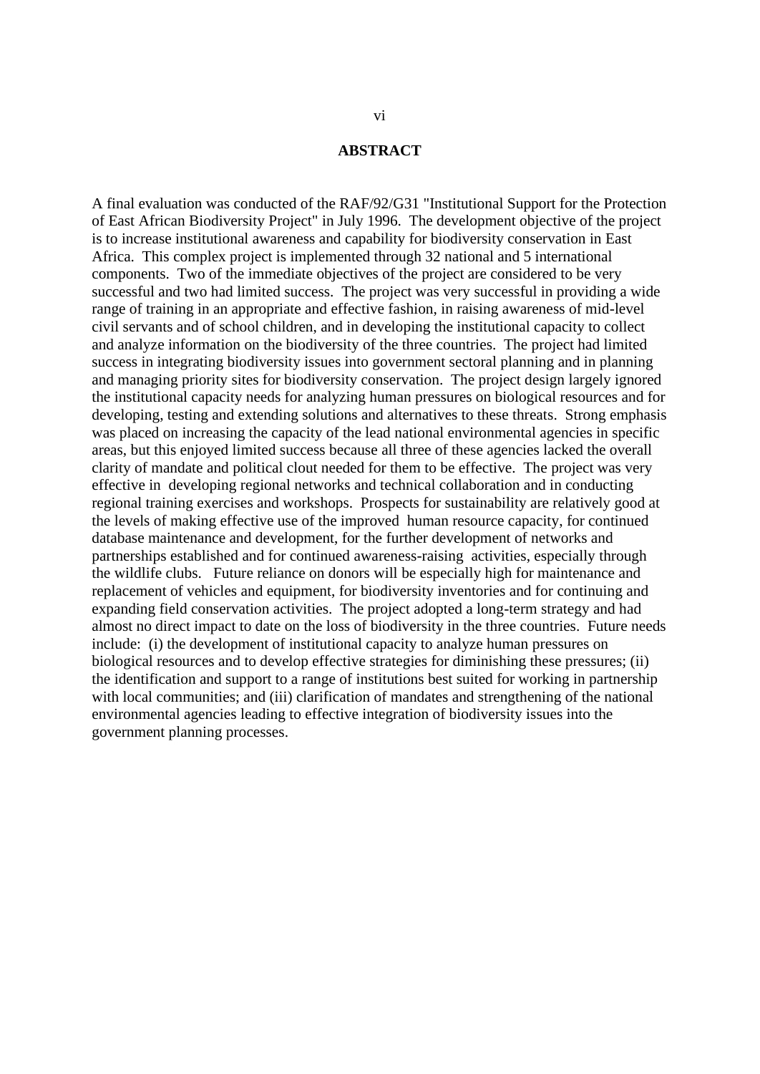#### **ABSTRACT**

A final evaluation was conducted of the RAF/92/G31 "Institutional Support for the Protection of East African Biodiversity Project" in July 1996. The development objective of the project is to increase institutional awareness and capability for biodiversity conservation in East Africa. This complex project is implemented through 32 national and 5 international components. Two of the immediate objectives of the project are considered to be very successful and two had limited success. The project was very successful in providing a wide range of training in an appropriate and effective fashion, in raising awareness of mid-level civil servants and of school children, and in developing the institutional capacity to collect and analyze information on the biodiversity of the three countries. The project had limited success in integrating biodiversity issues into government sectoral planning and in planning and managing priority sites for biodiversity conservation. The project design largely ignored the institutional capacity needs for analyzing human pressures on biological resources and for developing, testing and extending solutions and alternatives to these threats. Strong emphasis was placed on increasing the capacity of the lead national environmental agencies in specific areas, but this enjoyed limited success because all three of these agencies lacked the overall clarity of mandate and political clout needed for them to be effective. The project was very effective in developing regional networks and technical collaboration and in conducting regional training exercises and workshops. Prospects for sustainability are relatively good at the levels of making effective use of the improved human resource capacity, for continued database maintenance and development, for the further development of networks and partnerships established and for continued awareness-raising activities, especially through the wildlife clubs. Future reliance on donors will be especially high for maintenance and replacement of vehicles and equipment, for biodiversity inventories and for continuing and expanding field conservation activities. The project adopted a long-term strategy and had almost no direct impact to date on the loss of biodiversity in the three countries. Future needs include: (i) the development of institutional capacity to analyze human pressures on biological resources and to develop effective strategies for diminishing these pressures; (ii) the identification and support to a range of institutions best suited for working in partnership with local communities; and (iii) clarification of mandates and strengthening of the national environmental agencies leading to effective integration of biodiversity issues into the government planning processes.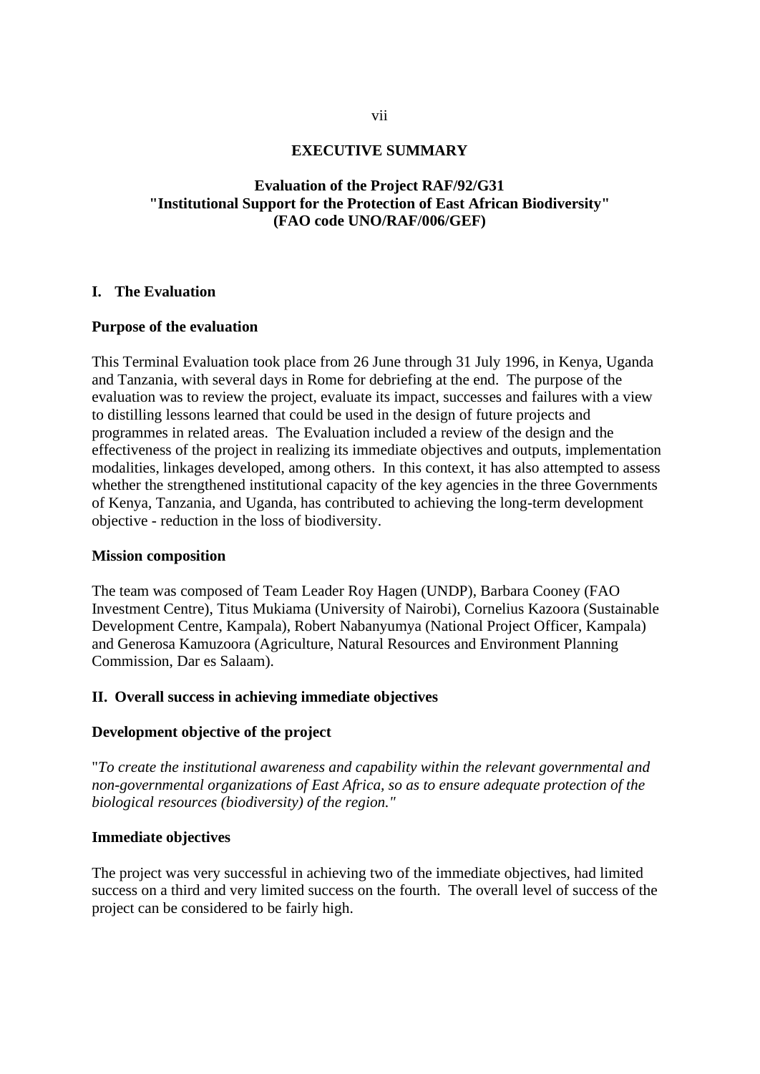### **EXECUTIVE SUMMARY**

# **Evaluation of the Project RAF/92/G31 "Institutional Support for the Protection of East African Biodiversity" (FAO code UNO/RAF/006/GEF)**

## **I. The Evaluation**

## **Purpose of the evaluation**

This Terminal Evaluation took place from 26 June through 31 July 1996, in Kenya, Uganda and Tanzania, with several days in Rome for debriefing at the end. The purpose of the evaluation was to review the project, evaluate its impact, successes and failures with a view to distilling lessons learned that could be used in the design of future projects and programmes in related areas. The Evaluation included a review of the design and the effectiveness of the project in realizing its immediate objectives and outputs, implementation modalities, linkages developed, among others. In this context, it has also attempted to assess whether the strengthened institutional capacity of the key agencies in the three Governments of Kenya, Tanzania, and Uganda, has contributed to achieving the long-term development objective - reduction in the loss of biodiversity.

#### **Mission composition**

The team was composed of Team Leader Roy Hagen (UNDP), Barbara Cooney (FAO Investment Centre), Titus Mukiama (University of Nairobi), Cornelius Kazoora (Sustainable Development Centre, Kampala), Robert Nabanyumya (National Project Officer, Kampala) and Generosa Kamuzoora (Agriculture, Natural Resources and Environment Planning Commission, Dar es Salaam).

# **II. Overall success in achieving immediate objectives**

# **Development objective of the project**

"*To create the institutional awareness and capability within the relevant governmental and non-governmental organizations of East Africa, so as to ensure adequate protection of the biological resources (biodiversity) of the region."*

# **Immediate objectives**

The project was very successful in achieving two of the immediate objectives, had limited success on a third and very limited success on the fourth. The overall level of success of the project can be considered to be fairly high.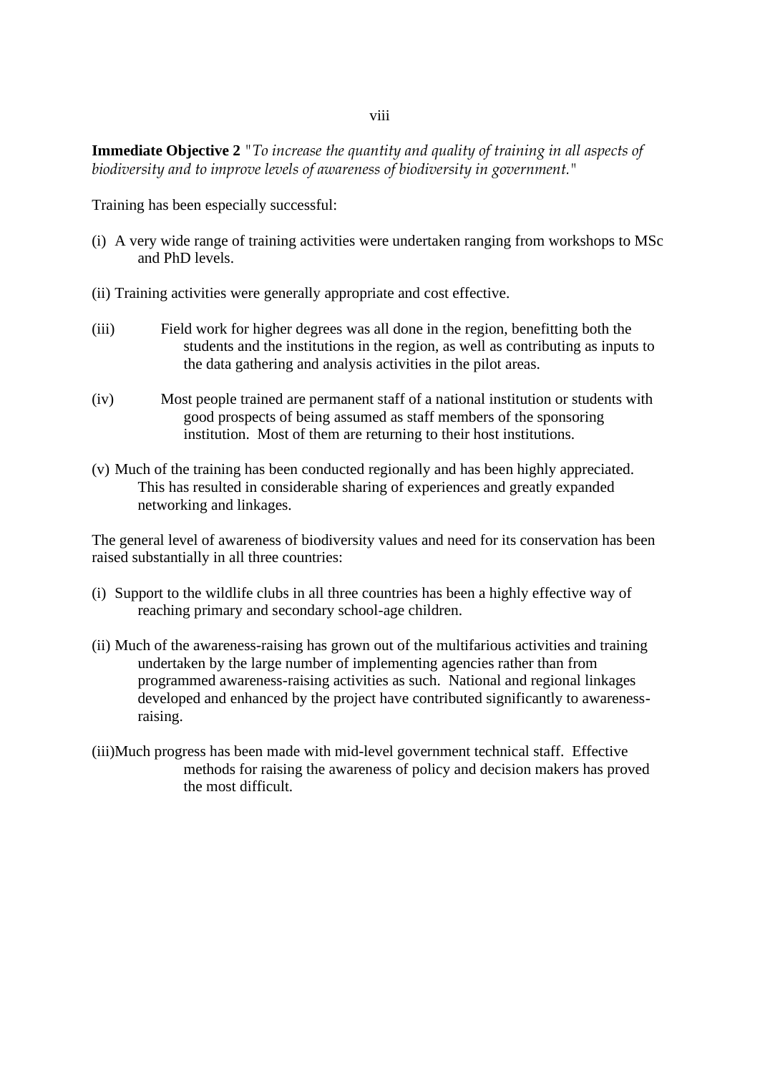**Immediate Objective 2** *"To increase the quantity and quality of training in all aspects of biodiversity and to improve levels of awareness of biodiversity in government."*

Training has been especially successful:

- (i) A very wide range of training activities were undertaken ranging from workshops to MSc and PhD levels.
- (ii) Training activities were generally appropriate and cost effective.
- (iii) Field work for higher degrees was all done in the region, benefitting both the students and the institutions in the region, as well as contributing as inputs to the data gathering and analysis activities in the pilot areas.
- (iv) Most people trained are permanent staff of a national institution or students with good prospects of being assumed as staff members of the sponsoring institution. Most of them are returning to their host institutions.
- (v) Much of the training has been conducted regionally and has been highly appreciated. This has resulted in considerable sharing of experiences and greatly expanded networking and linkages.

The general level of awareness of biodiversity values and need for its conservation has been raised substantially in all three countries:

- (i) Support to the wildlife clubs in all three countries has been a highly effective way of reaching primary and secondary school-age children.
- (ii) Much of the awareness-raising has grown out of the multifarious activities and training undertaken by the large number of implementing agencies rather than from programmed awareness-raising activities as such. National and regional linkages developed and enhanced by the project have contributed significantly to awarenessraising.
- (iii)Much progress has been made with mid-level government technical staff. Effective methods for raising the awareness of policy and decision makers has proved the most difficult.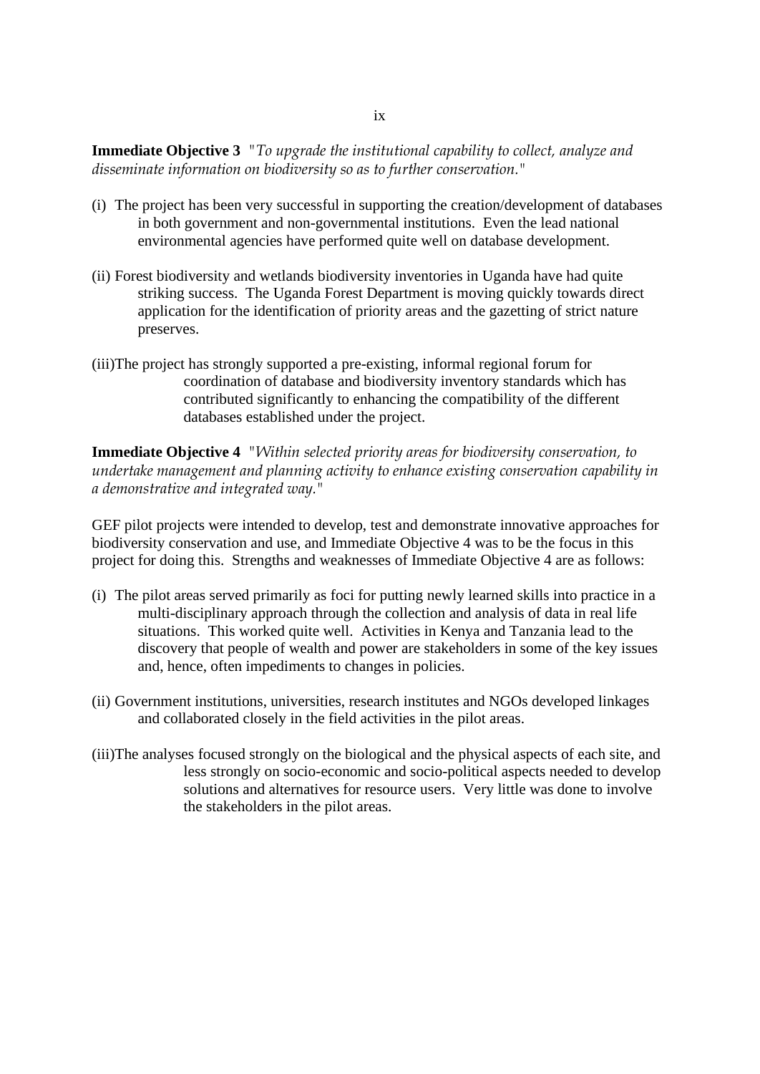**Immediate Objective 3** *"To upgrade the institutional capability to collect, analyze and disseminate information on biodiversity so as to further conservation."*

- (i) The project has been very successful in supporting the creation/development of databases in both government and non-governmental institutions. Even the lead national environmental agencies have performed quite well on database development.
- (ii) Forest biodiversity and wetlands biodiversity inventories in Uganda have had quite striking success. The Uganda Forest Department is moving quickly towards direct application for the identification of priority areas and the gazetting of strict nature preserves.
- (iii)The project has strongly supported a pre-existing, informal regional forum for coordination of database and biodiversity inventory standards which has contributed significantly to enhancing the compatibility of the different databases established under the project.

**Immediate Objective 4** *"Within selected priority areas for biodiversity conservation, to undertake management and planning activity to enhance existing conservation capability in a demonstrative and integrated way."*

GEF pilot projects were intended to develop, test and demonstrate innovative approaches for biodiversity conservation and use, and Immediate Objective 4 was to be the focus in this project for doing this. Strengths and weaknesses of Immediate Objective 4 are as follows:

- (i) The pilot areas served primarily as foci for putting newly learned skills into practice in a multi-disciplinary approach through the collection and analysis of data in real life situations. This worked quite well. Activities in Kenya and Tanzania lead to the discovery that people of wealth and power are stakeholders in some of the key issues and, hence, often impediments to changes in policies.
- (ii) Government institutions, universities, research institutes and NGOs developed linkages and collaborated closely in the field activities in the pilot areas.
- (iii)The analyses focused strongly on the biological and the physical aspects of each site, and less strongly on socio-economic and socio-political aspects needed to develop solutions and alternatives for resource users. Very little was done to involve the stakeholders in the pilot areas.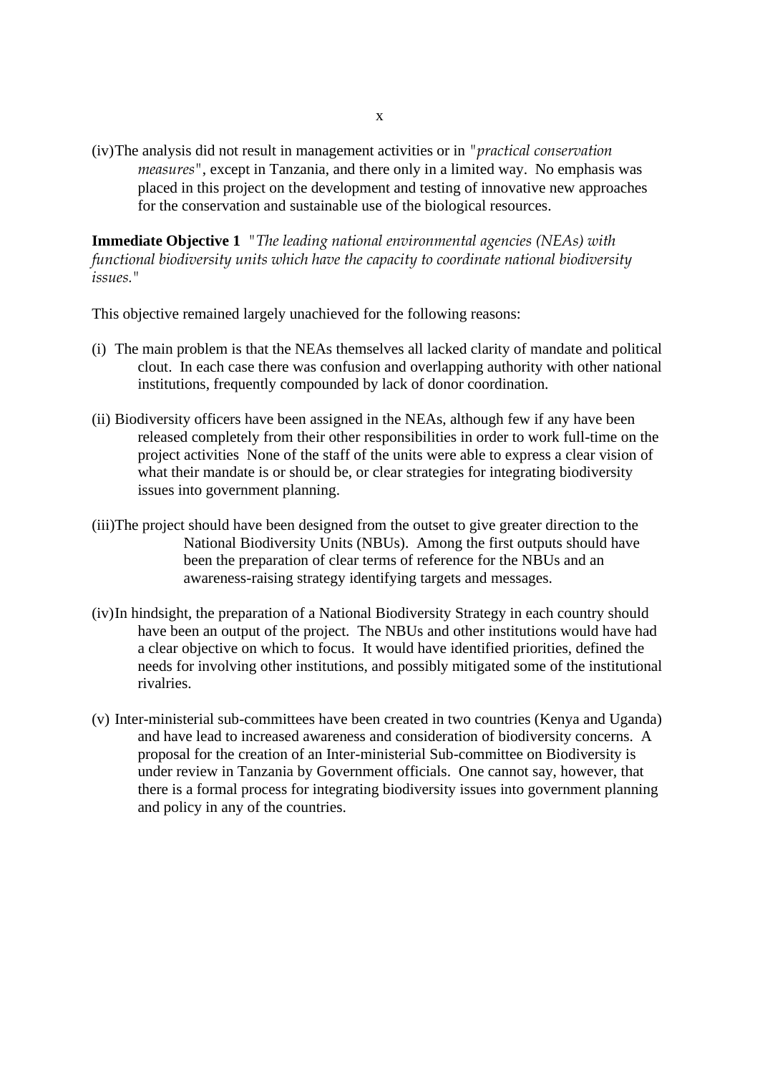(iv)The analysis did not result in management activities or in *"practical conservation measures"*, except in Tanzania, and there only in a limited way. No emphasis was placed in this project on the development and testing of innovative new approaches for the conservation and sustainable use of the biological resources.

**Immediate Objective 1** *"The leading national environmental agencies (NEAs) with functional biodiversity units which have the capacity to coordinate national biodiversity issues."*

This objective remained largely unachieved for the following reasons:

- (i) The main problem is that the NEAs themselves all lacked clarity of mandate and political clout. In each case there was confusion and overlapping authority with other national institutions, frequently compounded by lack of donor coordination.
- (ii) Biodiversity officers have been assigned in the NEAs, although few if any have been released completely from their other responsibilities in order to work full-time on the project activities None of the staff of the units were able to express a clear vision of what their mandate is or should be, or clear strategies for integrating biodiversity issues into government planning.
- (iii)The project should have been designed from the outset to give greater direction to the National Biodiversity Units (NBUs). Among the first outputs should have been the preparation of clear terms of reference for the NBUs and an awareness-raising strategy identifying targets and messages.
- (iv)In hindsight, the preparation of a National Biodiversity Strategy in each country should have been an output of the project. The NBUs and other institutions would have had a clear objective on which to focus. It would have identified priorities, defined the needs for involving other institutions, and possibly mitigated some of the institutional rivalries.
- (v) Inter-ministerial sub-committees have been created in two countries (Kenya and Uganda) and have lead to increased awareness and consideration of biodiversity concerns. A proposal for the creation of an Inter-ministerial Sub-committee on Biodiversity is under review in Tanzania by Government officials. One cannot say, however, that there is a formal process for integrating biodiversity issues into government planning and policy in any of the countries.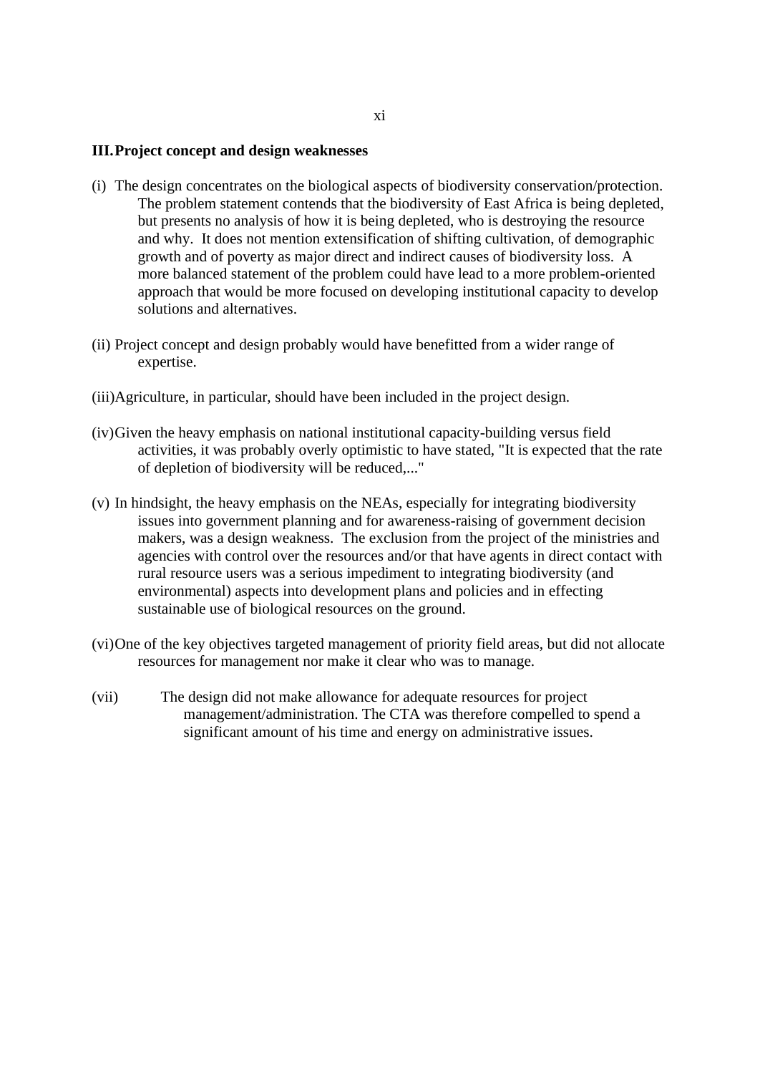### **III.Project concept and design weaknesses**

- (i) The design concentrates on the biological aspects of biodiversity conservation/protection. The problem statement contends that the biodiversity of East Africa is being depleted, but presents no analysis of how it is being depleted, who is destroying the resource and why. It does not mention extensification of shifting cultivation, of demographic growth and of poverty as major direct and indirect causes of biodiversity loss. A more balanced statement of the problem could have lead to a more problem-oriented approach that would be more focused on developing institutional capacity to develop solutions and alternatives.
- (ii) Project concept and design probably would have benefitted from a wider range of expertise.
- (iii)Agriculture, in particular, should have been included in the project design.
- (iv)Given the heavy emphasis on national institutional capacity-building versus field activities, it was probably overly optimistic to have stated, "It is expected that the rate of depletion of biodiversity will be reduced,..."
- (v) In hindsight, the heavy emphasis on the NEAs, especially for integrating biodiversity issues into government planning and for awareness-raising of government decision makers, was a design weakness. The exclusion from the project of the ministries and agencies with control over the resources and/or that have agents in direct contact with rural resource users was a serious impediment to integrating biodiversity (and environmental) aspects into development plans and policies and in effecting sustainable use of biological resources on the ground.
- (vi)One of the key objectives targeted management of priority field areas, but did not allocate resources for management nor make it clear who was to manage.
- (vii) The design did not make allowance for adequate resources for project management/administration. The CTA was therefore compelled to spend a significant amount of his time and energy on administrative issues.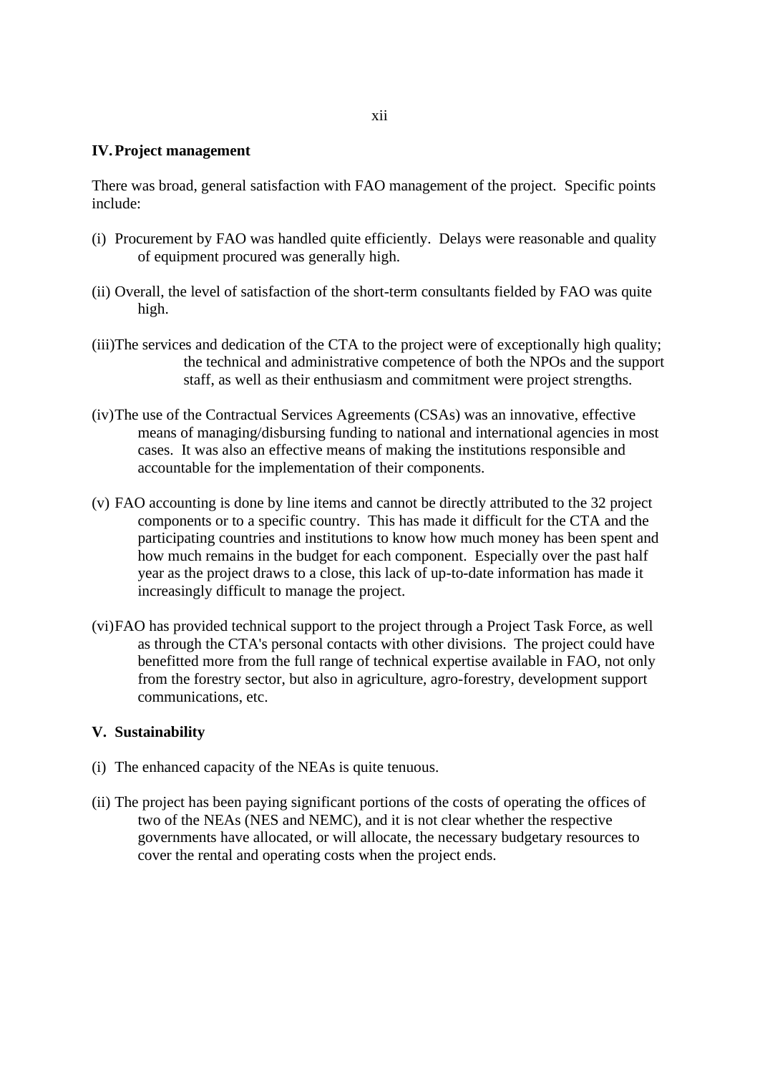# **IV.Project management**

There was broad, general satisfaction with FAO management of the project. Specific points include:

xii

- (i) Procurement by FAO was handled quite efficiently. Delays were reasonable and quality of equipment procured was generally high.
- (ii) Overall, the level of satisfaction of the short-term consultants fielded by FAO was quite high.
- (iii)The services and dedication of the CTA to the project were of exceptionally high quality; the technical and administrative competence of both the NPOs and the support staff, as well as their enthusiasm and commitment were project strengths.
- (iv)The use of the Contractual Services Agreements (CSAs) was an innovative, effective means of managing/disbursing funding to national and international agencies in most cases. It was also an effective means of making the institutions responsible and accountable for the implementation of their components.
- (v) FAO accounting is done by line items and cannot be directly attributed to the 32 project components or to a specific country. This has made it difficult for the CTA and the participating countries and institutions to know how much money has been spent and how much remains in the budget for each component. Especially over the past half year as the project draws to a close, this lack of up-to-date information has made it increasingly difficult to manage the project.
- (vi)FAO has provided technical support to the project through a Project Task Force, as well as through the CTA's personal contacts with other divisions. The project could have benefitted more from the full range of technical expertise available in FAO, not only from the forestry sector, but also in agriculture, agro-forestry, development support communications, etc.

# **V. Sustainability**

- (i) The enhanced capacity of the NEAs is quite tenuous.
- (ii) The project has been paying significant portions of the costs of operating the offices of two of the NEAs (NES and NEMC), and it is not clear whether the respective governments have allocated, or will allocate, the necessary budgetary resources to cover the rental and operating costs when the project ends.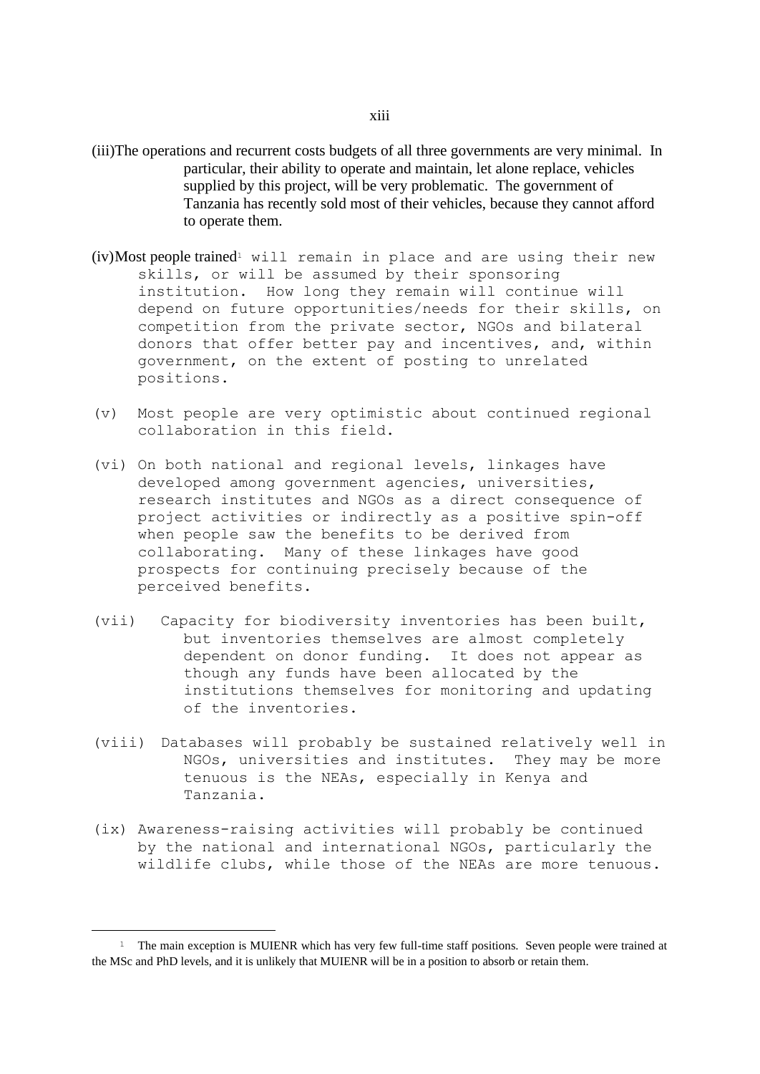- (iii)The operations and recurrent costs budgets of all three governments are very minimal. In particular, their ability to operate and maintain, let alone replace, vehicles supplied by this project, will be very problematic. The government of Tanzania has recently sold most of their vehicles, because they cannot afford to operate them.
- $(iv)$ Most people trained<sup>1</sup> will remain in place and are using their new skills, or will be assumed by their sponsoring institution. How long they remain will continue will depend on future opportunities/needs for their skills, on competition from the private sector, NGOs and bilateral donors that offer better pay and incentives, and, within government, on the extent of posting to unrelated positions.
- (v) Most people are very optimistic about continued regional collaboration in this field.
- (vi) On both national and regional levels, linkages have developed among government agencies, universities, research institutes and NGOs as a direct consequence of project activities or indirectly as a positive spin-off when people saw the benefits to be derived from collaborating. Many of these linkages have good prospects for continuing precisely because of the perceived benefits.
- (vii) Capacity for biodiversity inventories has been built, but inventories themselves are almost completely dependent on donor funding. It does not appear as though any funds have been allocated by the institutions themselves for monitoring and updating of the inventories.
- (viii) Databases will probably be sustained relatively well in NGOs, universities and institutes. They may be more tenuous is the NEAs, especially in Kenya and Tanzania.
- (ix) Awareness-raising activities will probably be continued by the national and international NGOs, particularly the wildlife clubs, while those of the NEAs are more tenuous.

<sup>&</sup>lt;sup>1</sup> The main exception is MUIENR which has very few full-time staff positions. Seven people were trained at the MSc and PhD levels, and it is unlikely that MUIENR will be in a position to absorb or retain them.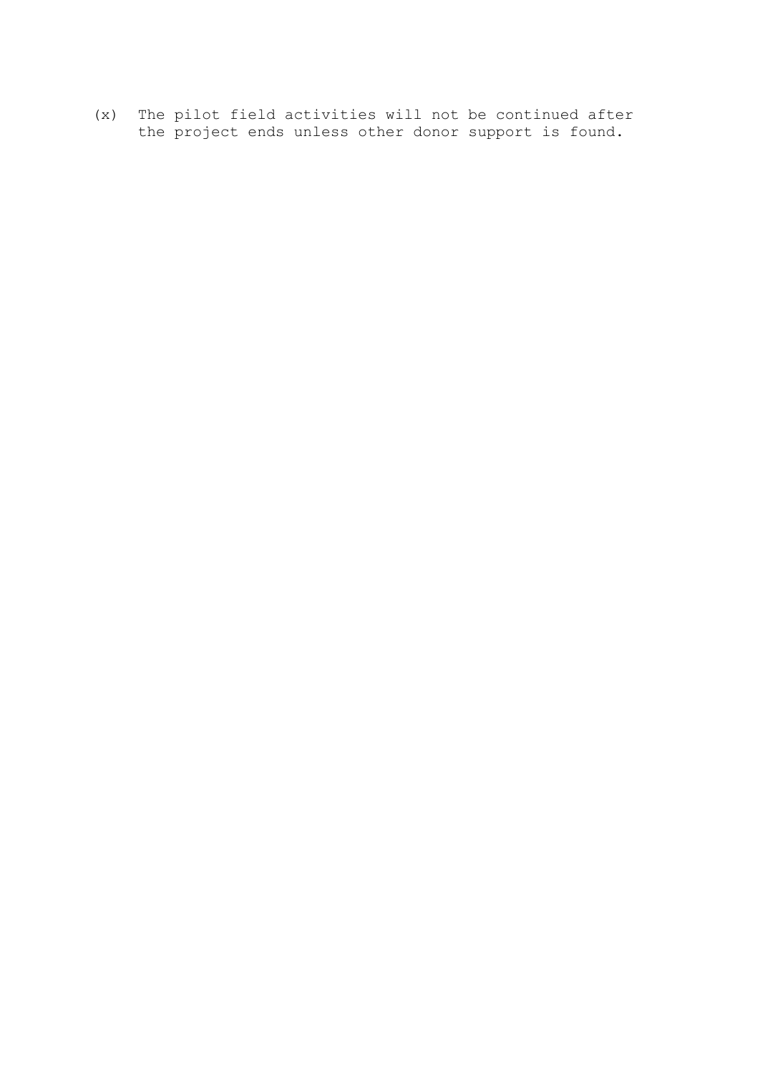(x) The pilot field activities will not be continued after the project ends unless other donor support is found.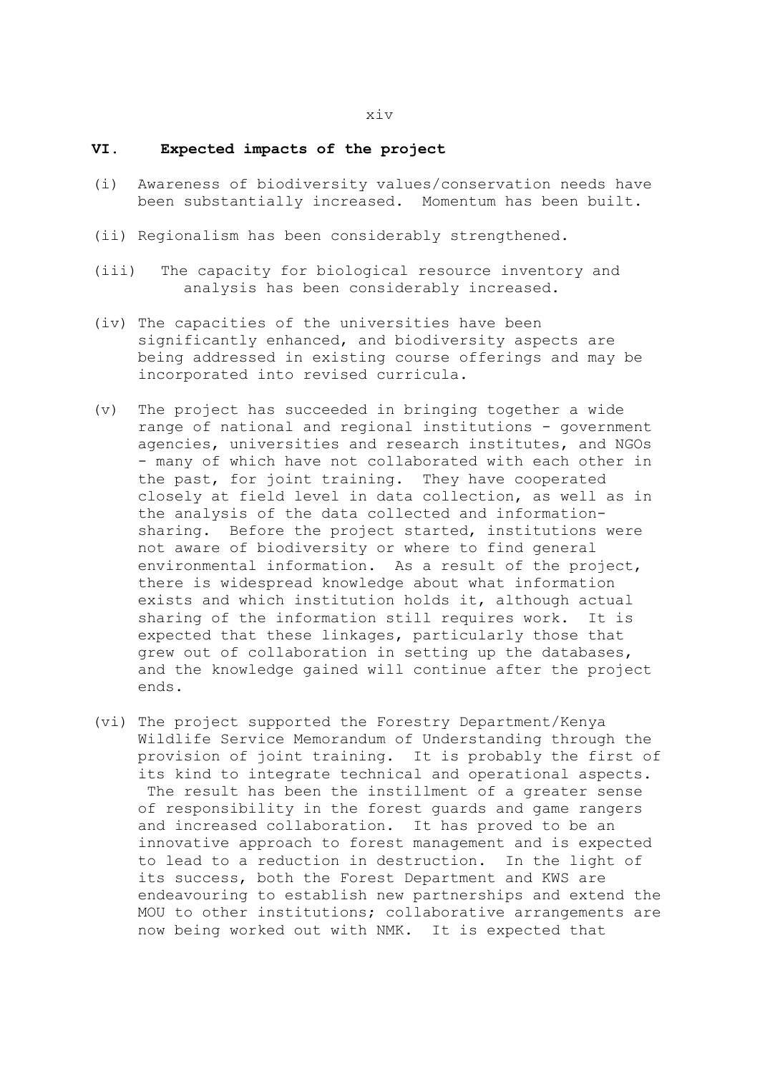#### **VI. Expected impacts of the project**

- (i) Awareness of biodiversity values/conservation needs have been substantially increased. Momentum has been built.
- (ii) Regionalism has been considerably strengthened.
- (iii) The capacity for biological resource inventory and analysis has been considerably increased.
- (iv) The capacities of the universities have been significantly enhanced, and biodiversity aspects are being addressed in existing course offerings and may be incorporated into revised curricula.
- (v) The project has succeeded in bringing together a wide range of national and regional institutions - government agencies, universities and research institutes, and NGOs - many of which have not collaborated with each other in the past, for joint training. They have cooperated closely at field level in data collection, as well as in the analysis of the data collected and informationsharing. Before the project started, institutions were not aware of biodiversity or where to find general environmental information. As a result of the project, there is widespread knowledge about what information exists and which institution holds it, although actual sharing of the information still requires work. It is expected that these linkages, particularly those that grew out of collaboration in setting up the databases, and the knowledge gained will continue after the project ends.
- (vi) The project supported the Forestry Department/Kenya Wildlife Service Memorandum of Understanding through the provision of joint training. It is probably the first of its kind to integrate technical and operational aspects. The result has been the instillment of a greater sense of responsibility in the forest guards and game rangers and increased collaboration. It has proved to be an innovative approach to forest management and is expected to lead to a reduction in destruction. In the light of its success, both the Forest Department and KWS are endeavouring to establish new partnerships and extend the MOU to other institutions; collaborative arrangements are now being worked out with NMK. It is expected that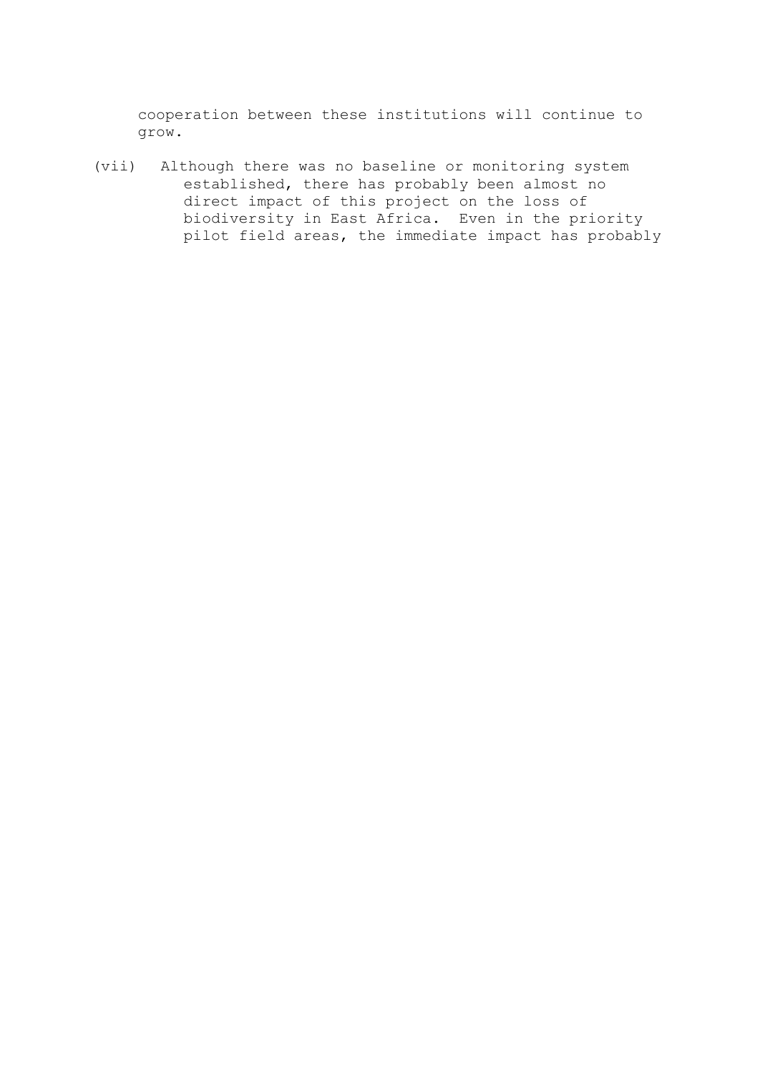cooperation between these institutions will continue to grow.

(vii) Although there was no baseline or monitoring system established, there has probably been almost no direct impact of this project on the loss of biodiversity in East Africa. Even in the priority pilot field areas, the immediate impact has probably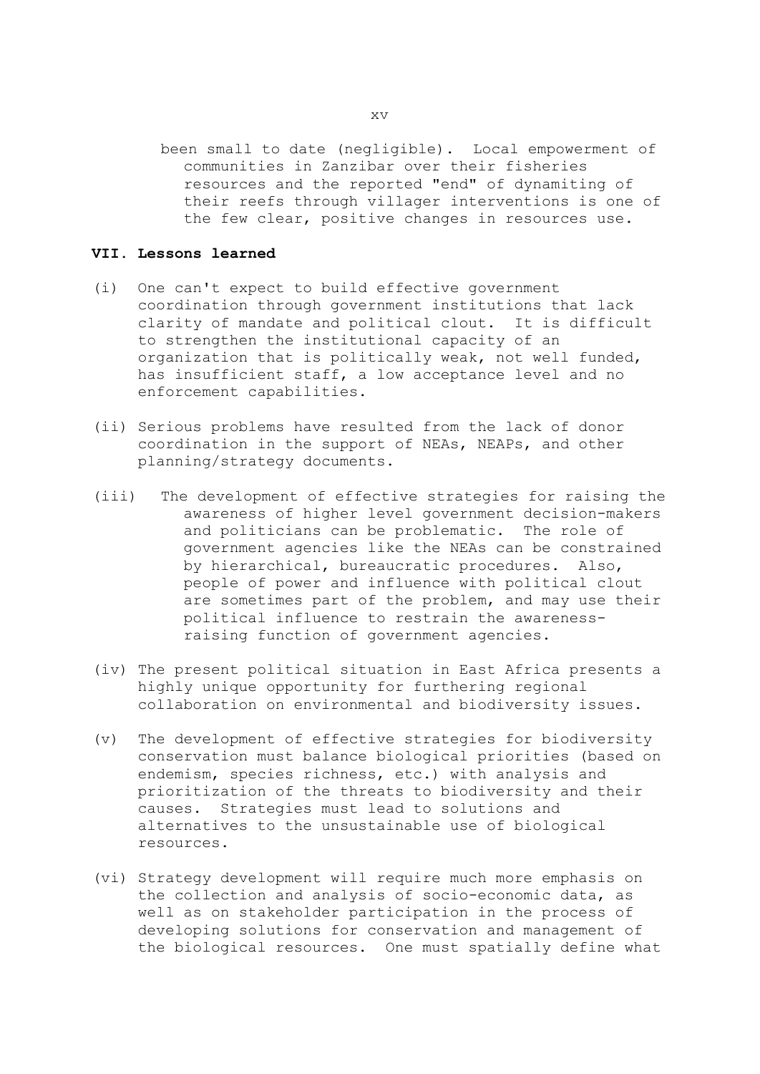been small to date (negligible). Local empowerment of communities in Zanzibar over their fisheries resources and the reported "end" of dynamiting of their reefs through villager interventions is one of the few clear, positive changes in resources use.

#### **VII. Lessons learned**

- (i) One can't expect to build effective government coordination through government institutions that lack clarity of mandate and political clout. It is difficult to strengthen the institutional capacity of an organization that is politically weak, not well funded, has insufficient staff, a low acceptance level and no enforcement capabilities.
- (ii) Serious problems have resulted from the lack of donor coordination in the support of NEAs, NEAPs, and other planning/strategy documents.
- (iii) The development of effective strategies for raising the awareness of higher level government decision-makers and politicians can be problematic. The role of government agencies like the NEAs can be constrained by hierarchical, bureaucratic procedures. Also, people of power and influence with political clout are sometimes part of the problem, and may use their political influence to restrain the awarenessraising function of government agencies.
- (iv) The present political situation in East Africa presents a highly unique opportunity for furthering regional collaboration on environmental and biodiversity issues.
- (v) The development of effective strategies for biodiversity conservation must balance biological priorities (based on endemism, species richness, etc.) with analysis and prioritization of the threats to biodiversity and their causes. Strategies must lead to solutions and alternatives to the unsustainable use of biological resources.
- (vi) Strategy development will require much more emphasis on the collection and analysis of socio-economic data, as well as on stakeholder participation in the process of developing solutions for conservation and management of the biological resources. One must spatially define what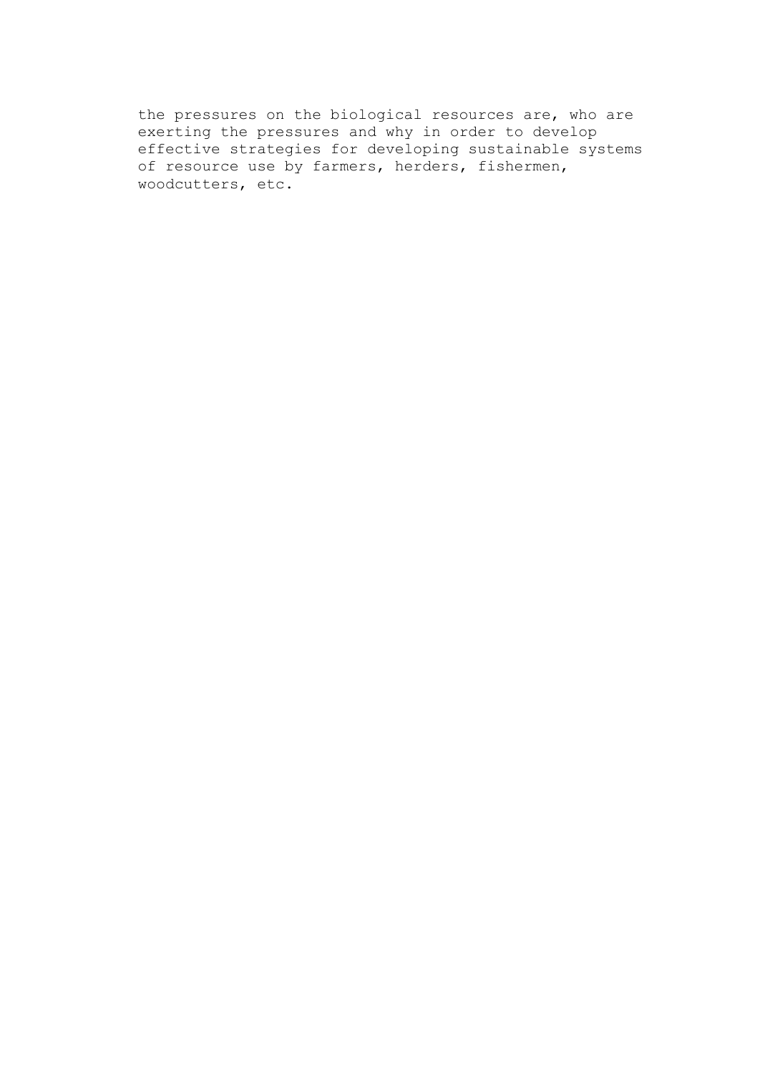the pressures on the biological resources are, who are exerting the pressures and why in order to develop effective strategies for developing sustainable systems of resource use by farmers, herders, fishermen, woodcutters, etc.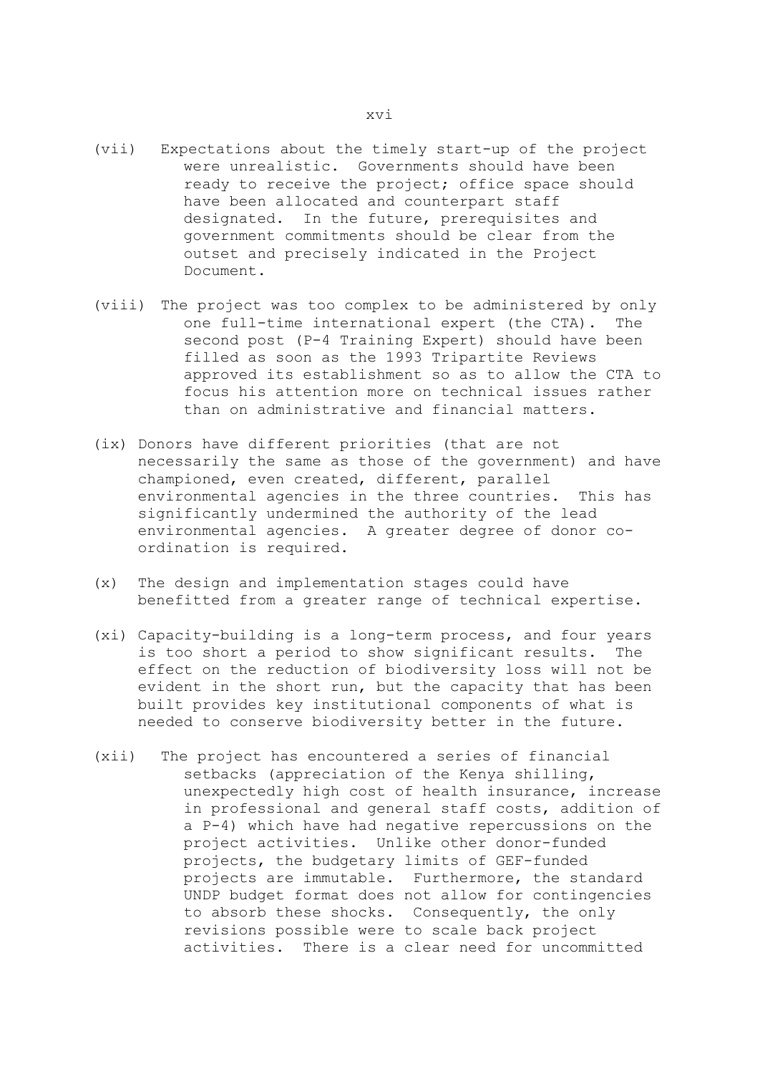- (vii) Expectations about the timely start-up of the project were unrealistic. Governments should have been ready to receive the project; office space should have been allocated and counterpart staff designated. In the future, prerequisites and government commitments should be clear from the outset and precisely indicated in the Project Document.
- (viii) The project was too complex to be administered by only one full-time international expert (the CTA). The second post (P-4 Training Expert) should have been filled as soon as the 1993 Tripartite Reviews approved its establishment so as to allow the CTA to focus his attention more on technical issues rather than on administrative and financial matters.
- (ix) Donors have different priorities (that are not necessarily the same as those of the government) and have championed, even created, different, parallel environmental agencies in the three countries. This has significantly undermined the authority of the lead environmental agencies. A greater degree of donor coordination is required.
- (x) The design and implementation stages could have benefitted from a greater range of technical expertise.
- (xi) Capacity-building is a long-term process, and four years is too short a period to show significant results. The effect on the reduction of biodiversity loss will not be evident in the short run, but the capacity that has been built provides key institutional components of what is needed to conserve biodiversity better in the future.
- (xii) The project has encountered a series of financial setbacks (appreciation of the Kenya shilling, unexpectedly high cost of health insurance, increase in professional and general staff costs, addition of a P-4) which have had negative repercussions on the project activities. Unlike other donor-funded projects, the budgetary limits of GEF-funded projects are immutable. Furthermore, the standard UNDP budget format does not allow for contingencies to absorb these shocks. Consequently, the only revisions possible were to scale back project activities. There is a clear need for uncommitted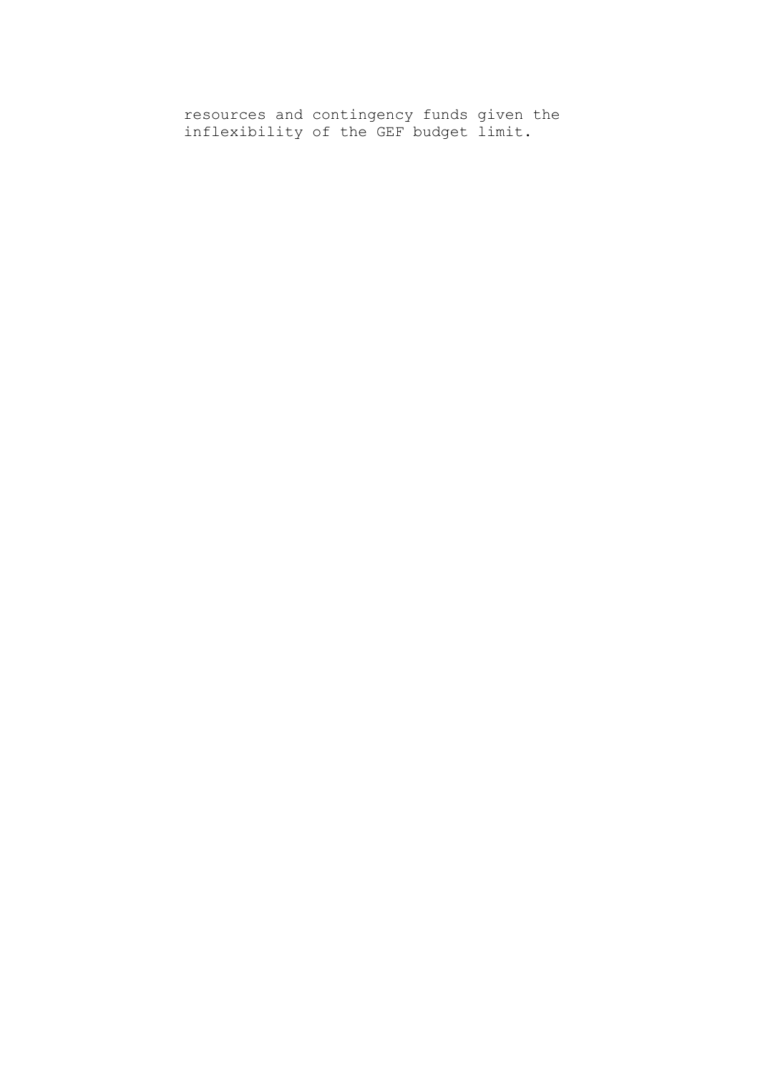resources and contingency funds given the inflexibility of the GEF budget limit.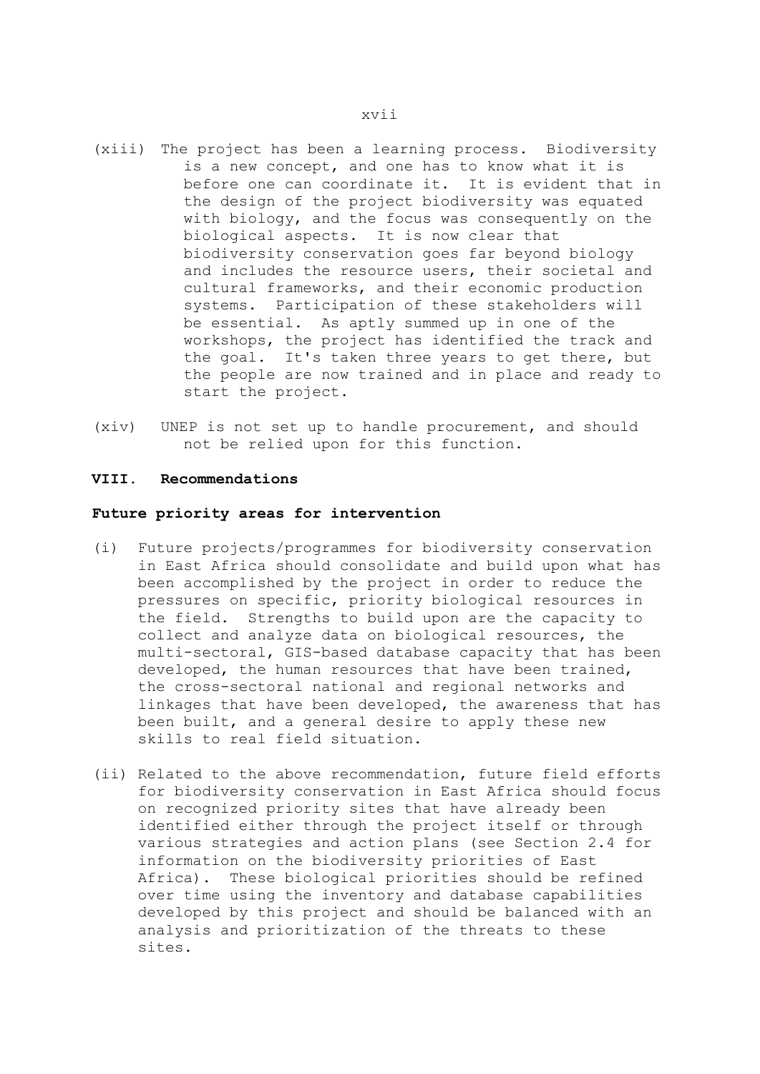- (xiii) The project has been a learning process. Biodiversity is a new concept, and one has to know what it is before one can coordinate it. It is evident that in the design of the project biodiversity was equated with biology, and the focus was consequently on the biological aspects. It is now clear that biodiversity conservation goes far beyond biology and includes the resource users, their societal and cultural frameworks, and their economic production systems. Participation of these stakeholders will be essential. As aptly summed up in one of the workshops, the project has identified the track and the goal. It's taken three years to get there, but the people are now trained and in place and ready to start the project.
- (xiv) UNEP is not set up to handle procurement, and should not be relied upon for this function.

#### **VIII. Recommendations**

#### **Future priority areas for intervention**

- (i) Future projects/programmes for biodiversity conservation in East Africa should consolidate and build upon what has been accomplished by the project in order to reduce the pressures on specific, priority biological resources in the field. Strengths to build upon are the capacity to collect and analyze data on biological resources, the multi-sectoral, GIS-based database capacity that has been developed, the human resources that have been trained, the cross-sectoral national and regional networks and linkages that have been developed, the awareness that has been built, and a general desire to apply these new skills to real field situation.
- (ii) Related to the above recommendation, future field efforts for biodiversity conservation in East Africa should focus on recognized priority sites that have already been identified either through the project itself or through various strategies and action plans (see Section 2.4 for information on the biodiversity priorities of East Africa). These biological priorities should be refined over time using the inventory and database capabilities developed by this project and should be balanced with an analysis and prioritization of the threats to these sites.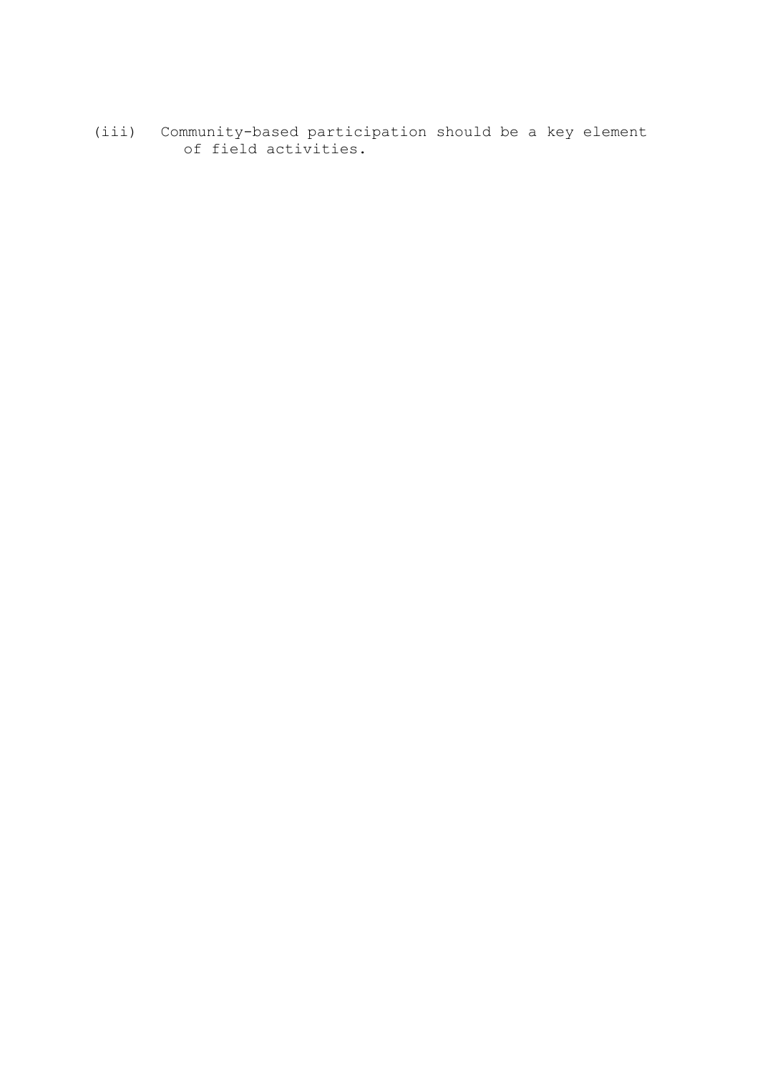(iii) Community-based participation should be a key element of field activities.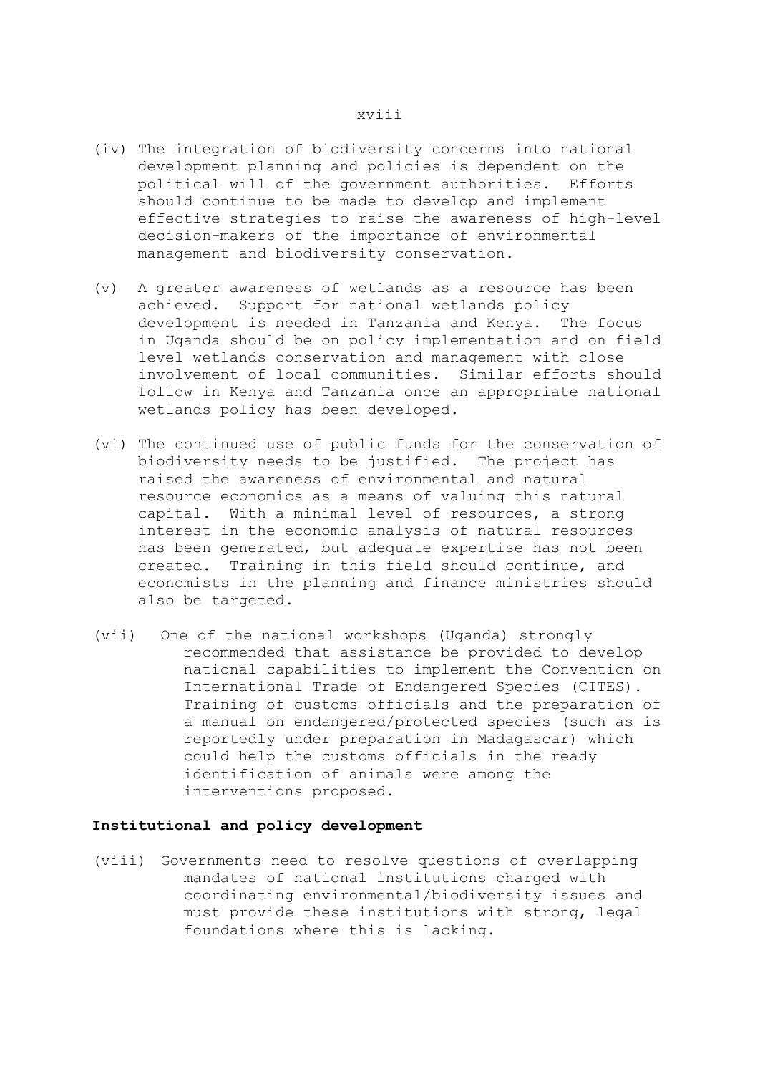- (iv) The integration of biodiversity concerns into national development planning and policies is dependent on the political will of the government authorities. Efforts should continue to be made to develop and implement effective strategies to raise the awareness of high-level decision-makers of the importance of environmental management and biodiversity conservation.
- (v) A greater awareness of wetlands as a resource has been achieved. Support for national wetlands policy development is needed in Tanzania and Kenya. The focus in Uganda should be on policy implementation and on field level wetlands conservation and management with close involvement of local communities. Similar efforts should follow in Kenya and Tanzania once an appropriate national wetlands policy has been developed.
- (vi) The continued use of public funds for the conservation of biodiversity needs to be justified. The project has raised the awareness of environmental and natural resource economics as a means of valuing this natural capital. With a minimal level of resources, a strong interest in the economic analysis of natural resources has been generated, but adequate expertise has not been created. Training in this field should continue, and economists in the planning and finance ministries should also be targeted.
- (vii) One of the national workshops (Uganda) strongly recommended that assistance be provided to develop national capabilities to implement the Convention on International Trade of Endangered Species (CITES). Training of customs officials and the preparation of a manual on endangered/protected species (such as is reportedly under preparation in Madagascar) which could help the customs officials in the ready identification of animals were among the interventions proposed.

#### **Institutional and policy development**

(viii) Governments need to resolve questions of overlapping mandates of national institutions charged with coordinating environmental/biodiversity issues and must provide these institutions with strong, legal foundations where this is lacking.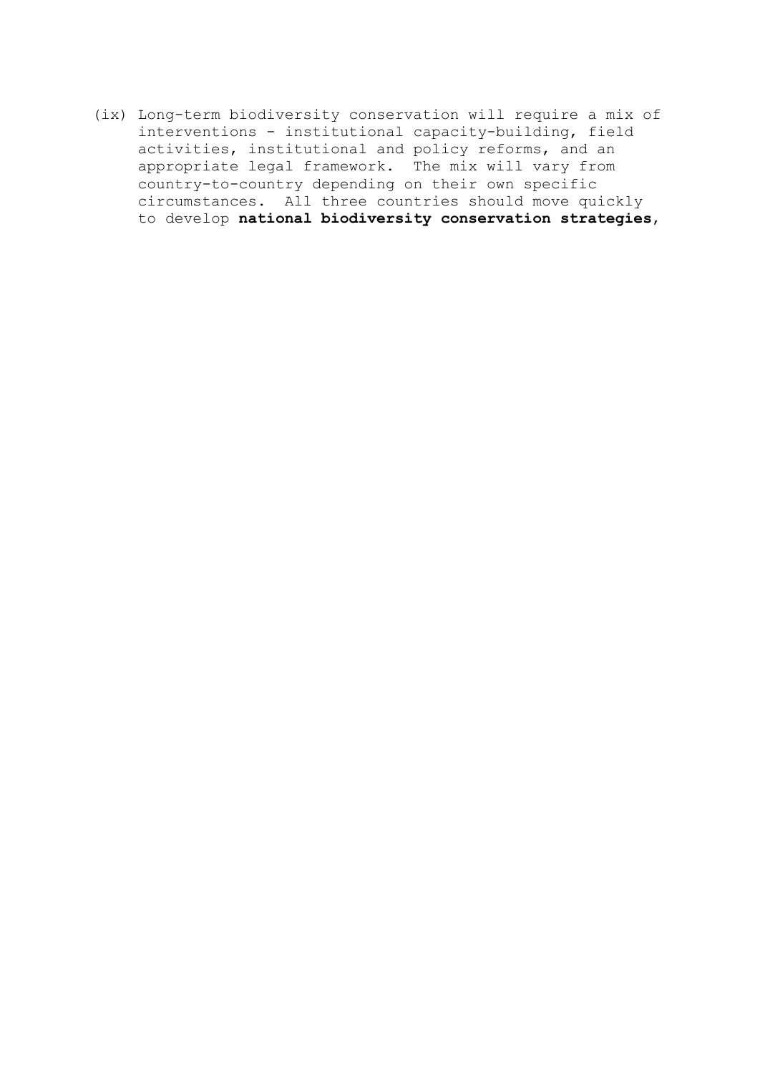(ix) Long-term biodiversity conservation will require a mix of interventions - institutional capacity-building, field activities, institutional and policy reforms, and an appropriate legal framework. The mix will vary from country-to-country depending on their own specific circumstances. All three countries should move quickly to develop **national biodiversity conservation strategies**,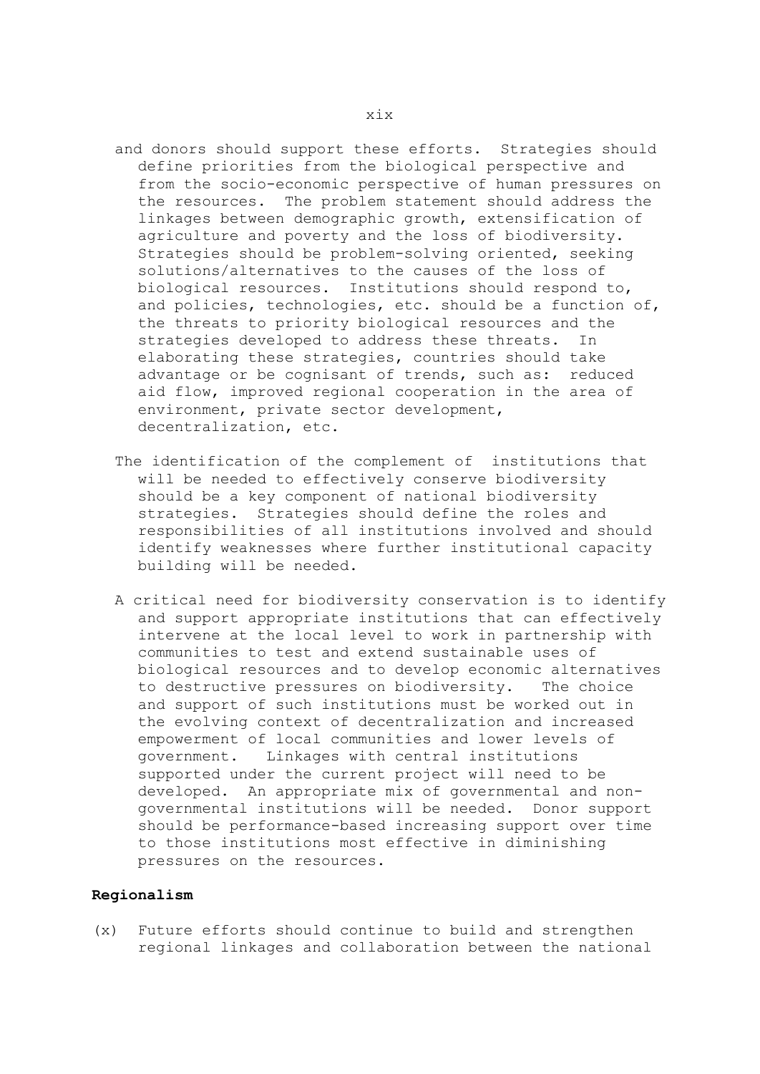- and donors should support these efforts. Strategies should define priorities from the biological perspective and from the socio-economic perspective of human pressures on the resources. The problem statement should address the linkages between demographic growth, extensification of agriculture and poverty and the loss of biodiversity. Strategies should be problem-solving oriented, seeking solutions/alternatives to the causes of the loss of biological resources. Institutions should respond to, and policies, technologies, etc. should be a function of, the threats to priority biological resources and the strategies developed to address these threats. In elaborating these strategies, countries should take advantage or be cognisant of trends, such as: reduced aid flow, improved regional cooperation in the area of environment, private sector development, decentralization, etc.
- The identification of the complement of institutions that will be needed to effectively conserve biodiversity should be a key component of national biodiversity strategies. Strategies should define the roles and responsibilities of all institutions involved and should identify weaknesses where further institutional capacity building will be needed.
- A critical need for biodiversity conservation is to identify and support appropriate institutions that can effectively intervene at the local level to work in partnership with communities to test and extend sustainable uses of biological resources and to develop economic alternatives to destructive pressures on biodiversity. The choice and support of such institutions must be worked out in the evolving context of decentralization and increased empowerment of local communities and lower levels of government. Linkages with central institutions supported under the current project will need to be developed. An appropriate mix of governmental and nongovernmental institutions will be needed. Donor support should be performance-based increasing support over time to those institutions most effective in diminishing pressures on the resources.

#### **Regionalism**

(x) Future efforts should continue to build and strengthen regional linkages and collaboration between the national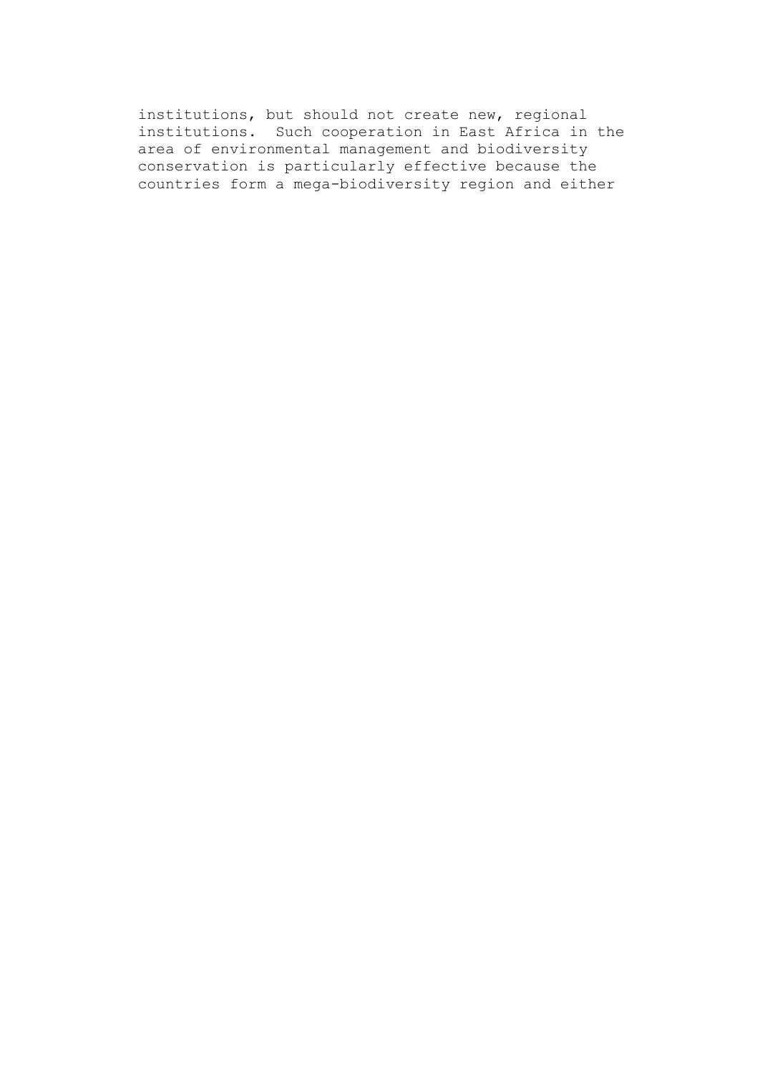institutions, but should not create new, regional institutions. Such cooperation in East Africa in the area of environmental management and biodiversity conservation is particularly effective because the countries form a mega-biodiversity region and either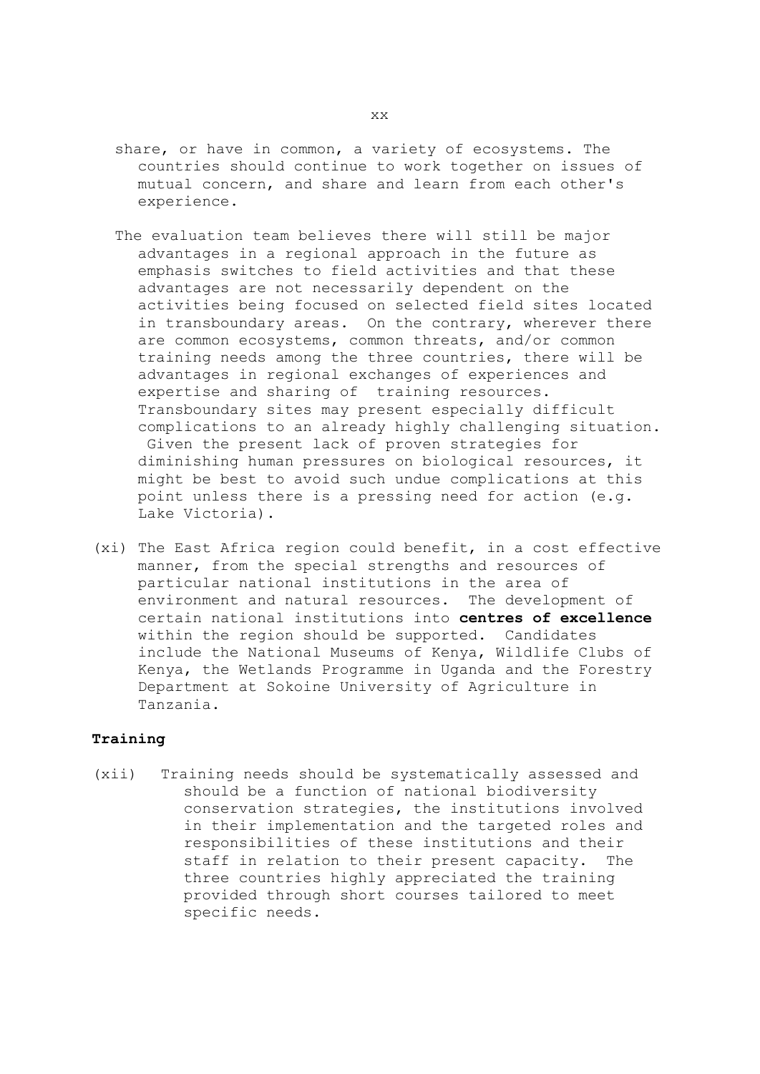share, or have in common, a variety of ecosystems. The countries should continue to work together on issues of mutual concern, and share and learn from each other's experience.

- The evaluation team believes there will still be major advantages in a regional approach in the future as emphasis switches to field activities and that these advantages are not necessarily dependent on the activities being focused on selected field sites located in transboundary areas. On the contrary, wherever there are common ecosystems, common threats, and/or common training needs among the three countries, there will be advantages in regional exchanges of experiences and expertise and sharing of training resources. Transboundary sites may present especially difficult complications to an already highly challenging situation. Given the present lack of proven strategies for diminishing human pressures on biological resources, it might be best to avoid such undue complications at this point unless there is a pressing need for action (e.g. Lake Victoria).
- (xi) The East Africa region could benefit, in a cost effective manner, from the special strengths and resources of particular national institutions in the area of environment and natural resources. The development of certain national institutions into **centres of excellence** within the region should be supported. Candidates include the National Museums of Kenya, Wildlife Clubs of Kenya, the Wetlands Programme in Uganda and the Forestry Department at Sokoine University of Agriculture in Tanzania.

#### **Training**

(xii) Training needs should be systematically assessed and should be a function of national biodiversity conservation strategies, the institutions involved in their implementation and the targeted roles and responsibilities of these institutions and their staff in relation to their present capacity. The three countries highly appreciated the training provided through short courses tailored to meet specific needs.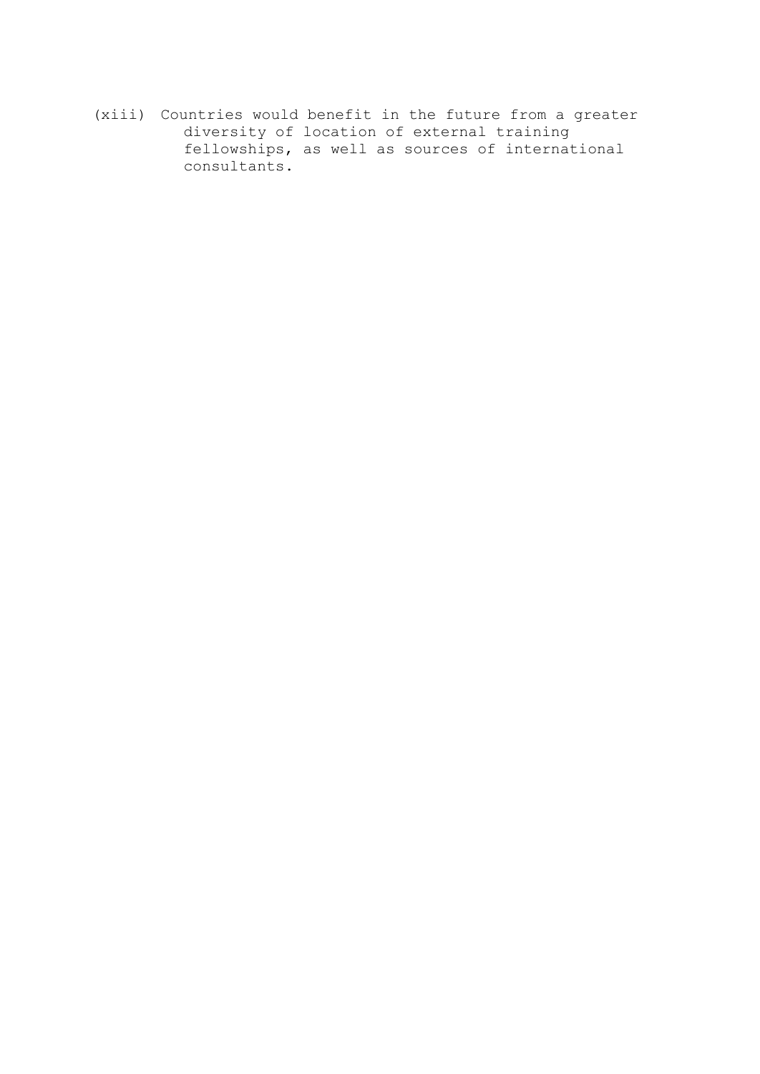(xiii) Countries would benefit in the future from a greater diversity of location of external training fellowships, as well as sources of international consultants.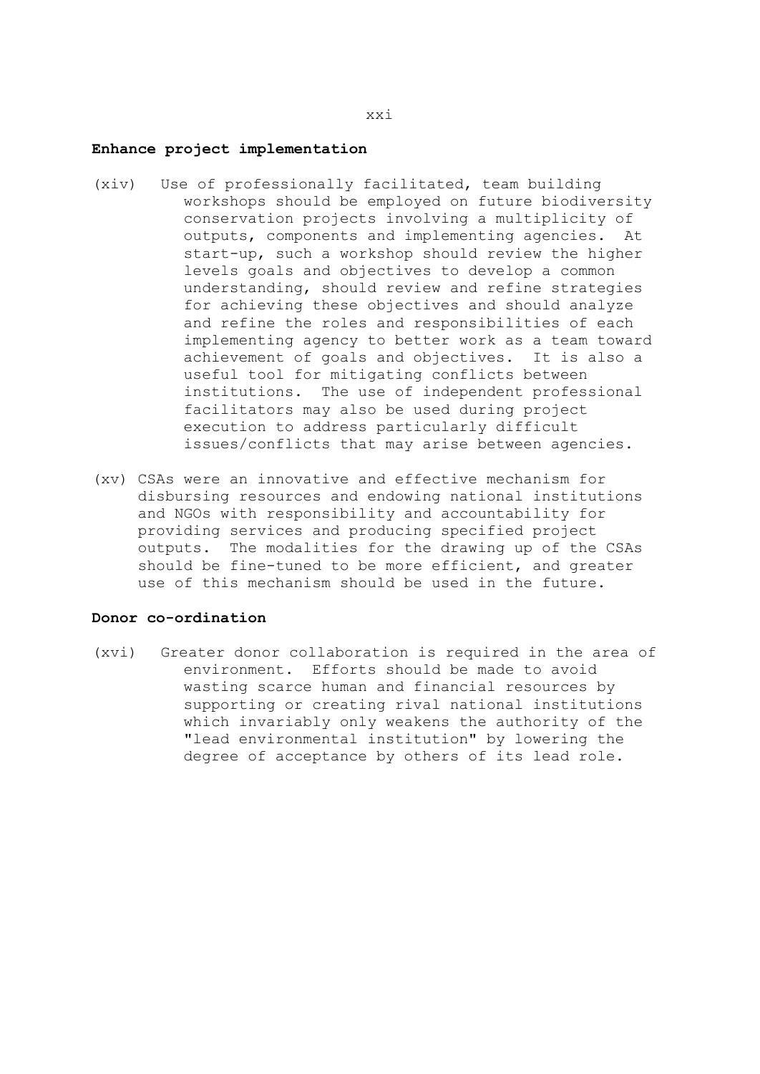# **Enhance project implementation**

- (xiv) Use of professionally facilitated, team building workshops should be employed on future biodiversity conservation projects involving a multiplicity of outputs, components and implementing agencies. At start-up, such a workshop should review the higher levels goals and objectives to develop a common understanding, should review and refine strategies for achieving these objectives and should analyze and refine the roles and responsibilities of each implementing agency to better work as a team toward achievement of goals and objectives. It is also a useful tool for mitigating conflicts between institutions. The use of independent professional facilitators may also be used during project execution to address particularly difficult issues/conflicts that may arise between agencies.
- (xv) CSAs were an innovative and effective mechanism for disbursing resources and endowing national institutions and NGOs with responsibility and accountability for providing services and producing specified project outputs. The modalities for the drawing up of the CSAs should be fine-tuned to be more efficient, and greater use of this mechanism should be used in the future.

# **Donor co-ordination**

(xvi) Greater donor collaboration is required in the area of environment. Efforts should be made to avoid wasting scarce human and financial resources by supporting or creating rival national institutions which invariably only weakens the authority of the "lead environmental institution" by lowering the degree of acceptance by others of its lead role.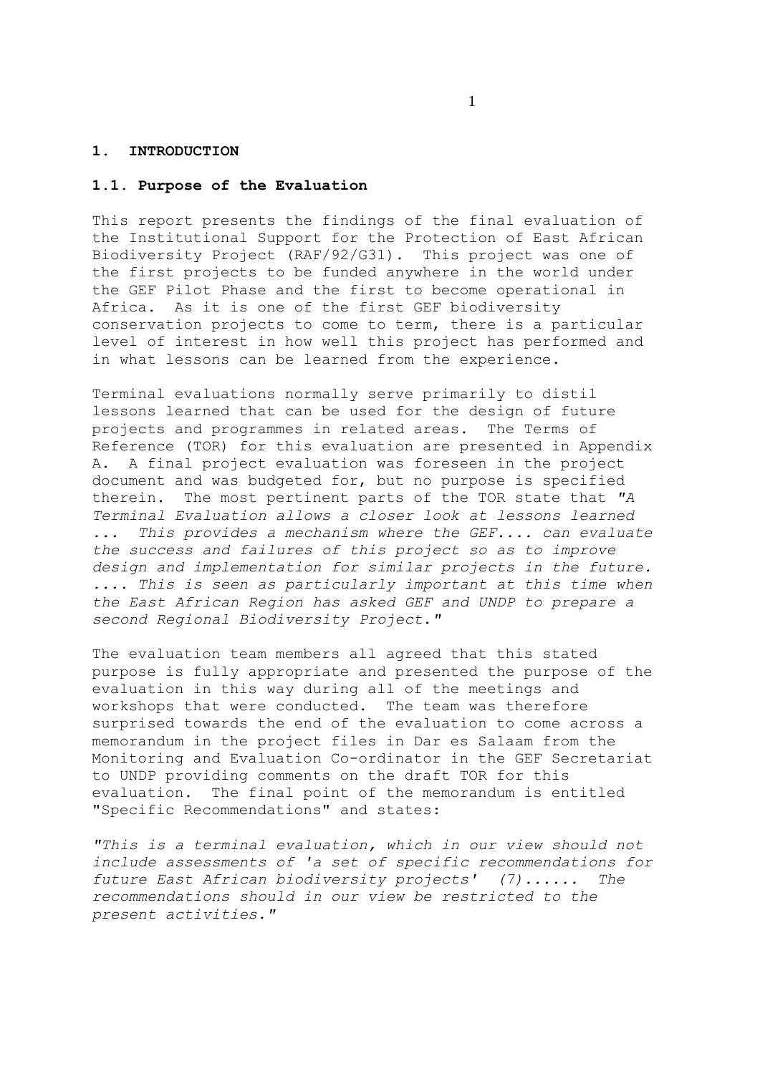#### **1. INTRODUCTION**

#### **1.1. Purpose of the Evaluation**

This report presents the findings of the final evaluation of the Institutional Support for the Protection of East African Biodiversity Project (RAF/92/G31). This project was one of the first projects to be funded anywhere in the world under the GEF Pilot Phase and the first to become operational in Africa. As it is one of the first GEF biodiversity conservation projects to come to term, there is a particular level of interest in how well this project has performed and in what lessons can be learned from the experience.

Terminal evaluations normally serve primarily to distil lessons learned that can be used for the design of future projects and programmes in related areas. The Terms of Reference (TOR) for this evaluation are presented in Appendix A. A final project evaluation was foreseen in the project document and was budgeted for, but no purpose is specified therein. The most pertinent parts of the TOR state that *"A Terminal Evaluation allows a closer look at lessons learned ... This provides a mechanism where the GEF.... can evaluate the success and failures of this project so as to improve design and implementation for similar projects in the future. .... This is seen as particularly important at this time when the East African Region has asked GEF and UNDP to prepare a second Regional Biodiversity Project."* 

The evaluation team members all agreed that this stated purpose is fully appropriate and presented the purpose of the evaluation in this way during all of the meetings and workshops that were conducted. The team was therefore surprised towards the end of the evaluation to come across a memorandum in the project files in Dar es Salaam from the Monitoring and Evaluation Co-ordinator in the GEF Secretariat to UNDP providing comments on the draft TOR for this evaluation. The final point of the memorandum is entitled "Specific Recommendations" and states:

*"This is a terminal evaluation, which in our view should not include assessments of 'a set of specific recommendations for future East African biodiversity projects' (7)...... The recommendations should in our view be restricted to the present activities."*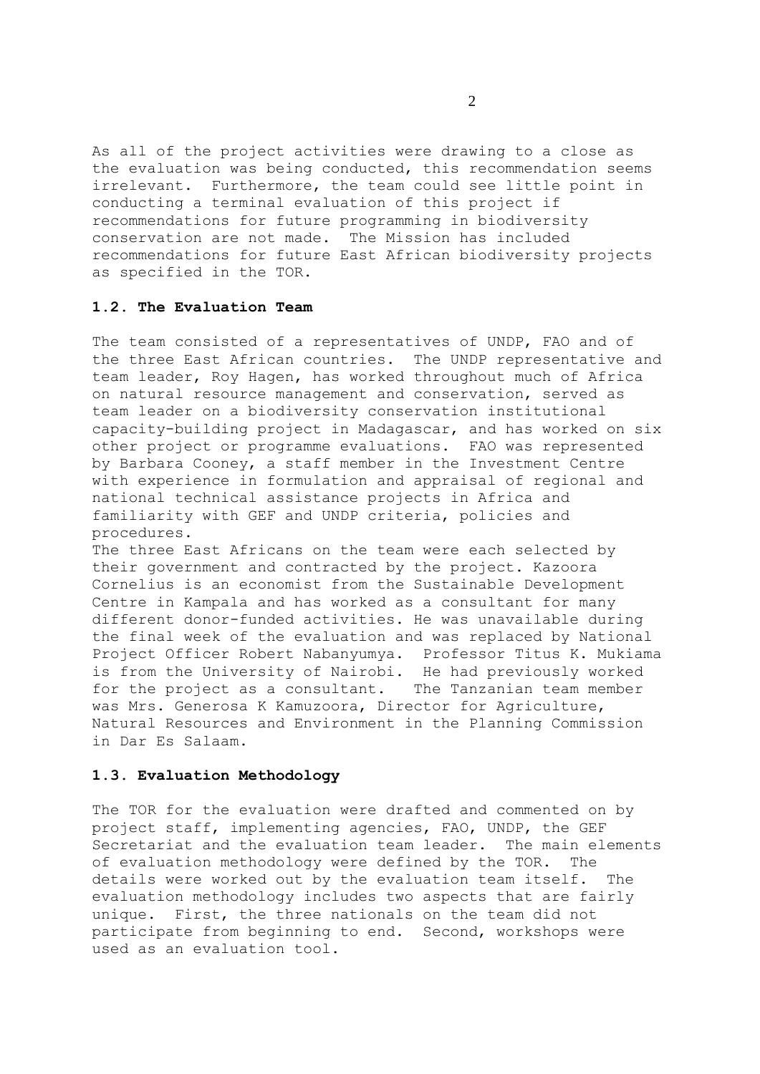As all of the project activities were drawing to a close as the evaluation was being conducted, this recommendation seems irrelevant. Furthermore, the team could see little point in conducting a terminal evaluation of this project if recommendations for future programming in biodiversity conservation are not made. The Mission has included recommendations for future East African biodiversity projects as specified in the TOR.

#### **1.2. The Evaluation Team**

The team consisted of a representatives of UNDP, FAO and of the three East African countries. The UNDP representative and team leader, Roy Hagen, has worked throughout much of Africa on natural resource management and conservation, served as team leader on a biodiversity conservation institutional capacity-building project in Madagascar, and has worked on six other project or programme evaluations. FAO was represented by Barbara Cooney, a staff member in the Investment Centre with experience in formulation and appraisal of regional and national technical assistance projects in Africa and familiarity with GEF and UNDP criteria, policies and procedures.

The three East Africans on the team were each selected by their government and contracted by the project. Kazoora Cornelius is an economist from the Sustainable Development Centre in Kampala and has worked as a consultant for many different donor-funded activities. He was unavailable during the final week of the evaluation and was replaced by National Project Officer Robert Nabanyumya. Professor Titus K. Mukiama is from the University of Nairobi. He had previously worked for the project as a consultant. The Tanzanian team member was Mrs. Generosa K Kamuzoora, Director for Agriculture, Natural Resources and Environment in the Planning Commission in Dar Es Salaam.

#### **1.3. Evaluation Methodology**

The TOR for the evaluation were drafted and commented on by project staff, implementing agencies, FAO, UNDP, the GEF Secretariat and the evaluation team leader. The main elements of evaluation methodology were defined by the TOR. The details were worked out by the evaluation team itself. The evaluation methodology includes two aspects that are fairly unique. First, the three nationals on the team did not participate from beginning to end. Second, workshops were used as an evaluation tool.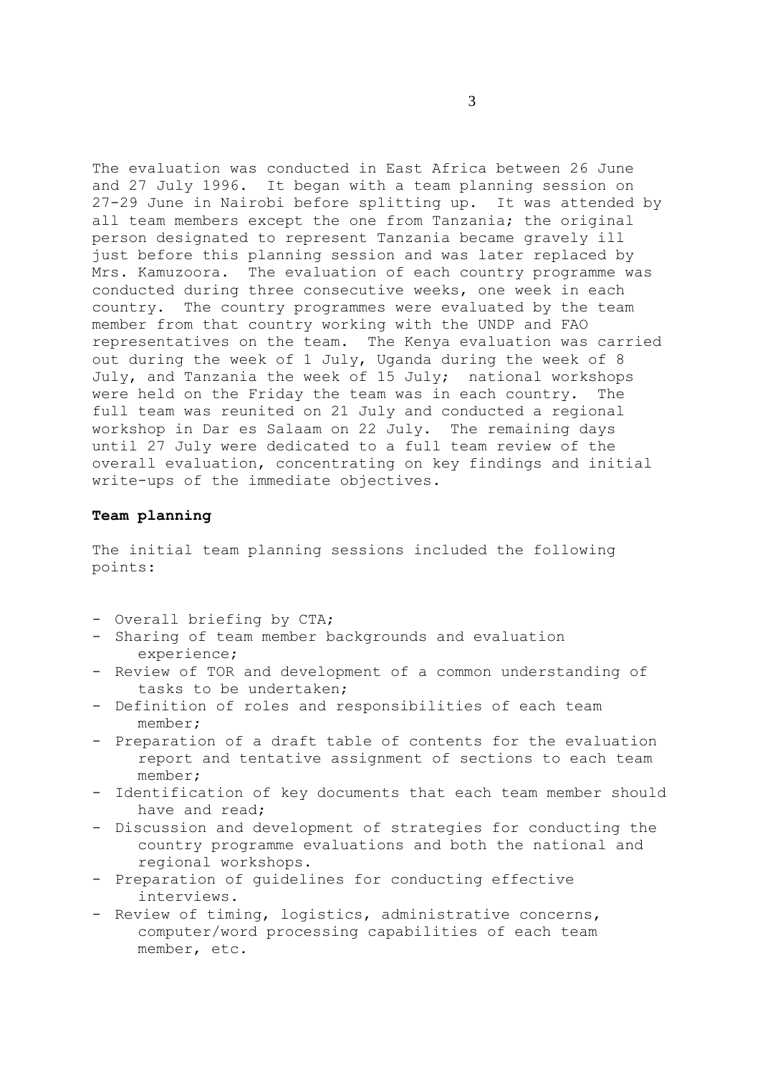The evaluation was conducted in East Africa between 26 June and 27 July 1996. It began with a team planning session on 27-29 June in Nairobi before splitting up. It was attended by all team members except the one from Tanzania; the original person designated to represent Tanzania became gravely ill just before this planning session and was later replaced by Mrs. Kamuzoora. The evaluation of each country programme was conducted during three consecutive weeks, one week in each country. The country programmes were evaluated by the team member from that country working with the UNDP and FAO representatives on the team. The Kenya evaluation was carried out during the week of 1 July, Uganda during the week of 8 July, and Tanzania the week of 15 July; national workshops were held on the Friday the team was in each country. The full team was reunited on 21 July and conducted a regional workshop in Dar es Salaam on 22 July. The remaining days until 27 July were dedicated to a full team review of the overall evaluation, concentrating on key findings and initial write-ups of the immediate objectives.

#### **Team planning**

The initial team planning sessions included the following points:

- Overall briefing by CTA;
- Sharing of team member backgrounds and evaluation experience;
- Review of TOR and development of a common understanding of tasks to be undertaken;
- Definition of roles and responsibilities of each team member;
- Preparation of a draft table of contents for the evaluation report and tentative assignment of sections to each team member;
- Identification of key documents that each team member should have and read;
- Discussion and development of strategies for conducting the country programme evaluations and both the national and regional workshops.
- Preparation of guidelines for conducting effective interviews.
- Review of timing, logistics, administrative concerns, computer/word processing capabilities of each team member, etc.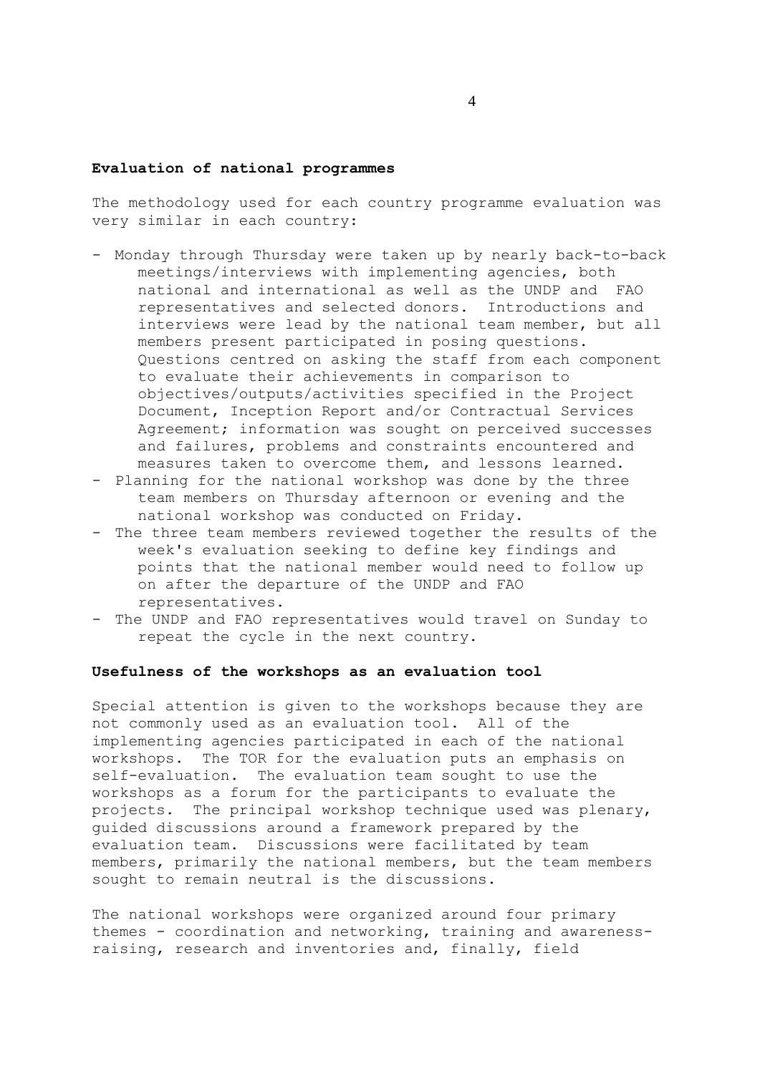#### **Evaluation of national programmes**

The methodology used for each country programme evaluation was very similar in each country:

- Monday through Thursday were taken up by nearly back-to-back meetings/interviews with implementing agencies, both national and international as well as the UNDP and FAO representatives and selected donors. Introductions and interviews were lead by the national team member, but all members present participated in posing questions. Questions centred on asking the staff from each component to evaluate their achievements in comparison to objectives/outputs/activities specified in the Project Document, Inception Report and/or Contractual Services Agreement; information was sought on perceived successes and failures, problems and constraints encountered and measures taken to overcome them, and lessons learned.
- Planning for the national workshop was done by the three team members on Thursday afternoon or evening and the national workshop was conducted on Friday.
- The three team members reviewed together the results of the week's evaluation seeking to define key findings and points that the national member would need to follow up on after the departure of the UNDP and FAO representatives.
- The UNDP and FAO representatives would travel on Sunday to repeat the cycle in the next country.

### **Usefulness of the workshops as an evaluation tool**

Special attention is given to the workshops because they are not commonly used as an evaluation tool. All of the implementing agencies participated in each of the national workshops. The TOR for the evaluation puts an emphasis on self-evaluation. The evaluation team sought to use the workshops as a forum for the participants to evaluate the projects. The principal workshop technique used was plenary, guided discussions around a framework prepared by the evaluation team. Discussions were facilitated by team members, primarily the national members, but the team members sought to remain neutral is the discussions.

The national workshops were organized around four primary themes - coordination and networking, training and awarenessraising, research and inventories and, finally, field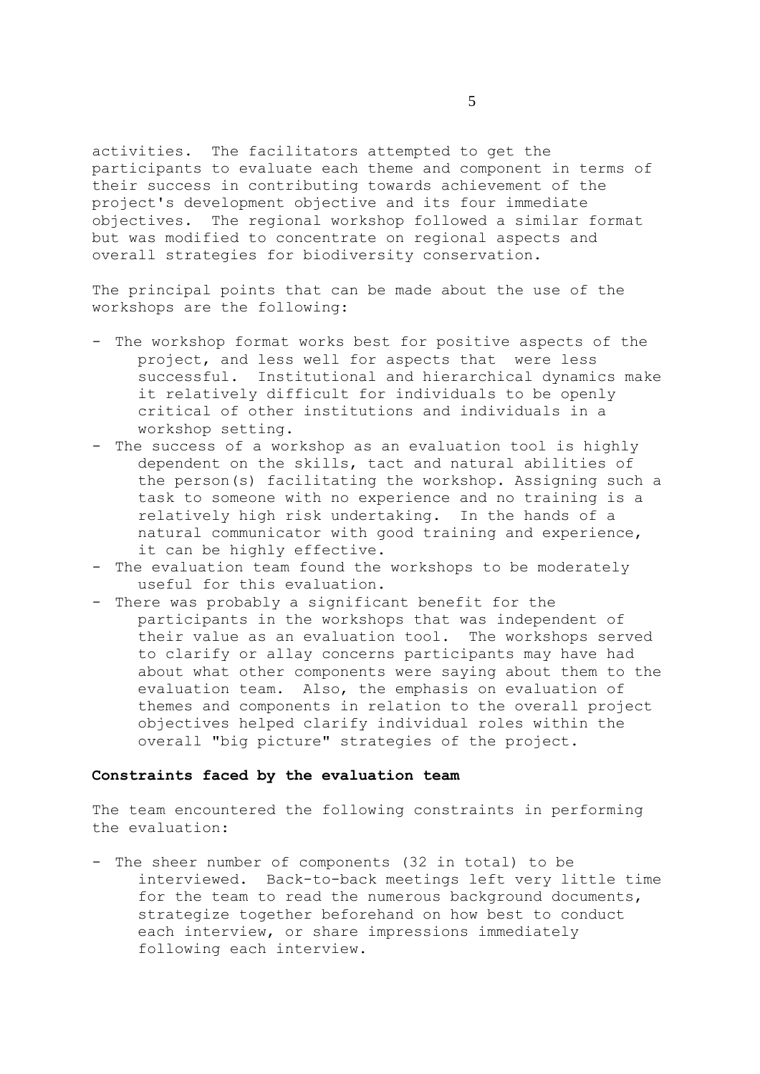activities. The facilitators attempted to get the participants to evaluate each theme and component in terms of their success in contributing towards achievement of the project's development objective and its four immediate objectives. The regional workshop followed a similar format but was modified to concentrate on regional aspects and overall strategies for biodiversity conservation.

The principal points that can be made about the use of the workshops are the following:

- The workshop format works best for positive aspects of the project, and less well for aspects that were less successful. Institutional and hierarchical dynamics make it relatively difficult for individuals to be openly critical of other institutions and individuals in a workshop setting.
- The success of a workshop as an evaluation tool is highly dependent on the skills, tact and natural abilities of the person(s) facilitating the workshop. Assigning such a task to someone with no experience and no training is a relatively high risk undertaking. In the hands of a natural communicator with good training and experience, it can be highly effective.
- The evaluation team found the workshops to be moderately useful for this evaluation.
- There was probably a significant benefit for the participants in the workshops that was independent of their value as an evaluation tool. The workshops served to clarify or allay concerns participants may have had about what other components were saying about them to the evaluation team. Also, the emphasis on evaluation of themes and components in relation to the overall project objectives helped clarify individual roles within the overall "big picture" strategies of the project.

#### **Constraints faced by the evaluation team**

The team encountered the following constraints in performing the evaluation:

- The sheer number of components (32 in total) to be interviewed. Back-to-back meetings left very little time for the team to read the numerous background documents, strategize together beforehand on how best to conduct each interview, or share impressions immediately following each interview.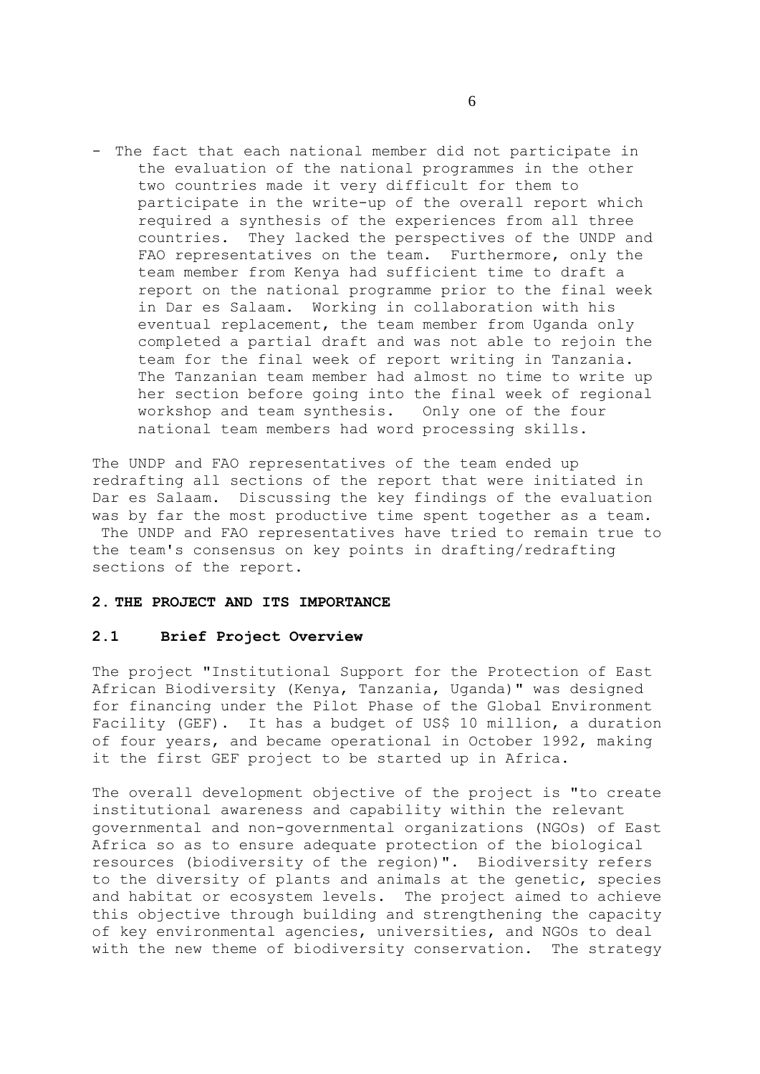- The fact that each national member did not participate in the evaluation of the national programmes in the other two countries made it very difficult for them to participate in the write-up of the overall report which required a synthesis of the experiences from all three countries. They lacked the perspectives of the UNDP and FAO representatives on the team. Furthermore, only the team member from Kenya had sufficient time to draft a report on the national programme prior to the final week in Dar es Salaam. Working in collaboration with his eventual replacement, the team member from Uganda only completed a partial draft and was not able to rejoin the team for the final week of report writing in Tanzania. The Tanzanian team member had almost no time to write up her section before going into the final week of regional workshop and team synthesis. Only one of the four national team members had word processing skills.

The UNDP and FAO representatives of the team ended up redrafting all sections of the report that were initiated in Dar es Salaam. Discussing the key findings of the evaluation was by far the most productive time spent together as a team. The UNDP and FAO representatives have tried to remain true to the team's consensus on key points in drafting/redrafting sections of the report.

#### **2. THE PROJECT AND ITS IMPORTANCE**

### **2.1 Brief Project Overview**

The project "Institutional Support for the Protection of East African Biodiversity (Kenya, Tanzania, Uganda)" was designed for financing under the Pilot Phase of the Global Environment Facility (GEF). It has a budget of US\$ 10 million, a duration of four years, and became operational in October 1992, making it the first GEF project to be started up in Africa.

The overall development objective of the project is "to create institutional awareness and capability within the relevant governmental and non-governmental organizations (NGOs) of East Africa so as to ensure adequate protection of the biological resources (biodiversity of the region)". Biodiversity refers to the diversity of plants and animals at the genetic, species and habitat or ecosystem levels. The project aimed to achieve this objective through building and strengthening the capacity of key environmental agencies, universities, and NGOs to deal with the new theme of biodiversity conservation. The strategy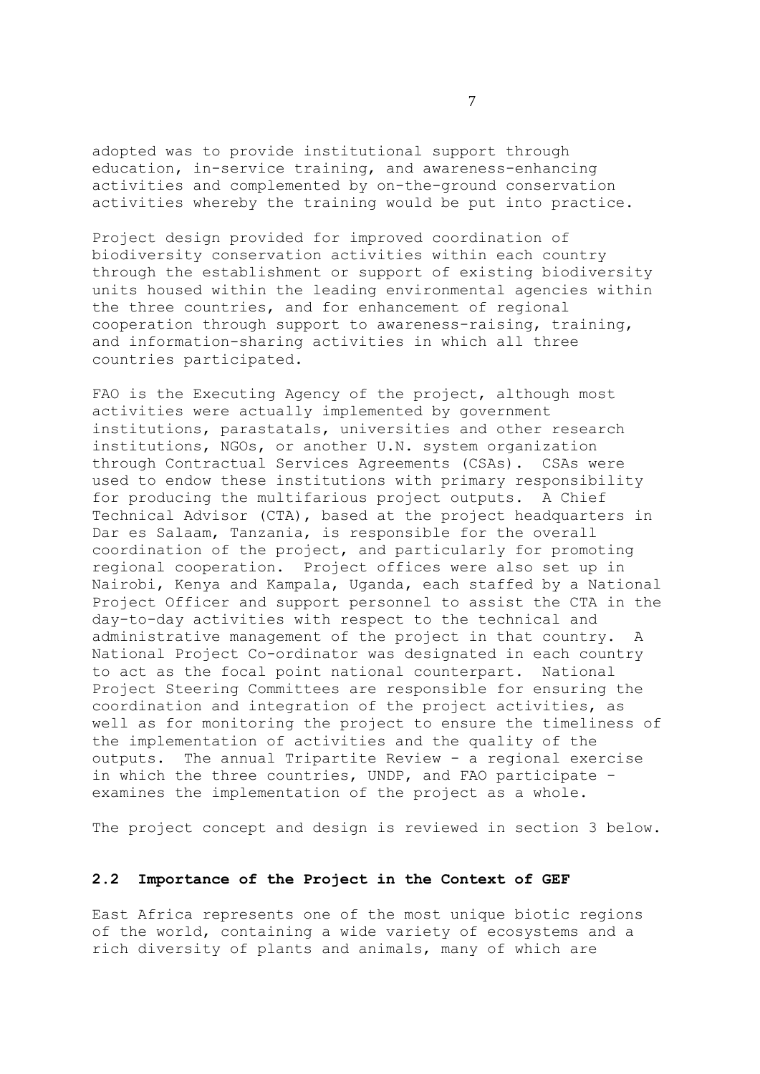adopted was to provide institutional support through education, in-service training, and awareness-enhancing activities and complemented by on-the-ground conservation activities whereby the training would be put into practice.

Project design provided for improved coordination of biodiversity conservation activities within each country through the establishment or support of existing biodiversity units housed within the leading environmental agencies within the three countries, and for enhancement of regional cooperation through support to awareness-raising, training, and information-sharing activities in which all three countries participated.

FAO is the Executing Agency of the project, although most activities were actually implemented by government institutions, parastatals, universities and other research institutions, NGOs, or another U.N. system organization through Contractual Services Agreements (CSAs). CSAs were used to endow these institutions with primary responsibility for producing the multifarious project outputs. A Chief Technical Advisor (CTA), based at the project headquarters in Dar es Salaam, Tanzania, is responsible for the overall coordination of the project, and particularly for promoting regional cooperation. Project offices were also set up in Nairobi, Kenya and Kampala, Uganda, each staffed by a National Project Officer and support personnel to assist the CTA in the day-to-day activities with respect to the technical and administrative management of the project in that country. A National Project Co-ordinator was designated in each country to act as the focal point national counterpart. National Project Steering Committees are responsible for ensuring the coordination and integration of the project activities, as well as for monitoring the project to ensure the timeliness of the implementation of activities and the quality of the outputs. The annual Tripartite Review - a regional exercise in which the three countries, UNDP, and FAO participate examines the implementation of the project as a whole.

The project concept and design is reviewed in section 3 below.

### **2.2 Importance of the Project in the Context of GEF**

East Africa represents one of the most unique biotic regions of the world, containing a wide variety of ecosystems and a rich diversity of plants and animals, many of which are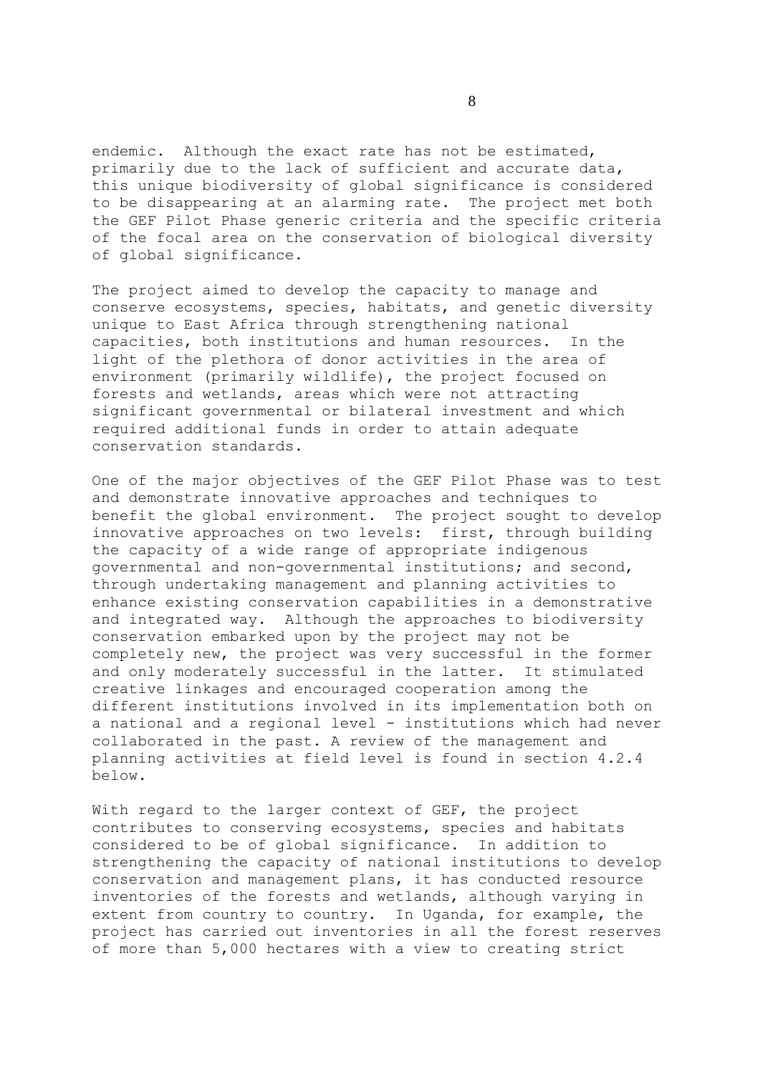endemic. Although the exact rate has not be estimated, primarily due to the lack of sufficient and accurate data, this unique biodiversity of global significance is considered to be disappearing at an alarming rate. The project met both the GEF Pilot Phase generic criteria and the specific criteria of the focal area on the conservation of biological diversity of global significance.

The project aimed to develop the capacity to manage and conserve ecosystems, species, habitats, and genetic diversity unique to East Africa through strengthening national capacities, both institutions and human resources. In the light of the plethora of donor activities in the area of environment (primarily wildlife), the project focused on forests and wetlands, areas which were not attracting significant governmental or bilateral investment and which required additional funds in order to attain adequate conservation standards.

One of the major objectives of the GEF Pilot Phase was to test and demonstrate innovative approaches and techniques to benefit the global environment. The project sought to develop innovative approaches on two levels: first, through building the capacity of a wide range of appropriate indigenous governmental and non-governmental institutions; and second, through undertaking management and planning activities to enhance existing conservation capabilities in a demonstrative and integrated way. Although the approaches to biodiversity conservation embarked upon by the project may not be completely new, the project was very successful in the former and only moderately successful in the latter. It stimulated creative linkages and encouraged cooperation among the different institutions involved in its implementation both on a national and a regional level - institutions which had never collaborated in the past. A review of the management and planning activities at field level is found in section 4.2.4 below.

With regard to the larger context of GEF, the project contributes to conserving ecosystems, species and habitats considered to be of global significance. In addition to strengthening the capacity of national institutions to develop conservation and management plans, it has conducted resource inventories of the forests and wetlands, although varying in extent from country to country. In Uganda, for example, the project has carried out inventories in all the forest reserves of more than 5,000 hectares with a view to creating strict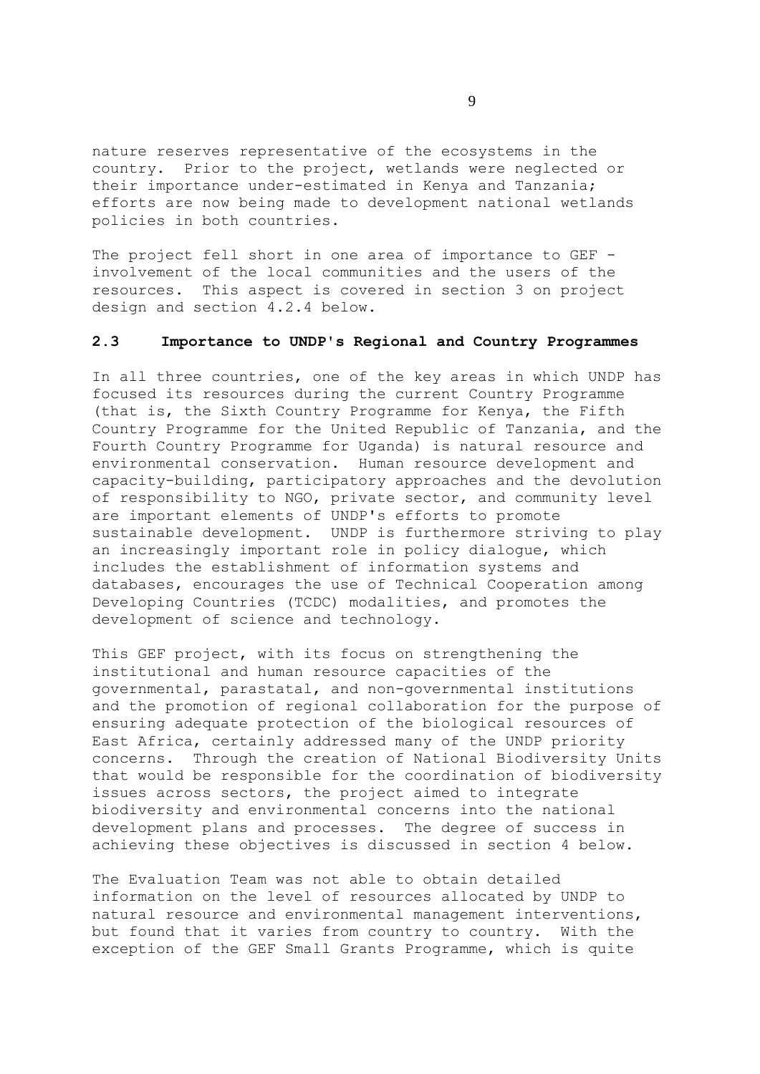nature reserves representative of the ecosystems in the country. Prior to the project, wetlands were neglected or their importance under-estimated in Kenya and Tanzania; efforts are now being made to development national wetlands policies in both countries.

The project fell short in one area of importance to GEF involvement of the local communities and the users of the resources. This aspect is covered in section 3 on project design and section 4.2.4 below.

## **2.3 Importance to UNDP's Regional and Country Programmes**

In all three countries, one of the key areas in which UNDP has focused its resources during the current Country Programme (that is, the Sixth Country Programme for Kenya, the Fifth Country Programme for the United Republic of Tanzania, and the Fourth Country Programme for Uganda) is natural resource and environmental conservation. Human resource development and capacity-building, participatory approaches and the devolution of responsibility to NGO, private sector, and community level are important elements of UNDP's efforts to promote sustainable development. UNDP is furthermore striving to play an increasingly important role in policy dialogue, which includes the establishment of information systems and databases, encourages the use of Technical Cooperation among Developing Countries (TCDC) modalities, and promotes the development of science and technology.

This GEF project, with its focus on strengthening the institutional and human resource capacities of the governmental, parastatal, and non-governmental institutions and the promotion of regional collaboration for the purpose of ensuring adequate protection of the biological resources of East Africa, certainly addressed many of the UNDP priority concerns. Through the creation of National Biodiversity Units that would be responsible for the coordination of biodiversity issues across sectors, the project aimed to integrate biodiversity and environmental concerns into the national development plans and processes. The degree of success in achieving these objectives is discussed in section 4 below.

The Evaluation Team was not able to obtain detailed information on the level of resources allocated by UNDP to natural resource and environmental management interventions, but found that it varies from country to country. With the exception of the GEF Small Grants Programme, which is quite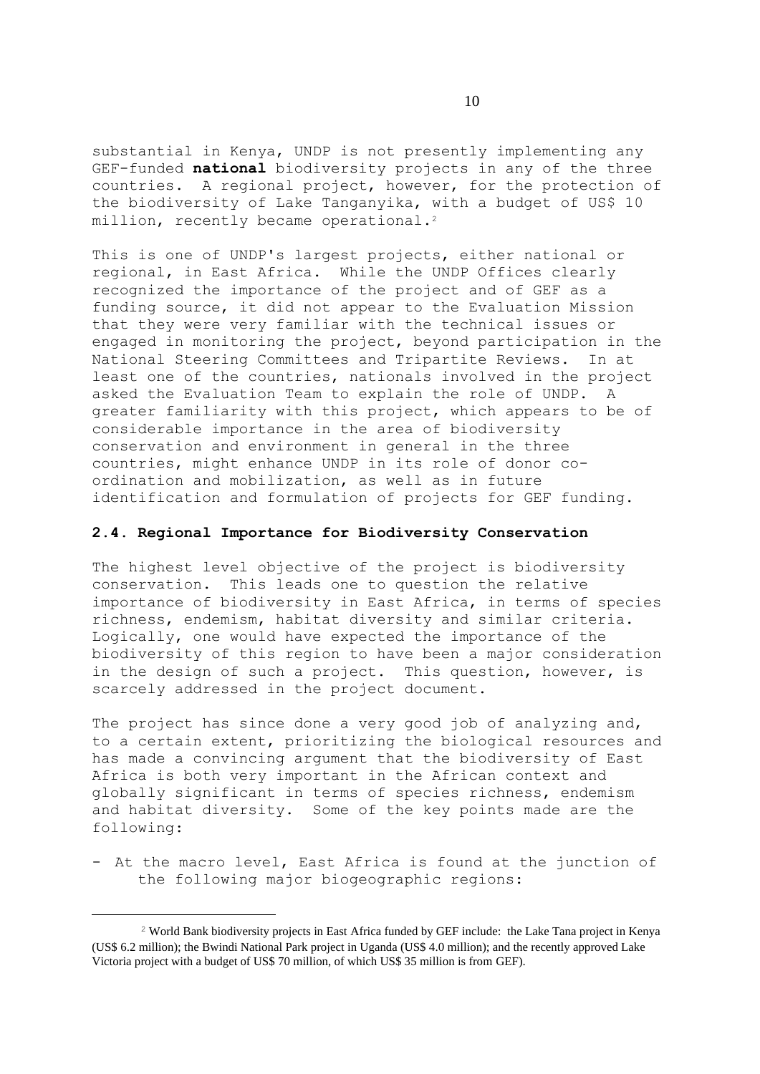substantial in Kenya, UNDP is not presently implementing any GEF-funded **national** biodiversity projects in any of the three countries. A regional project, however, for the protection of the biodiversity of Lake Tanganyika, with a budget of US\$ 10 million, recently became operational.<sup>2</sup>

This is one of UNDP's largest projects, either national or regional, in East Africa. While the UNDP Offices clearly recognized the importance of the project and of GEF as a funding source, it did not appear to the Evaluation Mission that they were very familiar with the technical issues or engaged in monitoring the project, beyond participation in the National Steering Committees and Tripartite Reviews. In at least one of the countries, nationals involved in the project asked the Evaluation Team to explain the role of UNDP. A greater familiarity with this project, which appears to be of considerable importance in the area of biodiversity conservation and environment in general in the three countries, might enhance UNDP in its role of donor coordination and mobilization, as well as in future identification and formulation of projects for GEF funding.

### **2.4. Regional Importance for Biodiversity Conservation**

The highest level objective of the project is biodiversity conservation. This leads one to question the relative importance of biodiversity in East Africa, in terms of species richness, endemism, habitat diversity and similar criteria. Logically, one would have expected the importance of the biodiversity of this region to have been a major consideration in the design of such a project. This question, however, is scarcely addressed in the project document.

The project has since done a very good job of analyzing and, to a certain extent, prioritizing the biological resources and has made a convincing argument that the biodiversity of East Africa is both very important in the African context and globally significant in terms of species richness, endemism and habitat diversity. Some of the key points made are the following:

- At the macro level, East Africa is found at the junction of the following major biogeographic regions:

<sup>2</sup> World Bank biodiversity projects in East Africa funded by GEF include: the Lake Tana project in Kenya (US\$ 6.2 million); the Bwindi National Park project in Uganda (US\$ 4.0 million); and the recently approved Lake Victoria project with a budget of US\$ 70 million, of which US\$ 35 million is from GEF).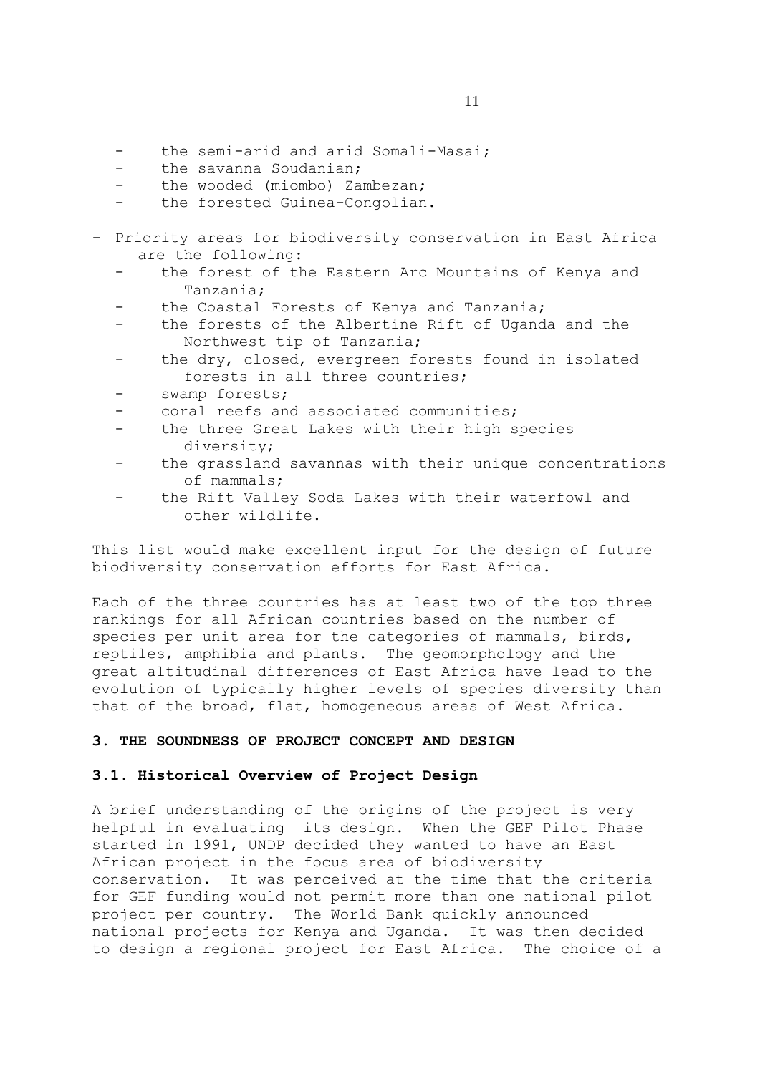- 
- the semi-arid and arid Somali-Masai;
- the savanna Soudanian:
- the wooded (miombo) Zambezan;
- the forested Guinea-Congolian.
- Priority areas for biodiversity conservation in East Africa are the following:
	- the forest of the Eastern Arc Mountains of Kenya and Tanzania;
	- the Coastal Forests of Kenya and Tanzania;
	- the forests of the Albertine Rift of Uganda and the Northwest tip of Tanzania;
	- the dry, closed, evergreen forests found in isolated forests in all three countries;
	- swamp forests;
	- coral reefs and associated communities;
	- the three Great Lakes with their high species diversity;
	- the grassland savannas with their unique concentrations of mammals;
	- the Rift Valley Soda Lakes with their waterfowl and other wildlife.

This list would make excellent input for the design of future biodiversity conservation efforts for East Africa.

Each of the three countries has at least two of the top three rankings for all African countries based on the number of species per unit area for the categories of mammals, birds, reptiles, amphibia and plants. The geomorphology and the great altitudinal differences of East Africa have lead to the evolution of typically higher levels of species diversity than that of the broad, flat, homogeneous areas of West Africa.

# **3. THE SOUNDNESS OF PROJECT CONCEPT AND DESIGN**

## **3.1. Historical Overview of Project Design**

A brief understanding of the origins of the project is very helpful in evaluating its design. When the GEF Pilot Phase started in 1991, UNDP decided they wanted to have an East African project in the focus area of biodiversity conservation. It was perceived at the time that the criteria for GEF funding would not permit more than one national pilot project per country. The World Bank quickly announced national projects for Kenya and Uganda. It was then decided to design a regional project for East Africa. The choice of a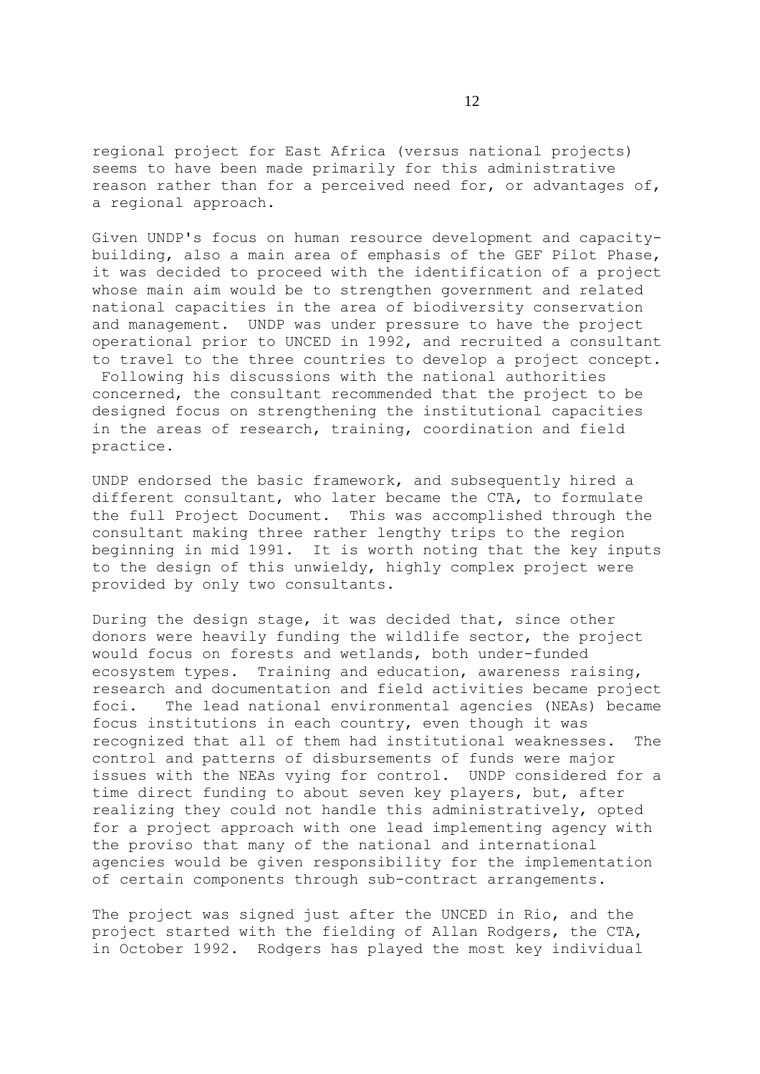regional project for East Africa (versus national projects) seems to have been made primarily for this administrative reason rather than for a perceived need for, or advantages of, a regional approach.

Given UNDP's focus on human resource development and capacitybuilding, also a main area of emphasis of the GEF Pilot Phase, it was decided to proceed with the identification of a project whose main aim would be to strengthen government and related national capacities in the area of biodiversity conservation and management. UNDP was under pressure to have the project operational prior to UNCED in 1992, and recruited a consultant to travel to the three countries to develop a project concept. Following his discussions with the national authorities concerned, the consultant recommended that the project to be designed focus on strengthening the institutional capacities in the areas of research, training, coordination and field practice.

UNDP endorsed the basic framework, and subsequently hired a different consultant, who later became the CTA, to formulate the full Project Document. This was accomplished through the consultant making three rather lengthy trips to the region beginning in mid 1991. It is worth noting that the key inputs to the design of this unwieldy, highly complex project were provided by only two consultants.

During the design stage, it was decided that, since other donors were heavily funding the wildlife sector, the project would focus on forests and wetlands, both under-funded ecosystem types. Training and education, awareness raising, research and documentation and field activities became project foci. The lead national environmental agencies (NEAs) became focus institutions in each country, even though it was recognized that all of them had institutional weaknesses. The control and patterns of disbursements of funds were major issues with the NEAs vying for control. UNDP considered for a time direct funding to about seven key players, but, after realizing they could not handle this administratively, opted for a project approach with one lead implementing agency with the proviso that many of the national and international agencies would be given responsibility for the implementation of certain components through sub-contract arrangements.

The project was signed just after the UNCED in Rio, and the project started with the fielding of Allan Rodgers, the CTA, in October 1992. Rodgers has played the most key individual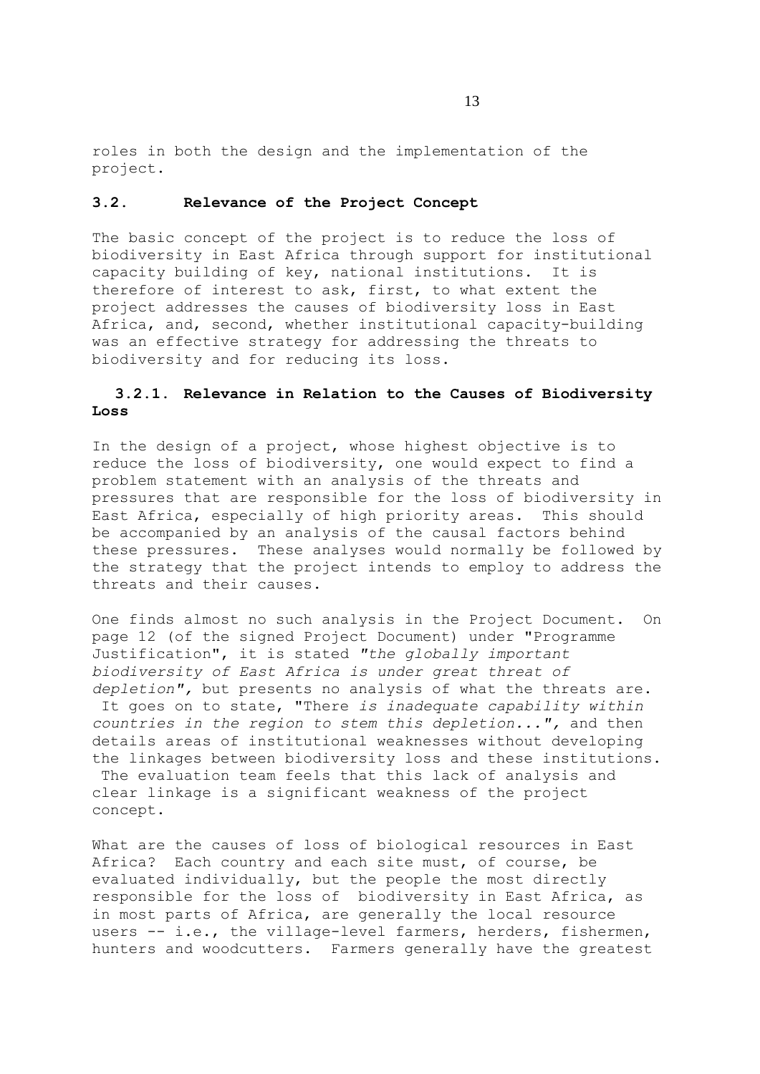roles in both the design and the implementation of the project.

### **3.2. Relevance of the Project Concept**

The basic concept of the project is to reduce the loss of biodiversity in East Africa through support for institutional capacity building of key, national institutions. It is therefore of interest to ask, first, to what extent the project addresses the causes of biodiversity loss in East Africa, and, second, whether institutional capacity-building was an effective strategy for addressing the threats to biodiversity and for reducing its loss.

## **3.2.1. Relevance in Relation to the Causes of Biodiversity Loss**

In the design of a project, whose highest objective is to reduce the loss of biodiversity, one would expect to find a problem statement with an analysis of the threats and pressures that are responsible for the loss of biodiversity in East Africa, especially of high priority areas. This should be accompanied by an analysis of the causal factors behind these pressures. These analyses would normally be followed by the strategy that the project intends to employ to address the threats and their causes.

One finds almost no such analysis in the Project Document. On page 12 (of the signed Project Document) under "Programme Justification", it is stated *"the globally important biodiversity of East Africa is under great threat of depletion",* but presents no analysis of what the threats are. It goes on to state, "There *is inadequate capability within countries in the region to stem this depletion...",* and then details areas of institutional weaknesses without developing

the linkages between biodiversity loss and these institutions. The evaluation team feels that this lack of analysis and clear linkage is a significant weakness of the project concept.

What are the causes of loss of biological resources in East Africa? Each country and each site must, of course, be evaluated individually, but the people the most directly responsible for the loss of biodiversity in East Africa, as in most parts of Africa, are generally the local resource users -- i.e., the village-level farmers, herders, fishermen, hunters and woodcutters. Farmers generally have the greatest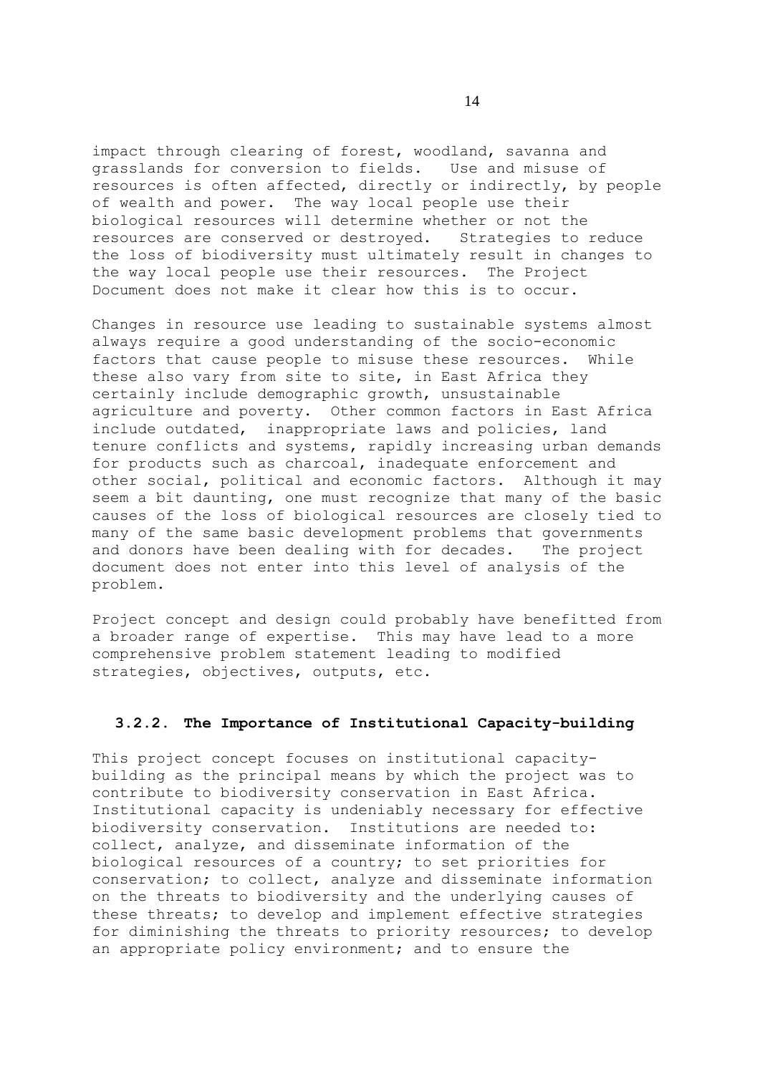impact through clearing of forest, woodland, savanna and grasslands for conversion to fields. Use and misuse of resources is often affected, directly or indirectly, by people of wealth and power. The way local people use their biological resources will determine whether or not the resources are conserved or destroyed. Strategies to reduce the loss of biodiversity must ultimately result in changes to the way local people use their resources. The Project Document does not make it clear how this is to occur.

Changes in resource use leading to sustainable systems almost always require a good understanding of the socio-economic factors that cause people to misuse these resources. While these also vary from site to site, in East Africa they certainly include demographic growth, unsustainable agriculture and poverty. Other common factors in East Africa include outdated, inappropriate laws and policies, land tenure conflicts and systems, rapidly increasing urban demands for products such as charcoal, inadequate enforcement and other social, political and economic factors. Although it may seem a bit daunting, one must recognize that many of the basic causes of the loss of biological resources are closely tied to many of the same basic development problems that governments and donors have been dealing with for decades. The project document does not enter into this level of analysis of the problem.

Project concept and design could probably have benefitted from a broader range of expertise. This may have lead to a more comprehensive problem statement leading to modified strategies, objectives, outputs, etc.

### **3.2.2. The Importance of Institutional Capacity-building**

This project concept focuses on institutional capacitybuilding as the principal means by which the project was to contribute to biodiversity conservation in East Africa. Institutional capacity is undeniably necessary for effective biodiversity conservation. Institutions are needed to: collect, analyze, and disseminate information of the biological resources of a country; to set priorities for conservation; to collect, analyze and disseminate information on the threats to biodiversity and the underlying causes of these threats; to develop and implement effective strategies for diminishing the threats to priority resources; to develop an appropriate policy environment; and to ensure the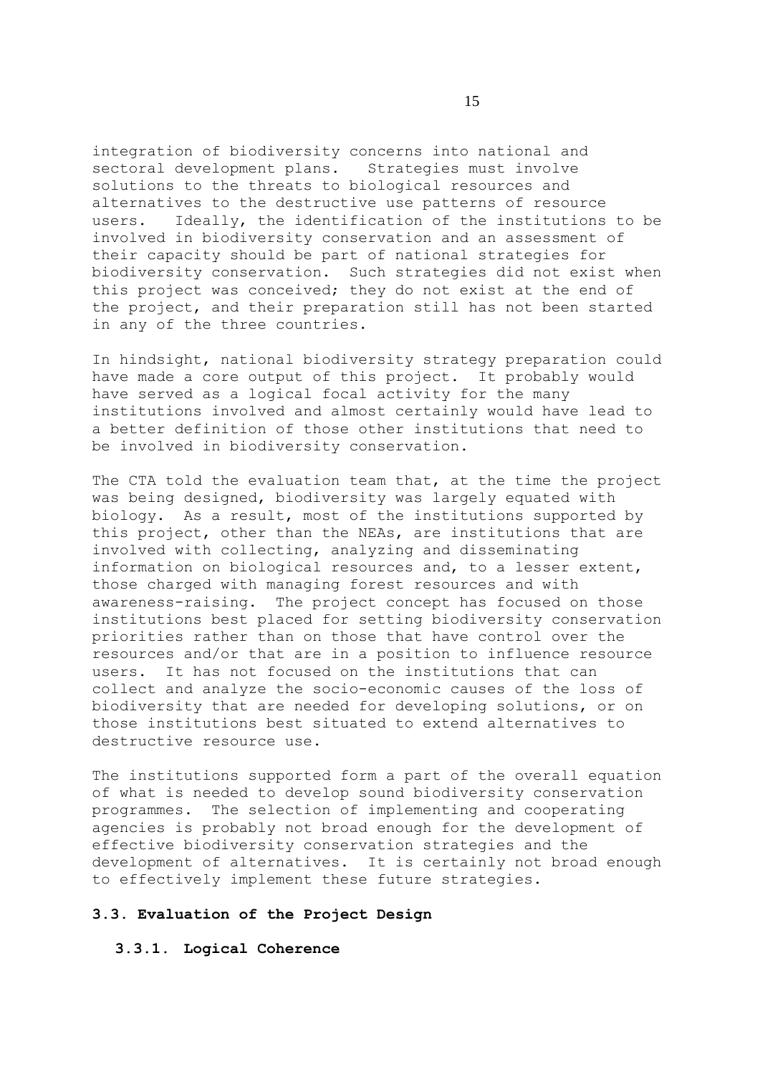integration of biodiversity concerns into national and sectoral development plans. Strategies must involve solutions to the threats to biological resources and alternatives to the destructive use patterns of resource users. Ideally, the identification of the institutions to be involved in biodiversity conservation and an assessment of their capacity should be part of national strategies for biodiversity conservation. Such strategies did not exist when this project was conceived; they do not exist at the end of the project, and their preparation still has not been started in any of the three countries.

In hindsight, national biodiversity strategy preparation could have made a core output of this project. It probably would have served as a logical focal activity for the many institutions involved and almost certainly would have lead to a better definition of those other institutions that need to be involved in biodiversity conservation.

The CTA told the evaluation team that, at the time the project was being designed, biodiversity was largely equated with biology. As a result, most of the institutions supported by this project, other than the NEAs, are institutions that are involved with collecting, analyzing and disseminating information on biological resources and, to a lesser extent, those charged with managing forest resources and with awareness-raising. The project concept has focused on those institutions best placed for setting biodiversity conservation priorities rather than on those that have control over the resources and/or that are in a position to influence resource users. It has not focused on the institutions that can collect and analyze the socio-economic causes of the loss of biodiversity that are needed for developing solutions, or on those institutions best situated to extend alternatives to destructive resource use.

The institutions supported form a part of the overall equation of what is needed to develop sound biodiversity conservation programmes. The selection of implementing and cooperating agencies is probably not broad enough for the development of effective biodiversity conservation strategies and the development of alternatives. It is certainly not broad enough to effectively implement these future strategies.

## **3.3. Evaluation of the Project Design**

### **3.3.1. Logical Coherence**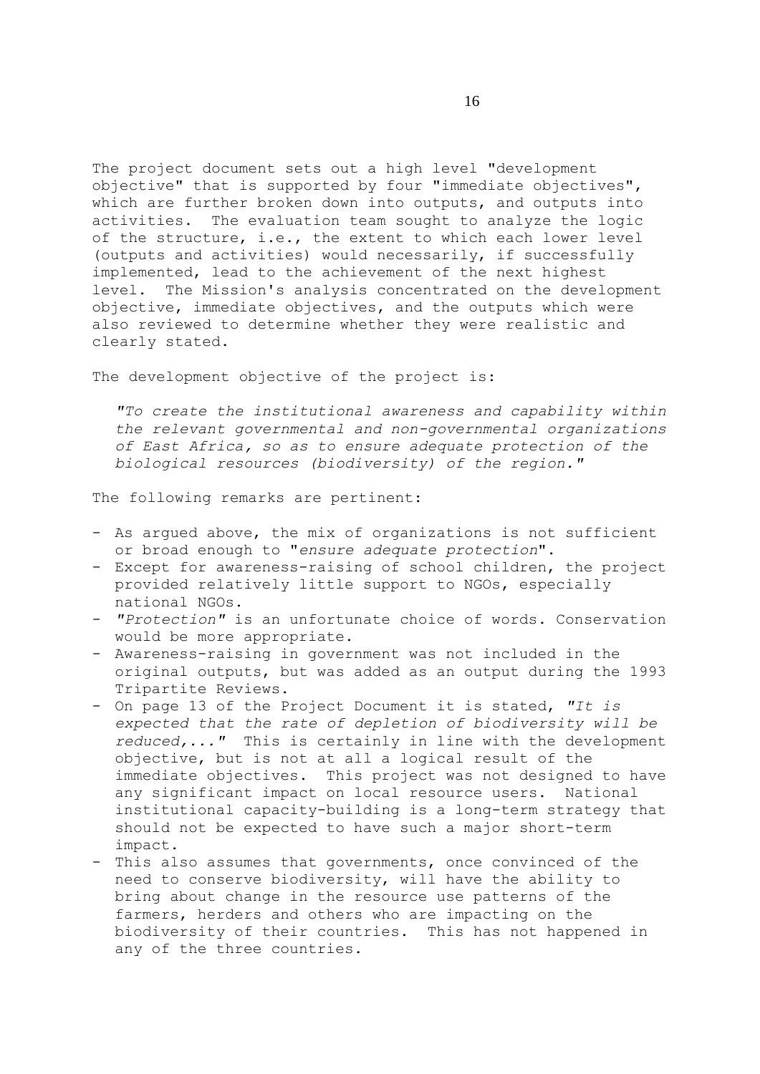The project document sets out a high level "development objective" that is supported by four "immediate objectives", which are further broken down into outputs, and outputs into activities. The evaluation team sought to analyze the logic of the structure, i.e., the extent to which each lower level (outputs and activities) would necessarily, if successfully implemented, lead to the achievement of the next highest level. The Mission's analysis concentrated on the development objective, immediate objectives, and the outputs which were also reviewed to determine whether they were realistic and clearly stated.

The development objective of the project is:

*"To create the institutional awareness and capability within the relevant governmental and non-governmental organizations of East Africa, so as to ensure adequate protection of the biological resources (biodiversity) of the region."*

The following remarks are pertinent:

- As argued above, the mix of organizations is not sufficient or broad enough to "*ensure adequate protection*".
- Except for awareness-raising of school children, the project provided relatively little support to NGOs, especially national NGOs.
- *"Protection"* is an unfortunate choice of words. Conservation would be more appropriate.
- Awareness-raising in government was not included in the original outputs, but was added as an output during the 1993 Tripartite Reviews.
- On page 13 of the Project Document it is stated, *"It is expected that the rate of depletion of biodiversity will be reduced,..."* This is certainly in line with the development objective, but is not at all a logical result of the immediate objectives. This project was not designed to have any significant impact on local resource users. National institutional capacity-building is a long-term strategy that should not be expected to have such a major short-term impact.
- This also assumes that governments, once convinced of the need to conserve biodiversity, will have the ability to bring about change in the resource use patterns of the farmers, herders and others who are impacting on the biodiversity of their countries. This has not happened in any of the three countries.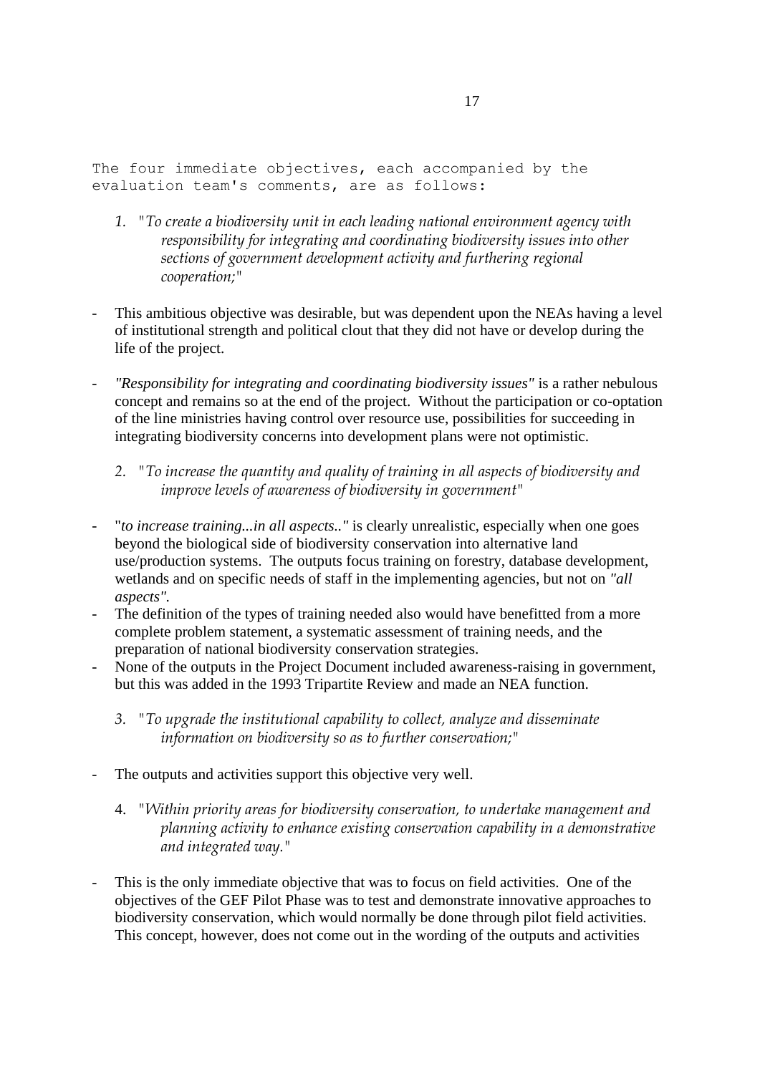The four immediate objectives, each accompanied by the evaluation team's comments, are as follows:

- *1. "To create a biodiversity unit in each leading national environment agency with responsibility for integrating and coordinating biodiversity issues into other sections of government development activity and furthering regional cooperation;"*
- This ambitious objective was desirable, but was dependent upon the NEAs having a level of institutional strength and political clout that they did not have or develop during the life of the project.
- *"Responsibility for integrating and coordinating biodiversity issues"* is a rather nebulous concept and remains so at the end of the project. Without the participation or co-optation of the line ministries having control over resource use, possibilities for succeeding in integrating biodiversity concerns into development plans were not optimistic.
	- *2. "To increase the quantity and quality of training in all aspects of biodiversity and improve levels of awareness of biodiversity in government"*
- "*to increase training...in all aspects.."* is clearly unrealistic, especially when one goes beyond the biological side of biodiversity conservation into alternative land use/production systems. The outputs focus training on forestry, database development, wetlands and on specific needs of staff in the implementing agencies, but not on *"all aspects".*
- The definition of the types of training needed also would have benefitted from a more complete problem statement, a systematic assessment of training needs, and the preparation of national biodiversity conservation strategies.
- None of the outputs in the Project Document included awareness-raising in government, but this was added in the 1993 Tripartite Review and made an NEA function.
	- *3. "To upgrade the institutional capability to collect, analyze and disseminate information on biodiversity so as to further conservation;"*
- The outputs and activities support this objective very well.
	- 4. *"Within priority areas for biodiversity conservation, to undertake management and planning activity to enhance existing conservation capability in a demonstrative and integrated way."*
- This is the only immediate objective that was to focus on field activities. One of the objectives of the GEF Pilot Phase was to test and demonstrate innovative approaches to biodiversity conservation, which would normally be done through pilot field activities. This concept, however, does not come out in the wording of the outputs and activities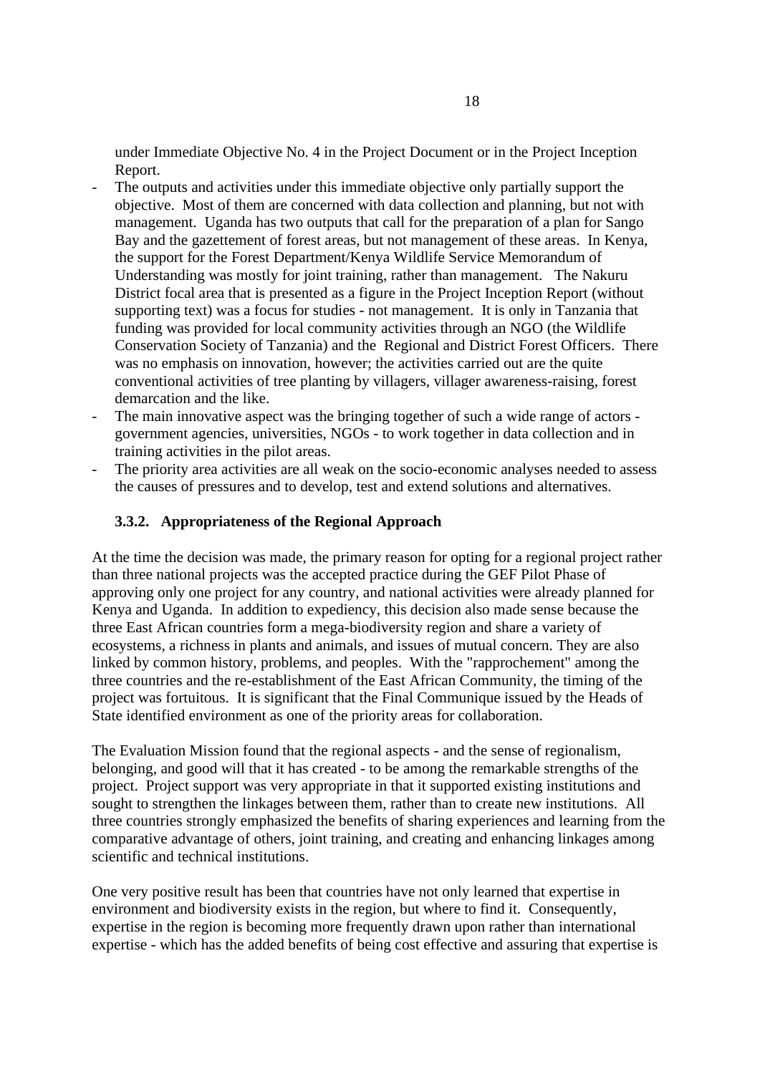under Immediate Objective No. 4 in the Project Document or in the Project Inception Report.

- The outputs and activities under this immediate objective only partially support the objective. Most of them are concerned with data collection and planning, but not with management. Uganda has two outputs that call for the preparation of a plan for Sango Bay and the gazettement of forest areas, but not management of these areas. In Kenya, the support for the Forest Department/Kenya Wildlife Service Memorandum of Understanding was mostly for joint training, rather than management. The Nakuru District focal area that is presented as a figure in the Project Inception Report (without supporting text) was a focus for studies - not management. It is only in Tanzania that funding was provided for local community activities through an NGO (the Wildlife Conservation Society of Tanzania) and the Regional and District Forest Officers. There was no emphasis on innovation, however; the activities carried out are the quite conventional activities of tree planting by villagers, villager awareness-raising, forest demarcation and the like.
- The main innovative aspect was the bringing together of such a wide range of actors government agencies, universities, NGOs - to work together in data collection and in training activities in the pilot areas.
- The priority area activities are all weak on the socio-economic analyses needed to assess the causes of pressures and to develop, test and extend solutions and alternatives.

# **3.3.2. Appropriateness of the Regional Approach**

At the time the decision was made, the primary reason for opting for a regional project rather than three national projects was the accepted practice during the GEF Pilot Phase of approving only one project for any country, and national activities were already planned for Kenya and Uganda. In addition to expediency, this decision also made sense because the three East African countries form a mega-biodiversity region and share a variety of ecosystems, a richness in plants and animals, and issues of mutual concern. They are also linked by common history, problems, and peoples. With the "rapprochement" among the three countries and the re-establishment of the East African Community, the timing of the project was fortuitous. It is significant that the Final Communique issued by the Heads of State identified environment as one of the priority areas for collaboration.

The Evaluation Mission found that the regional aspects - and the sense of regionalism, belonging, and good will that it has created - to be among the remarkable strengths of the project. Project support was very appropriate in that it supported existing institutions and sought to strengthen the linkages between them, rather than to create new institutions. All three countries strongly emphasized the benefits of sharing experiences and learning from the comparative advantage of others, joint training, and creating and enhancing linkages among scientific and technical institutions.

One very positive result has been that countries have not only learned that expertise in environment and biodiversity exists in the region, but where to find it. Consequently, expertise in the region is becoming more frequently drawn upon rather than international expertise - which has the added benefits of being cost effective and assuring that expertise is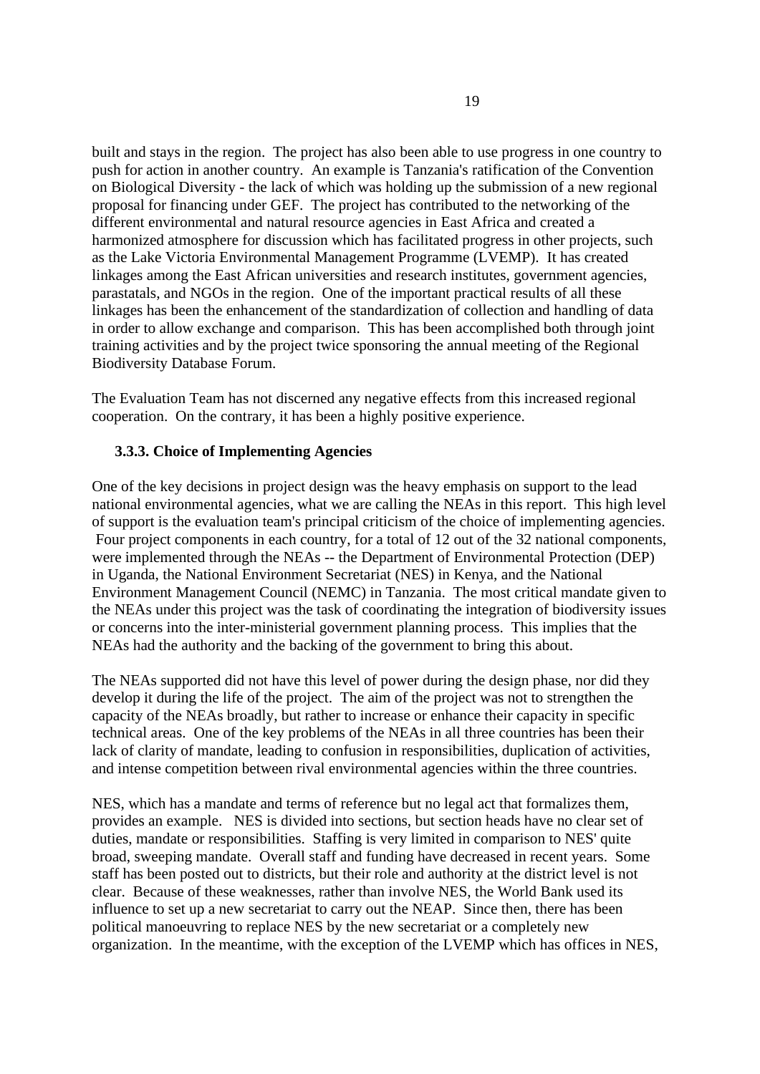built and stays in the region. The project has also been able to use progress in one country to push for action in another country. An example is Tanzania's ratification of the Convention on Biological Diversity - the lack of which was holding up the submission of a new regional proposal for financing under GEF. The project has contributed to the networking of the different environmental and natural resource agencies in East Africa and created a harmonized atmosphere for discussion which has facilitated progress in other projects, such as the Lake Victoria Environmental Management Programme (LVEMP). It has created linkages among the East African universities and research institutes, government agencies, parastatals, and NGOs in the region. One of the important practical results of all these linkages has been the enhancement of the standardization of collection and handling of data in order to allow exchange and comparison. This has been accomplished both through joint training activities and by the project twice sponsoring the annual meeting of the Regional Biodiversity Database Forum.

The Evaluation Team has not discerned any negative effects from this increased regional cooperation. On the contrary, it has been a highly positive experience.

## **3.3.3. Choice of Implementing Agencies**

One of the key decisions in project design was the heavy emphasis on support to the lead national environmental agencies, what we are calling the NEAs in this report. This high level of support is the evaluation team's principal criticism of the choice of implementing agencies. Four project components in each country, for a total of 12 out of the 32 national components, were implemented through the NEAs -- the Department of Environmental Protection (DEP) in Uganda, the National Environment Secretariat (NES) in Kenya, and the National Environment Management Council (NEMC) in Tanzania. The most critical mandate given to the NEAs under this project was the task of coordinating the integration of biodiversity issues or concerns into the inter-ministerial government planning process. This implies that the NEAs had the authority and the backing of the government to bring this about.

The NEAs supported did not have this level of power during the design phase, nor did they develop it during the life of the project. The aim of the project was not to strengthen the capacity of the NEAs broadly, but rather to increase or enhance their capacity in specific technical areas. One of the key problems of the NEAs in all three countries has been their lack of clarity of mandate, leading to confusion in responsibilities, duplication of activities, and intense competition between rival environmental agencies within the three countries.

NES, which has a mandate and terms of reference but no legal act that formalizes them, provides an example. NES is divided into sections, but section heads have no clear set of duties, mandate or responsibilities. Staffing is very limited in comparison to NES' quite broad, sweeping mandate. Overall staff and funding have decreased in recent years. Some staff has been posted out to districts, but their role and authority at the district level is not clear. Because of these weaknesses, rather than involve NES, the World Bank used its influence to set up a new secretariat to carry out the NEAP. Since then, there has been political manoeuvring to replace NES by the new secretariat or a completely new organization. In the meantime, with the exception of the LVEMP which has offices in NES,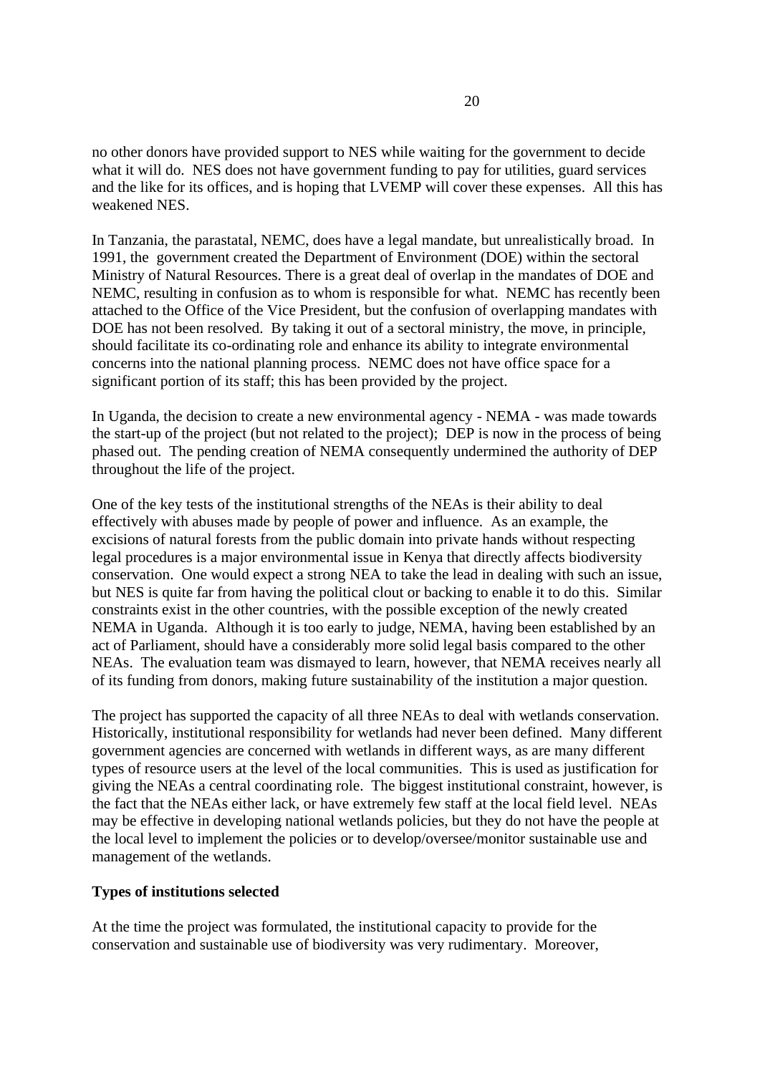no other donors have provided support to NES while waiting for the government to decide what it will do. NES does not have government funding to pay for utilities, guard services and the like for its offices, and is hoping that LVEMP will cover these expenses. All this has weakened NES.

In Tanzania, the parastatal, NEMC, does have a legal mandate, but unrealistically broad. In 1991, the government created the Department of Environment (DOE) within the sectoral Ministry of Natural Resources. There is a great deal of overlap in the mandates of DOE and NEMC, resulting in confusion as to whom is responsible for what. NEMC has recently been attached to the Office of the Vice President, but the confusion of overlapping mandates with DOE has not been resolved. By taking it out of a sectoral ministry, the move, in principle, should facilitate its co-ordinating role and enhance its ability to integrate environmental concerns into the national planning process. NEMC does not have office space for a significant portion of its staff; this has been provided by the project.

In Uganda, the decision to create a new environmental agency - NEMA - was made towards the start-up of the project (but not related to the project); DEP is now in the process of being phased out. The pending creation of NEMA consequently undermined the authority of DEP throughout the life of the project.

One of the key tests of the institutional strengths of the NEAs is their ability to deal effectively with abuses made by people of power and influence. As an example, the excisions of natural forests from the public domain into private hands without respecting legal procedures is a major environmental issue in Kenya that directly affects biodiversity conservation. One would expect a strong NEA to take the lead in dealing with such an issue, but NES is quite far from having the political clout or backing to enable it to do this. Similar constraints exist in the other countries, with the possible exception of the newly created NEMA in Uganda. Although it is too early to judge, NEMA, having been established by an act of Parliament, should have a considerably more solid legal basis compared to the other NEAs. The evaluation team was dismayed to learn, however, that NEMA receives nearly all of its funding from donors, making future sustainability of the institution a major question.

The project has supported the capacity of all three NEAs to deal with wetlands conservation. Historically, institutional responsibility for wetlands had never been defined. Many different government agencies are concerned with wetlands in different ways, as are many different types of resource users at the level of the local communities. This is used as justification for giving the NEAs a central coordinating role. The biggest institutional constraint, however, is the fact that the NEAs either lack, or have extremely few staff at the local field level. NEAs may be effective in developing national wetlands policies, but they do not have the people at the local level to implement the policies or to develop/oversee/monitor sustainable use and management of the wetlands.

# **Types of institutions selected**

At the time the project was formulated, the institutional capacity to provide for the conservation and sustainable use of biodiversity was very rudimentary. Moreover,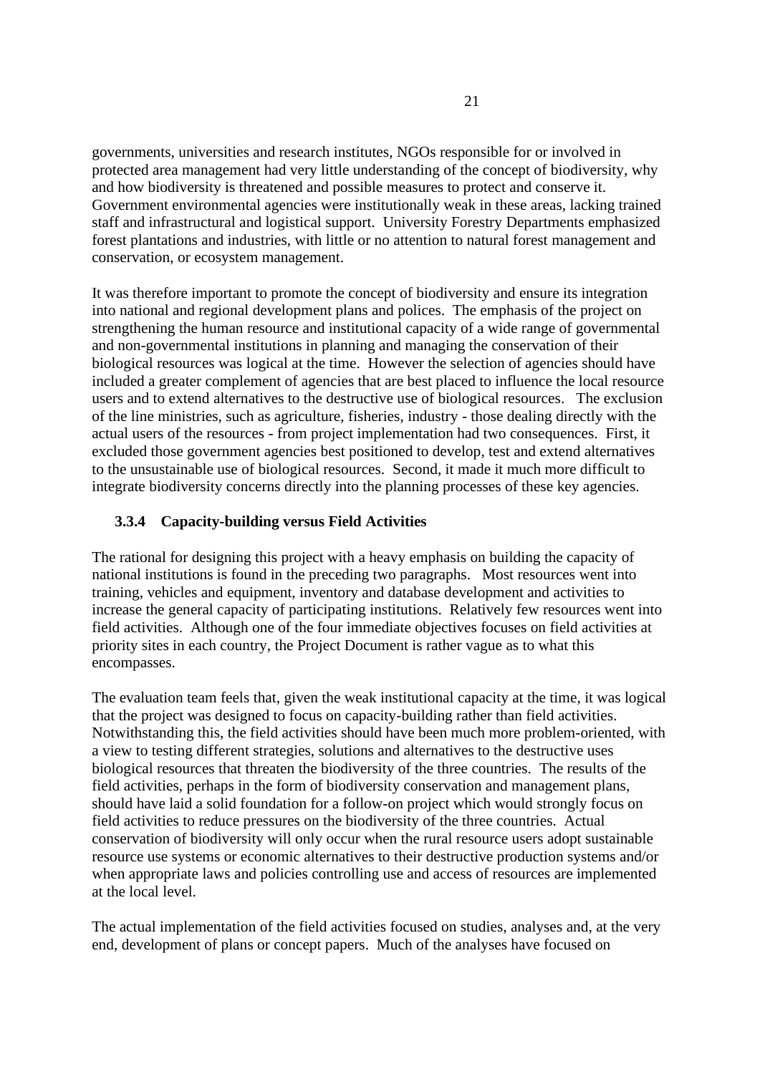governments, universities and research institutes, NGOs responsible for or involved in protected area management had very little understanding of the concept of biodiversity, why and how biodiversity is threatened and possible measures to protect and conserve it. Government environmental agencies were institutionally weak in these areas, lacking trained staff and infrastructural and logistical support. University Forestry Departments emphasized forest plantations and industries, with little or no attention to natural forest management and conservation, or ecosystem management.

It was therefore important to promote the concept of biodiversity and ensure its integration into national and regional development plans and polices. The emphasis of the project on strengthening the human resource and institutional capacity of a wide range of governmental and non-governmental institutions in planning and managing the conservation of their biological resources was logical at the time. However the selection of agencies should have included a greater complement of agencies that are best placed to influence the local resource users and to extend alternatives to the destructive use of biological resources. The exclusion of the line ministries, such as agriculture, fisheries, industry - those dealing directly with the actual users of the resources - from project implementation had two consequences. First, it excluded those government agencies best positioned to develop, test and extend alternatives to the unsustainable use of biological resources. Second, it made it much more difficult to integrate biodiversity concerns directly into the planning processes of these key agencies.

# **3.3.4 Capacity-building versus Field Activities**

The rational for designing this project with a heavy emphasis on building the capacity of national institutions is found in the preceding two paragraphs. Most resources went into training, vehicles and equipment, inventory and database development and activities to increase the general capacity of participating institutions. Relatively few resources went into field activities. Although one of the four immediate objectives focuses on field activities at priority sites in each country, the Project Document is rather vague as to what this encompasses.

The evaluation team feels that, given the weak institutional capacity at the time, it was logical that the project was designed to focus on capacity-building rather than field activities. Notwithstanding this, the field activities should have been much more problem-oriented, with a view to testing different strategies, solutions and alternatives to the destructive uses biological resources that threaten the biodiversity of the three countries. The results of the field activities, perhaps in the form of biodiversity conservation and management plans, should have laid a solid foundation for a follow-on project which would strongly focus on field activities to reduce pressures on the biodiversity of the three countries. Actual conservation of biodiversity will only occur when the rural resource users adopt sustainable resource use systems or economic alternatives to their destructive production systems and/or when appropriate laws and policies controlling use and access of resources are implemented at the local level.

The actual implementation of the field activities focused on studies, analyses and, at the very end, development of plans or concept papers. Much of the analyses have focused on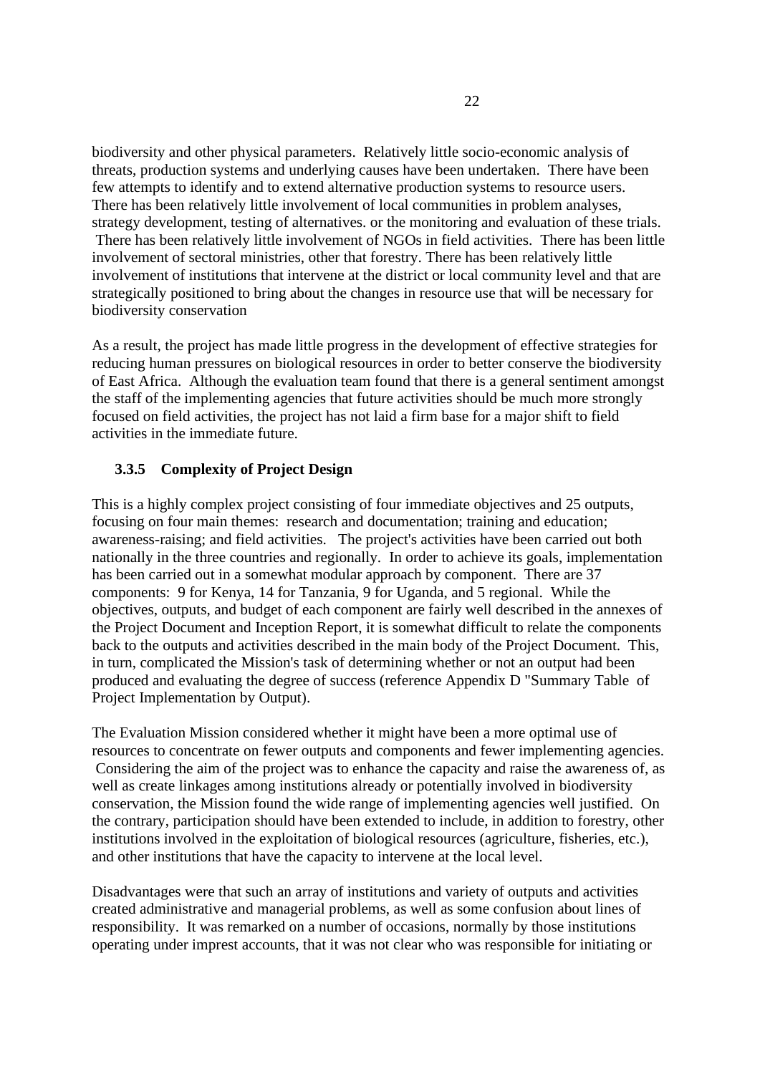biodiversity and other physical parameters. Relatively little socio-economic analysis of threats, production systems and underlying causes have been undertaken. There have been few attempts to identify and to extend alternative production systems to resource users. There has been relatively little involvement of local communities in problem analyses, strategy development, testing of alternatives. or the monitoring and evaluation of these trials. There has been relatively little involvement of NGOs in field activities. There has been little involvement of sectoral ministries, other that forestry. There has been relatively little involvement of institutions that intervene at the district or local community level and that are strategically positioned to bring about the changes in resource use that will be necessary for biodiversity conservation

As a result, the project has made little progress in the development of effective strategies for reducing human pressures on biological resources in order to better conserve the biodiversity of East Africa. Although the evaluation team found that there is a general sentiment amongst the staff of the implementing agencies that future activities should be much more strongly focused on field activities, the project has not laid a firm base for a major shift to field activities in the immediate future.

# **3.3.5 Complexity of Project Design**

This is a highly complex project consisting of four immediate objectives and 25 outputs, focusing on four main themes: research and documentation; training and education; awareness-raising; and field activities. The project's activities have been carried out both nationally in the three countries and regionally. In order to achieve its goals, implementation has been carried out in a somewhat modular approach by component. There are 37 components: 9 for Kenya, 14 for Tanzania, 9 for Uganda, and 5 regional. While the objectives, outputs, and budget of each component are fairly well described in the annexes of the Project Document and Inception Report, it is somewhat difficult to relate the components back to the outputs and activities described in the main body of the Project Document. This, in turn, complicated the Mission's task of determining whether or not an output had been produced and evaluating the degree of success (reference Appendix D "Summary Table of Project Implementation by Output).

The Evaluation Mission considered whether it might have been a more optimal use of resources to concentrate on fewer outputs and components and fewer implementing agencies. Considering the aim of the project was to enhance the capacity and raise the awareness of, as well as create linkages among institutions already or potentially involved in biodiversity conservation, the Mission found the wide range of implementing agencies well justified. On the contrary, participation should have been extended to include, in addition to forestry, other institutions involved in the exploitation of biological resources (agriculture, fisheries, etc.), and other institutions that have the capacity to intervene at the local level.

Disadvantages were that such an array of institutions and variety of outputs and activities created administrative and managerial problems, as well as some confusion about lines of responsibility. It was remarked on a number of occasions, normally by those institutions operating under imprest accounts, that it was not clear who was responsible for initiating or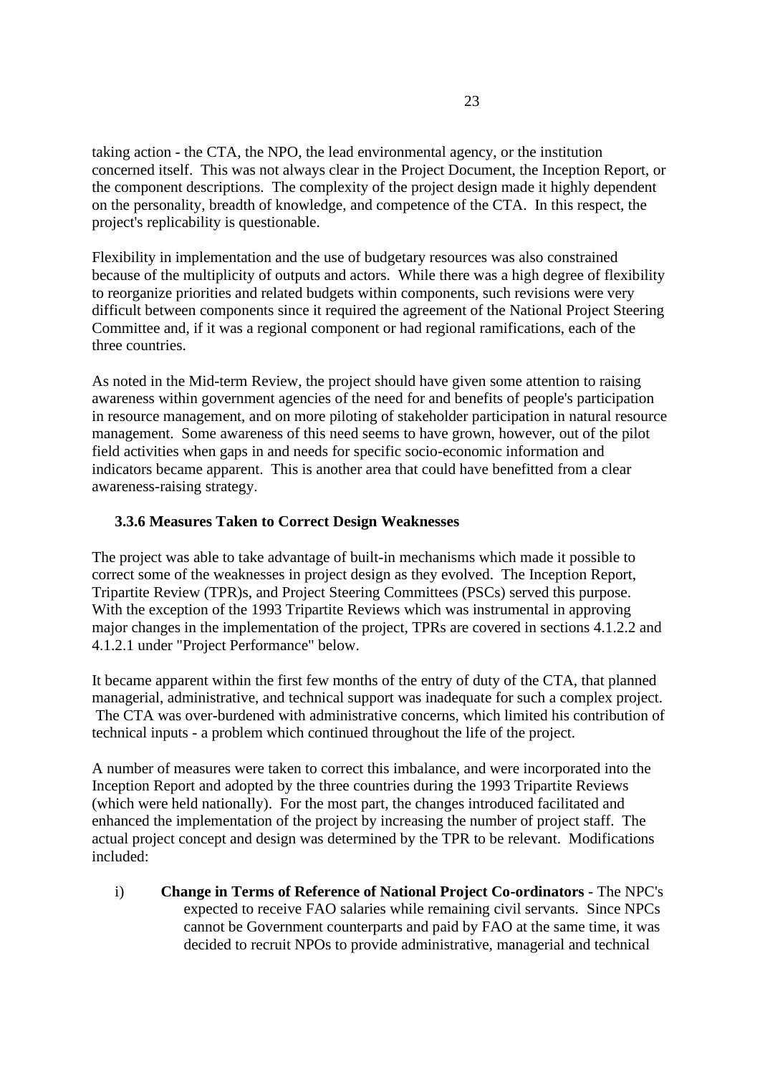taking action - the CTA, the NPO, the lead environmental agency, or the institution concerned itself. This was not always clear in the Project Document, the Inception Report, or the component descriptions. The complexity of the project design made it highly dependent on the personality, breadth of knowledge, and competence of the CTA. In this respect, the project's replicability is questionable.

Flexibility in implementation and the use of budgetary resources was also constrained because of the multiplicity of outputs and actors. While there was a high degree of flexibility to reorganize priorities and related budgets within components, such revisions were very difficult between components since it required the agreement of the National Project Steering Committee and, if it was a regional component or had regional ramifications, each of the three countries.

As noted in the Mid-term Review, the project should have given some attention to raising awareness within government agencies of the need for and benefits of people's participation in resource management, and on more piloting of stakeholder participation in natural resource management. Some awareness of this need seems to have grown, however, out of the pilot field activities when gaps in and needs for specific socio-economic information and indicators became apparent. This is another area that could have benefitted from a clear awareness-raising strategy.

# **3.3.6 Measures Taken to Correct Design Weaknesses**

The project was able to take advantage of built-in mechanisms which made it possible to correct some of the weaknesses in project design as they evolved. The Inception Report, Tripartite Review (TPR)s, and Project Steering Committees (PSCs) served this purpose. With the exception of the 1993 Tripartite Reviews which was instrumental in approving major changes in the implementation of the project, TPRs are covered in sections 4.1.2.2 and 4.1.2.1 under "Project Performance" below.

It became apparent within the first few months of the entry of duty of the CTA, that planned managerial, administrative, and technical support was inadequate for such a complex project. The CTA was over-burdened with administrative concerns, which limited his contribution of technical inputs - a problem which continued throughout the life of the project.

A number of measures were taken to correct this imbalance, and were incorporated into the Inception Report and adopted by the three countries during the 1993 Tripartite Reviews (which were held nationally). For the most part, the changes introduced facilitated and enhanced the implementation of the project by increasing the number of project staff. The actual project concept and design was determined by the TPR to be relevant. Modifications included:

i) **Change in Terms of Reference of National Project Co-ordinators** - The NPC's expected to receive FAO salaries while remaining civil servants.Since NPCs cannot be Government counterparts and paid by FAO at the same time, it was decided to recruit NPOs to provide administrative, managerial and technical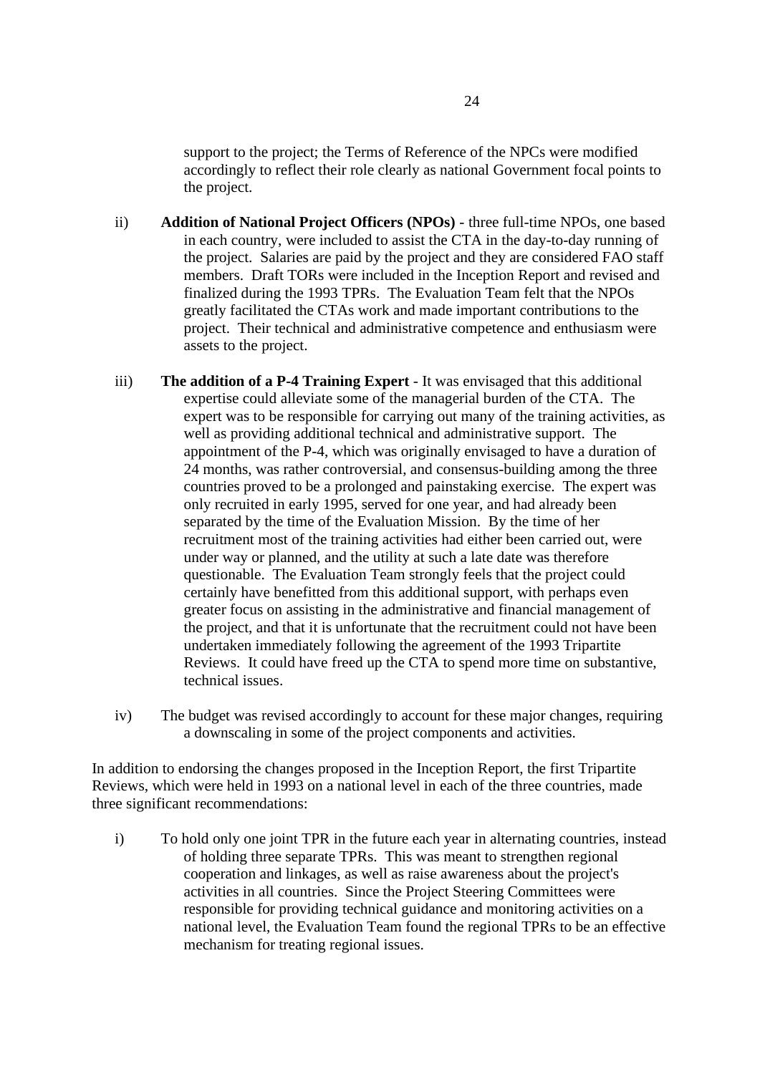support to the project; the Terms of Reference of the NPCs were modified accordingly to reflect their role clearly as national Government focal points to the project.

- ii) **Addition of National Project Officers (NPOs)** three full-time NPOs, one based in each country, were included to assist the CTA in the day-to-day running of the project. Salaries are paid by the project and they are considered FAO staff members. Draft TORs were included in the Inception Report and revised and finalized during the 1993 TPRs. The Evaluation Team felt that the NPOs greatly facilitated the CTAs work and made important contributions to the project. Their technical and administrative competence and enthusiasm were assets to the project.
- iii) **The addition of a P-4 Training Expert** It was envisaged that this additional expertise could alleviate some of the managerial burden of the CTA. The expert was to be responsible for carrying out many of the training activities, as well as providing additional technical and administrative support. The appointment of the P-4, which was originally envisaged to have a duration of 24 months, was rather controversial, and consensus-building among the three countries proved to be a prolonged and painstaking exercise. The expert was only recruited in early 1995, served for one year, and had already been separated by the time of the Evaluation Mission. By the time of her recruitment most of the training activities had either been carried out, were under way or planned, and the utility at such a late date was therefore questionable. The Evaluation Team strongly feels that the project could certainly have benefitted from this additional support, with perhaps even greater focus on assisting in the administrative and financial management of the project, and that it is unfortunate that the recruitment could not have been undertaken immediately following the agreement of the 1993 Tripartite Reviews. It could have freed up the CTA to spend more time on substantive, technical issues.
- iv) The budget was revised accordingly to account for these major changes, requiring a downscaling in some of the project components and activities.

In addition to endorsing the changes proposed in the Inception Report, the first Tripartite Reviews, which were held in 1993 on a national level in each of the three countries, made three significant recommendations:

i) To hold only one joint TPR in the future each year in alternating countries, instead of holding three separate TPRs. This was meant to strengthen regional cooperation and linkages, as well as raise awareness about the project's activities in all countries. Since the Project Steering Committees were responsible for providing technical guidance and monitoring activities on a national level, the Evaluation Team found the regional TPRs to be an effective mechanism for treating regional issues.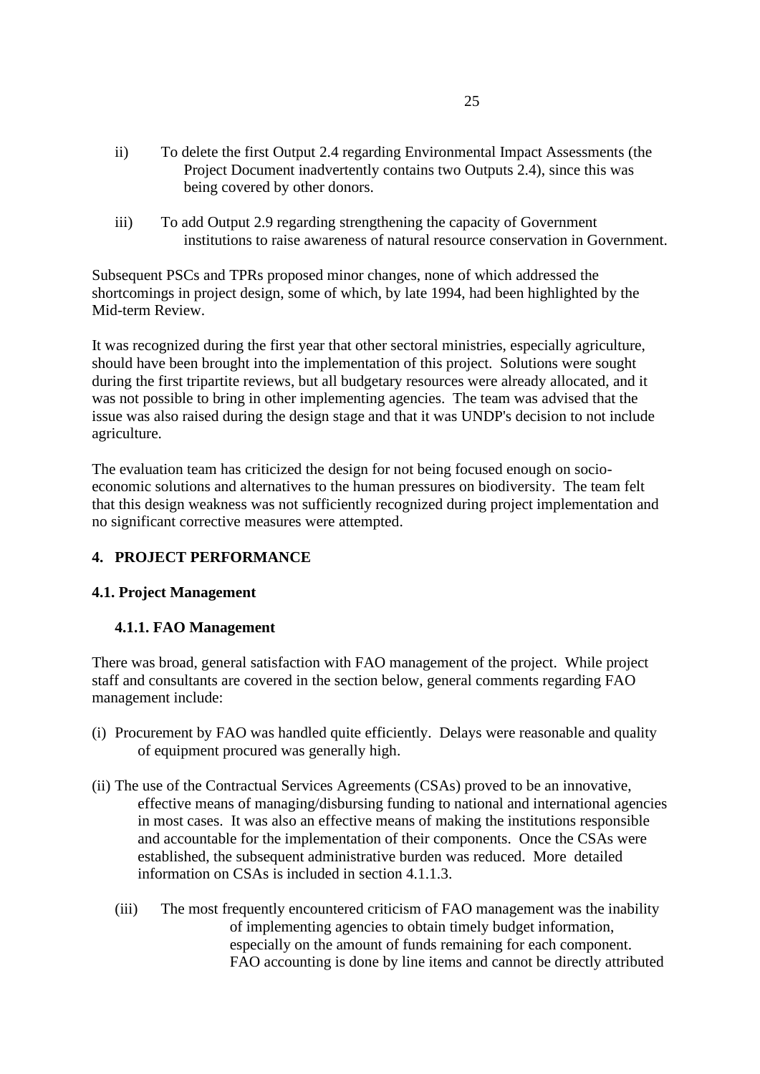- ii) To delete the first Output 2.4 regarding Environmental Impact Assessments (the Project Document inadvertently contains two Outputs 2.4), since this was being covered by other donors.
- iii) To add Output 2.9 regarding strengthening the capacity of Government institutions to raise awareness of natural resource conservation in Government.

Subsequent PSCs and TPRs proposed minor changes, none of which addressed the shortcomings in project design, some of which, by late 1994, had been highlighted by the Mid-term Review.

It was recognized during the first year that other sectoral ministries, especially agriculture, should have been brought into the implementation of this project. Solutions were sought during the first tripartite reviews, but all budgetary resources were already allocated, and it was not possible to bring in other implementing agencies. The team was advised that the issue was also raised during the design stage and that it was UNDP's decision to not include agriculture.

The evaluation team has criticized the design for not being focused enough on socioeconomic solutions and alternatives to the human pressures on biodiversity. The team felt that this design weakness was not sufficiently recognized during project implementation and no significant corrective measures were attempted.

# **4. PROJECT PERFORMANCE**

# **4.1. Project Management**

# **4.1.1. FAO Management**

There was broad, general satisfaction with FAO management of the project. While project staff and consultants are covered in the section below, general comments regarding FAO management include:

- (i) Procurement by FAO was handled quite efficiently. Delays were reasonable and quality of equipment procured was generally high.
- (ii) The use of the Contractual Services Agreements (CSAs) proved to be an innovative, effective means of managing/disbursing funding to national and international agencies in most cases. It was also an effective means of making the institutions responsible and accountable for the implementation of their components. Once the CSAs were established, the subsequent administrative burden was reduced. More detailed information on CSAs is included in section 4.1.1.3.
	- (iii) The most frequently encountered criticism of FAO management was the inability of implementing agencies to obtain timely budget information, especially on the amount of funds remaining for each component. FAO accounting is done by line items and cannot be directly attributed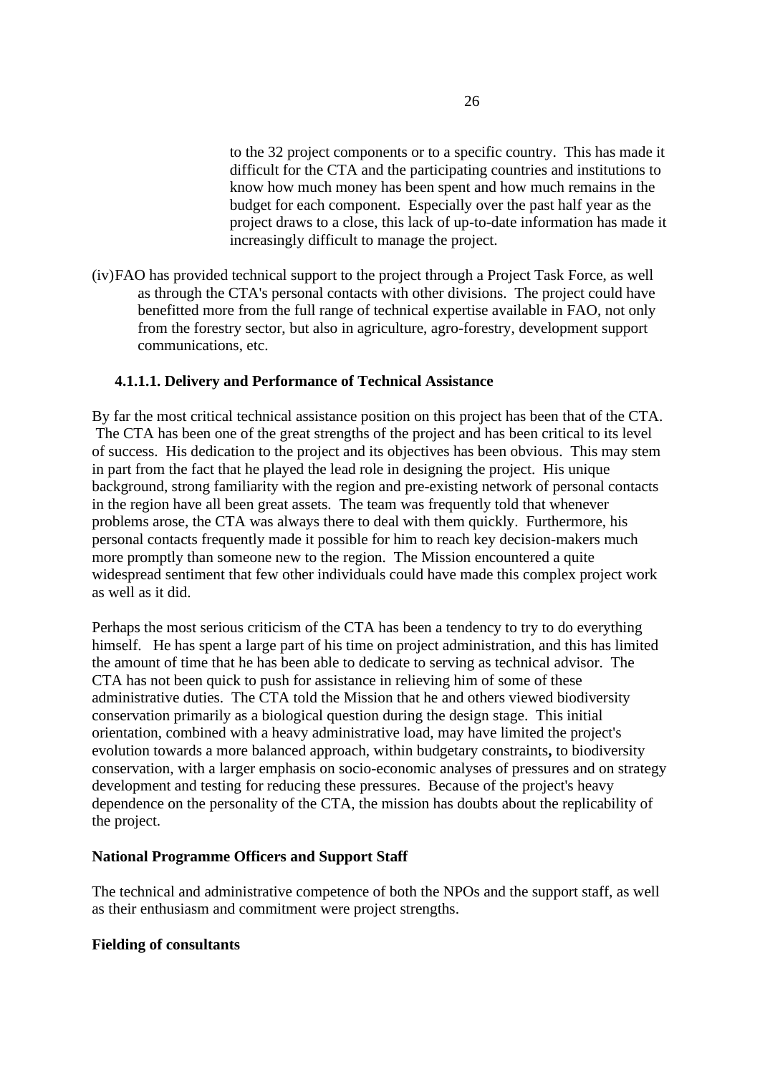to the 32 project components or to a specific country. This has made it difficult for the CTA and the participating countries and institutions to know how much money has been spent and how much remains in the budget for each component. Especially over the past half year as the project draws to a close, this lack of up-to-date information has made it increasingly difficult to manage the project.

(iv)FAO has provided technical support to the project through a Project Task Force, as well as through the CTA's personal contacts with other divisions. The project could have benefitted more from the full range of technical expertise available in FAO, not only from the forestry sector, but also in agriculture, agro-forestry, development support communications, etc.

# **4.1.1.1. Delivery and Performance of Technical Assistance**

By far the most critical technical assistance position on this project has been that of the CTA. The CTA has been one of the great strengths of the project and has been critical to its level of success. His dedication to the project and its objectives has been obvious. This may stem in part from the fact that he played the lead role in designing the project. His unique background, strong familiarity with the region and pre-existing network of personal contacts in the region have all been great assets. The team was frequently told that whenever problems arose, the CTA was always there to deal with them quickly. Furthermore, his personal contacts frequently made it possible for him to reach key decision-makers much more promptly than someone new to the region. The Mission encountered a quite widespread sentiment that few other individuals could have made this complex project work as well as it did.

Perhaps the most serious criticism of the CTA has been a tendency to try to do everything himself. He has spent a large part of his time on project administration, and this has limited the amount of time that he has been able to dedicate to serving as technical advisor. The CTA has not been quick to push for assistance in relieving him of some of these administrative duties. The CTA told the Mission that he and others viewed biodiversity conservation primarily as a biological question during the design stage. This initial orientation, combined with a heavy administrative load, may have limited the project's evolution towards a more balanced approach, within budgetary constraints**,** to biodiversity conservation, with a larger emphasis on socio-economic analyses of pressures and on strategy development and testing for reducing these pressures. Because of the project's heavy dependence on the personality of the CTA, the mission has doubts about the replicability of the project.

## **National Programme Officers and Support Staff**

The technical and administrative competence of both the NPOs and the support staff, as well as their enthusiasm and commitment were project strengths.

## **Fielding of consultants**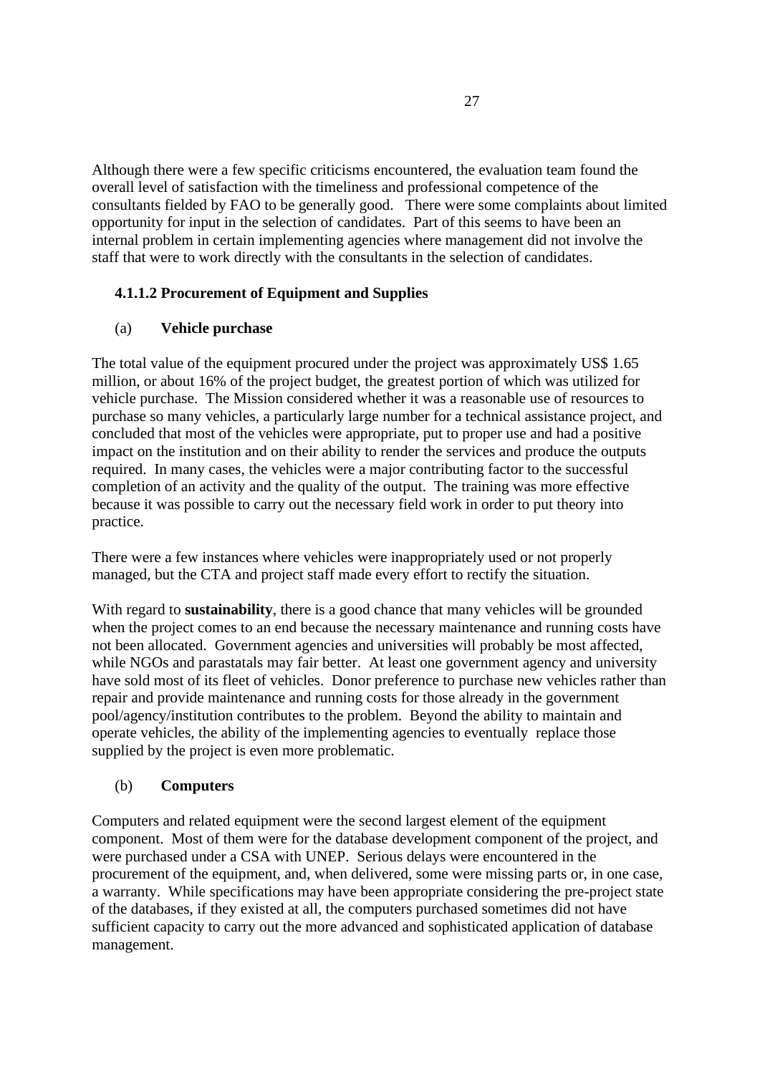Although there were a few specific criticisms encountered, the evaluation team found the overall level of satisfaction with the timeliness and professional competence of the consultants fielded by FAO to be generally good. There were some complaints about limited opportunity for input in the selection of candidates. Part of this seems to have been an internal problem in certain implementing agencies where management did not involve the staff that were to work directly with the consultants in the selection of candidates.

# **4.1.1.2 Procurement of Equipment and Supplies**

# (a) **Vehicle purchase**

The total value of the equipment procured under the project was approximately US\$ 1.65 million, or about 16% of the project budget, the greatest portion of which was utilized for vehicle purchase. The Mission considered whether it was a reasonable use of resources to purchase so many vehicles, a particularly large number for a technical assistance project, and concluded that most of the vehicles were appropriate, put to proper use and had a positive impact on the institution and on their ability to render the services and produce the outputs required. In many cases, the vehicles were a major contributing factor to the successful completion of an activity and the quality of the output. The training was more effective because it was possible to carry out the necessary field work in order to put theory into practice.

There were a few instances where vehicles were inappropriately used or not properly managed, but the CTA and project staff made every effort to rectify the situation.

With regard to **sustainability**, there is a good chance that many vehicles will be grounded when the project comes to an end because the necessary maintenance and running costs have not been allocated. Government agencies and universities will probably be most affected, while NGOs and parastatals may fair better. At least one government agency and university have sold most of its fleet of vehicles. Donor preference to purchase new vehicles rather than repair and provide maintenance and running costs for those already in the government pool/agency/institution contributes to the problem. Beyond the ability to maintain and operate vehicles, the ability of the implementing agencies to eventually replace those supplied by the project is even more problematic.

# (b) **Computers**

Computers and related equipment were the second largest element of the equipment component. Most of them were for the database development component of the project, and were purchased under a CSA with UNEP. Serious delays were encountered in the procurement of the equipment, and, when delivered, some were missing parts or, in one case, a warranty. While specifications may have been appropriate considering the pre-project state of the databases, if they existed at all, the computers purchased sometimes did not have sufficient capacity to carry out the more advanced and sophisticated application of database management.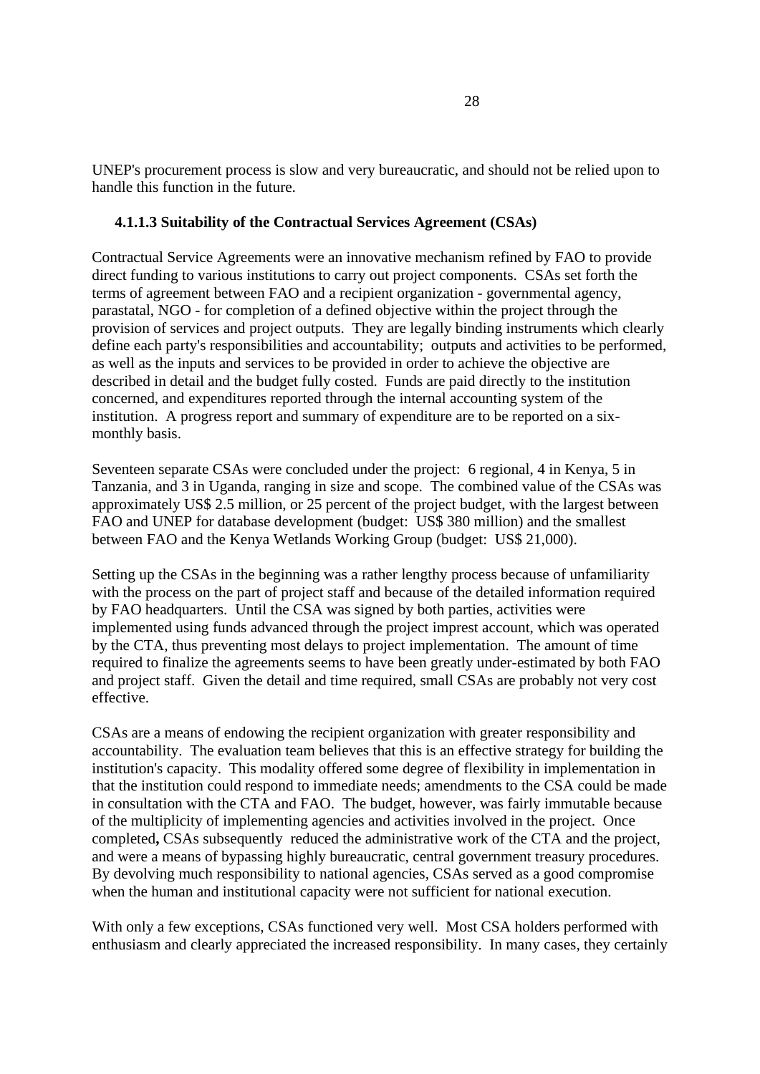UNEP's procurement process is slow and very bureaucratic, and should not be relied upon to handle this function in the future.

## **4.1.1.3 Suitability of the Contractual Services Agreement (CSAs)**

Contractual Service Agreements were an innovative mechanism refined by FAO to provide direct funding to various institutions to carry out project components. CSAs set forth the terms of agreement between FAO and a recipient organization - governmental agency, parastatal, NGO - for completion of a defined objective within the project through the provision of services and project outputs. They are legally binding instruments which clearly define each party's responsibilities and accountability; outputs and activities to be performed, as well as the inputs and services to be provided in order to achieve the objective are described in detail and the budget fully costed. Funds are paid directly to the institution concerned, and expenditures reported through the internal accounting system of the institution. A progress report and summary of expenditure are to be reported on a sixmonthly basis.

Seventeen separate CSAs were concluded under the project: 6 regional, 4 in Kenya, 5 in Tanzania, and 3 in Uganda, ranging in size and scope. The combined value of the CSAs was approximately US\$ 2.5 million, or 25 percent of the project budget, with the largest between FAO and UNEP for database development (budget: US\$ 380 million) and the smallest between FAO and the Kenya Wetlands Working Group (budget: US\$ 21,000).

Setting up the CSAs in the beginning was a rather lengthy process because of unfamiliarity with the process on the part of project staff and because of the detailed information required by FAO headquarters. Until the CSA was signed by both parties, activities were implemented using funds advanced through the project imprest account, which was operated by the CTA, thus preventing most delays to project implementation. The amount of time required to finalize the agreements seems to have been greatly under-estimated by both FAO and project staff. Given the detail and time required, small CSAs are probably not very cost effective.

CSAs are a means of endowing the recipient organization with greater responsibility and accountability. The evaluation team believes that this is an effective strategy for building the institution's capacity. This modality offered some degree of flexibility in implementation in that the institution could respond to immediate needs; amendments to the CSA could be made in consultation with the CTA and FAO. The budget, however, was fairly immutable because of the multiplicity of implementing agencies and activities involved in the project. Once completed**,** CSAs subsequently reduced the administrative work of the CTA and the project, and were a means of bypassing highly bureaucratic, central government treasury procedures. By devolving much responsibility to national agencies, CSAs served as a good compromise when the human and institutional capacity were not sufficient for national execution.

With only a few exceptions, CSAs functioned very well. Most CSA holders performed with enthusiasm and clearly appreciated the increased responsibility. In many cases, they certainly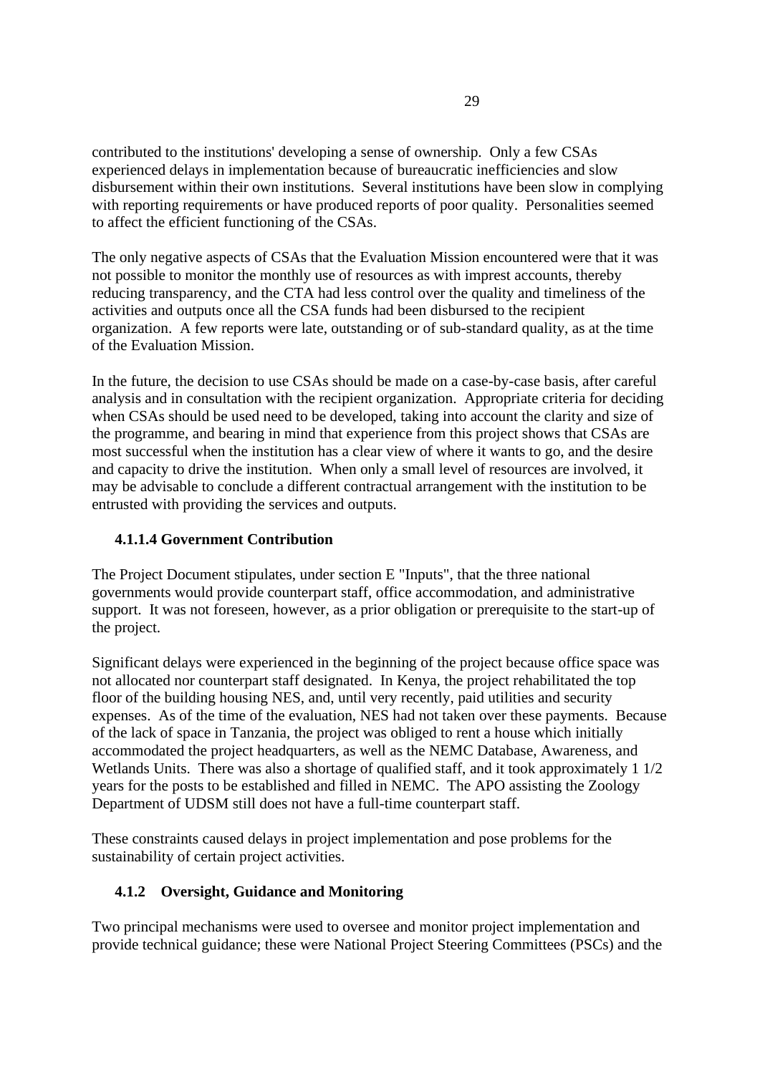contributed to the institutions' developing a sense of ownership. Only a few CSAs experienced delays in implementation because of bureaucratic inefficiencies and slow disbursement within their own institutions. Several institutions have been slow in complying with reporting requirements or have produced reports of poor quality. Personalities seemed to affect the efficient functioning of the CSAs.

The only negative aspects of CSAs that the Evaluation Mission encountered were that it was not possible to monitor the monthly use of resources as with imprest accounts, thereby reducing transparency, and the CTA had less control over the quality and timeliness of the activities and outputs once all the CSA funds had been disbursed to the recipient organization. A few reports were late, outstanding or of sub-standard quality, as at the time of the Evaluation Mission.

In the future, the decision to use CSAs should be made on a case-by-case basis, after careful analysis and in consultation with the recipient organization. Appropriate criteria for deciding when CSAs should be used need to be developed, taking into account the clarity and size of the programme, and bearing in mind that experience from this project shows that CSAs are most successful when the institution has a clear view of where it wants to go, and the desire and capacity to drive the institution. When only a small level of resources are involved, it may be advisable to conclude a different contractual arrangement with the institution to be entrusted with providing the services and outputs.

# **4.1.1.4 Government Contribution**

The Project Document stipulates, under section E "Inputs", that the three national governments would provide counterpart staff, office accommodation, and administrative support. It was not foreseen, however, as a prior obligation or prerequisite to the start-up of the project.

Significant delays were experienced in the beginning of the project because office space was not allocated nor counterpart staff designated. In Kenya, the project rehabilitated the top floor of the building housing NES, and, until very recently, paid utilities and security expenses. As of the time of the evaluation, NES had not taken over these payments. Because of the lack of space in Tanzania, the project was obliged to rent a house which initially accommodated the project headquarters, as well as the NEMC Database, Awareness, and Wetlands Units. There was also a shortage of qualified staff, and it took approximately 1 1/2 years for the posts to be established and filled in NEMC. The APO assisting the Zoology Department of UDSM still does not have a full-time counterpart staff.

These constraints caused delays in project implementation and pose problems for the sustainability of certain project activities.

# **4.1.2 Oversight, Guidance and Monitoring**

Two principal mechanisms were used to oversee and monitor project implementation and provide technical guidance; these were National Project Steering Committees (PSCs) and the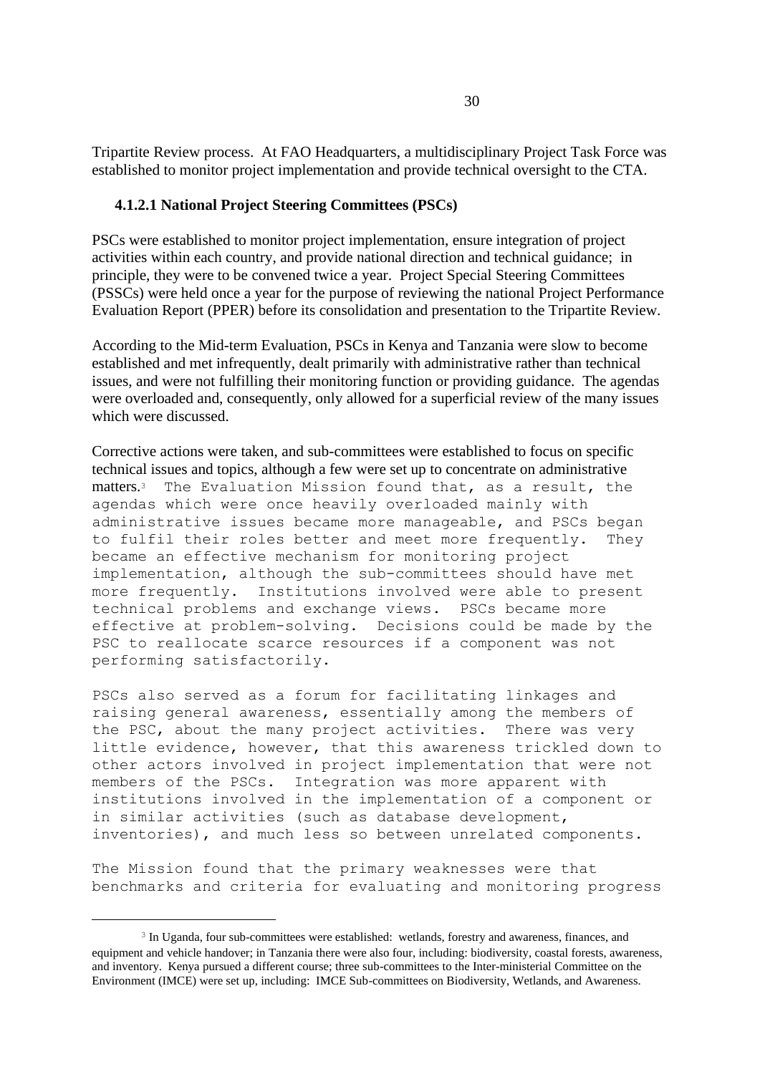Tripartite Review process. At FAO Headquarters, a multidisciplinary Project Task Force was established to monitor project implementation and provide technical oversight to the CTA.

# **4.1.2.1 National Project Steering Committees (PSCs)**

PSCs were established to monitor project implementation, ensure integration of project activities within each country, and provide national direction and technical guidance; in principle, they were to be convened twice a year. Project Special Steering Committees (PSSCs) were held once a year for the purpose of reviewing the national Project Performance Evaluation Report (PPER) before its consolidation and presentation to the Tripartite Review.

According to the Mid-term Evaluation, PSCs in Kenya and Tanzania were slow to become established and met infrequently, dealt primarily with administrative rather than technical issues, and were not fulfilling their monitoring function or providing guidance. The agendas were overloaded and, consequently, only allowed for a superficial review of the many issues which were discussed.

Corrective actions were taken, and sub-committees were established to focus on specific technical issues and topics, although a few were set up to concentrate on administrative matters.3 The Evaluation Mission found that, as a result, the agendas which were once heavily overloaded mainly with administrative issues became more manageable, and PSCs began to fulfil their roles better and meet more frequently. They became an effective mechanism for monitoring project implementation, although the sub-committees should have met more frequently. Institutions involved were able to present technical problems and exchange views. PSCs became more effective at problem-solving. Decisions could be made by the PSC to reallocate scarce resources if a component was not performing satisfactorily.

PSCs also served as a forum for facilitating linkages and raising general awareness, essentially among the members of the PSC, about the many project activities. There was very little evidence, however, that this awareness trickled down to other actors involved in project implementation that were not members of the PSCs. Integration was more apparent with institutions involved in the implementation of a component or in similar activities (such as database development, inventories), and much less so between unrelated components.

The Mission found that the primary weaknesses were that benchmarks and criteria for evaluating and monitoring progress

<sup>3</sup> In Uganda, four sub-committees were established: wetlands, forestry and awareness, finances, and equipment and vehicle handover; in Tanzania there were also four, including: biodiversity, coastal forests, awareness, and inventory. Kenya pursued a different course; three sub-committees to the Inter-ministerial Committee on the Environment (IMCE) were set up, including: IMCE Sub-committees on Biodiversity, Wetlands, and Awareness.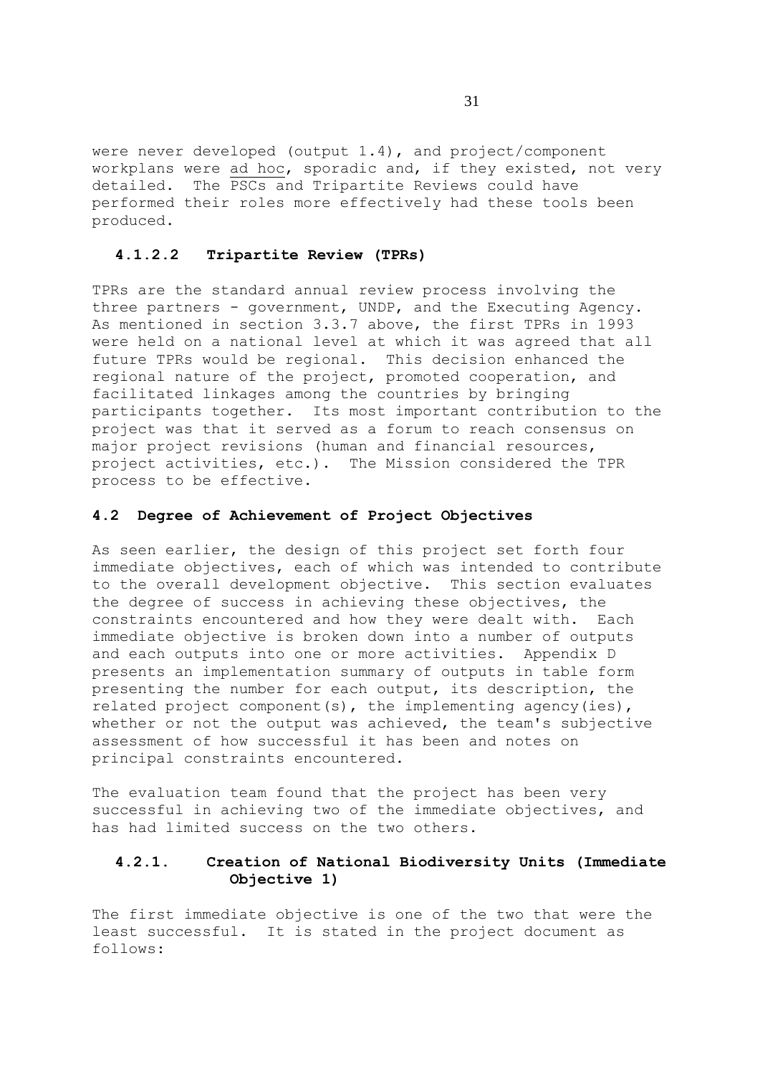were never developed (output 1.4), and project/component workplans were ad hoc, sporadic and, if they existed, not very detailed. The PSCs and Tripartite Reviews could have performed their roles more effectively had these tools been produced.

### **4.1.2.2 Tripartite Review (TPRs)**

TPRs are the standard annual review process involving the three partners - government, UNDP, and the Executing Agency. As mentioned in section 3.3.7 above, the first TPRs in 1993 were held on a national level at which it was agreed that all future TPRs would be regional. This decision enhanced the regional nature of the project, promoted cooperation, and facilitated linkages among the countries by bringing participants together. Its most important contribution to the project was that it served as a forum to reach consensus on major project revisions (human and financial resources, project activities, etc.). The Mission considered the TPR process to be effective.

### **4.2 Degree of Achievement of Project Objectives**

As seen earlier, the design of this project set forth four immediate objectives, each of which was intended to contribute to the overall development objective. This section evaluates the degree of success in achieving these objectives, the constraints encountered and how they were dealt with. Each immediate objective is broken down into a number of outputs and each outputs into one or more activities. Appendix D presents an implementation summary of outputs in table form presenting the number for each output, its description, the related project component(s), the implementing agency(ies), whether or not the output was achieved, the team's subjective assessment of how successful it has been and notes on principal constraints encountered.

The evaluation team found that the project has been very successful in achieving two of the immediate objectives, and has had limited success on the two others.

## **4.2.1. Creation of National Biodiversity Units (Immediate Objective 1)**

The first immediate objective is one of the two that were the least successful. It is stated in the project document as follows: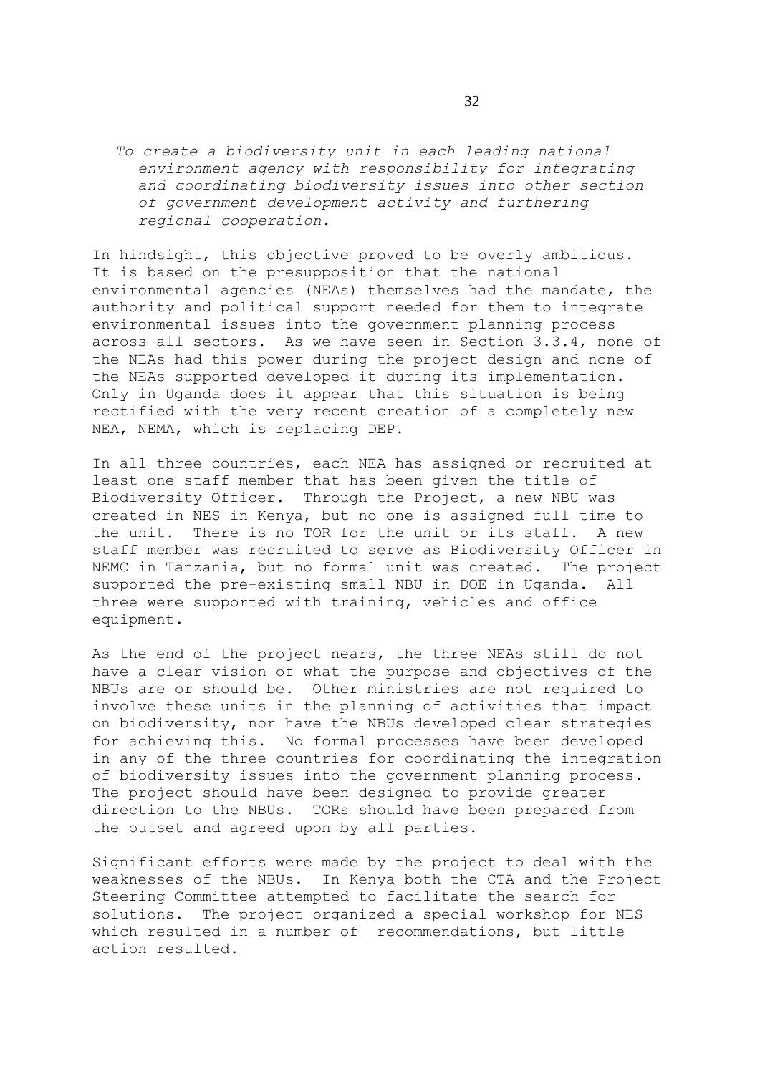*To create a biodiversity unit in each leading national environment agency with responsibility for integrating and coordinating biodiversity issues into other section of government development activity and furthering regional cooperation.*

In hindsight, this objective proved to be overly ambitious. It is based on the presupposition that the national environmental agencies (NEAs) themselves had the mandate, the authority and political support needed for them to integrate environmental issues into the government planning process across all sectors. As we have seen in Section 3.3.4, none of the NEAs had this power during the project design and none of the NEAs supported developed it during its implementation. Only in Uganda does it appear that this situation is being rectified with the very recent creation of a completely new NEA, NEMA, which is replacing DEP.

In all three countries, each NEA has assigned or recruited at least one staff member that has been given the title of Biodiversity Officer. Through the Project, a new NBU was created in NES in Kenya, but no one is assigned full time to the unit. There is no TOR for the unit or its staff. A new staff member was recruited to serve as Biodiversity Officer in NEMC in Tanzania, but no formal unit was created. The project supported the pre-existing small NBU in DOE in Uganda. All three were supported with training, vehicles and office equipment.

As the end of the project nears, the three NEAs still do not have a clear vision of what the purpose and objectives of the NBUs are or should be. Other ministries are not required to involve these units in the planning of activities that impact on biodiversity, nor have the NBUs developed clear strategies for achieving this. No formal processes have been developed in any of the three countries for coordinating the integration of biodiversity issues into the government planning process. The project should have been designed to provide greater direction to the NBUs. TORs should have been prepared from the outset and agreed upon by all parties.

Significant efforts were made by the project to deal with the weaknesses of the NBUs. In Kenya both the CTA and the Project Steering Committee attempted to facilitate the search for solutions. The project organized a special workshop for NES which resulted in a number of recommendations, but little action resulted.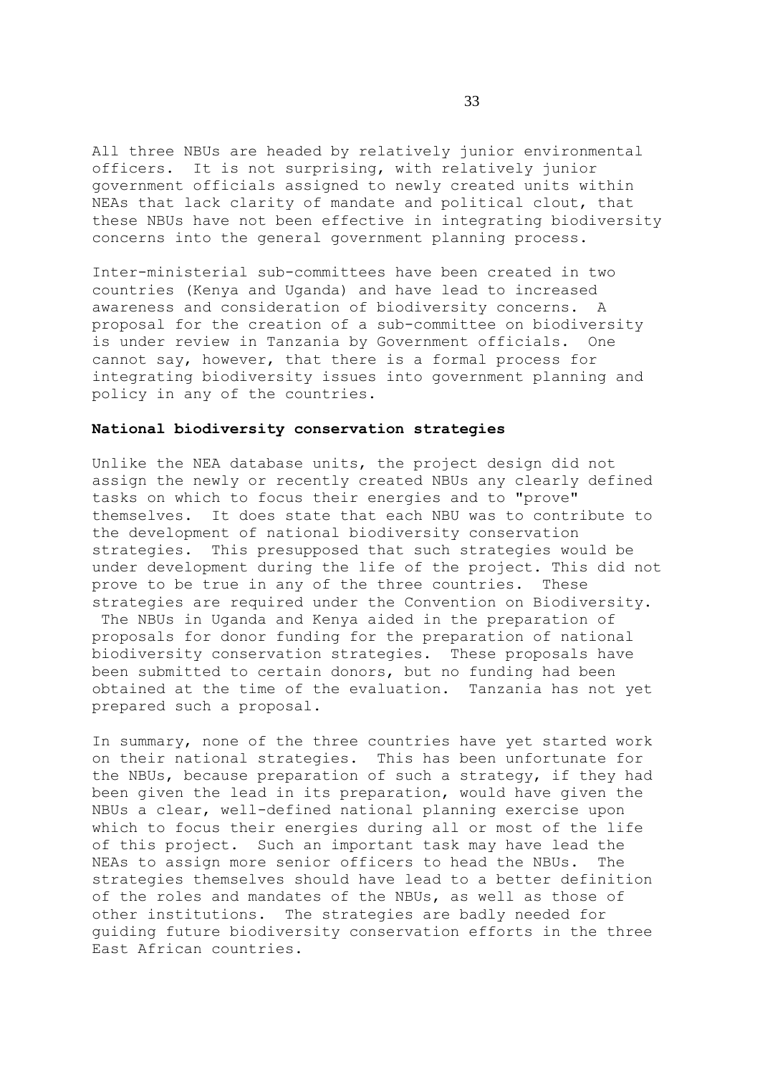All three NBUs are headed by relatively junior environmental officers. It is not surprising, with relatively junior government officials assigned to newly created units within NEAs that lack clarity of mandate and political clout, that these NBUs have not been effective in integrating biodiversity concerns into the general government planning process.

Inter-ministerial sub-committees have been created in two countries (Kenya and Uganda) and have lead to increased awareness and consideration of biodiversity concerns. A proposal for the creation of a sub-committee on biodiversity is under review in Tanzania by Government officials. One cannot say, however, that there is a formal process for integrating biodiversity issues into government planning and policy in any of the countries.

## **National biodiversity conservation strategies**

Unlike the NEA database units, the project design did not assign the newly or recently created NBUs any clearly defined tasks on which to focus their energies and to "prove" themselves. It does state that each NBU was to contribute to the development of national biodiversity conservation strategies. This presupposed that such strategies would be under development during the life of the project. This did not prove to be true in any of the three countries. These strategies are required under the Convention on Biodiversity. The NBUs in Uganda and Kenya aided in the preparation of proposals for donor funding for the preparation of national biodiversity conservation strategies. These proposals have been submitted to certain donors, but no funding had been obtained at the time of the evaluation. Tanzania has not yet prepared such a proposal.

In summary, none of the three countries have yet started work on their national strategies. This has been unfortunate for the NBUs, because preparation of such a strategy, if they had been given the lead in its preparation, would have given the NBUs a clear, well-defined national planning exercise upon which to focus their energies during all or most of the life of this project. Such an important task may have lead the NEAs to assign more senior officers to head the NBUs. The strategies themselves should have lead to a better definition of the roles and mandates of the NBUs, as well as those of other institutions. The strategies are badly needed for guiding future biodiversity conservation efforts in the three East African countries.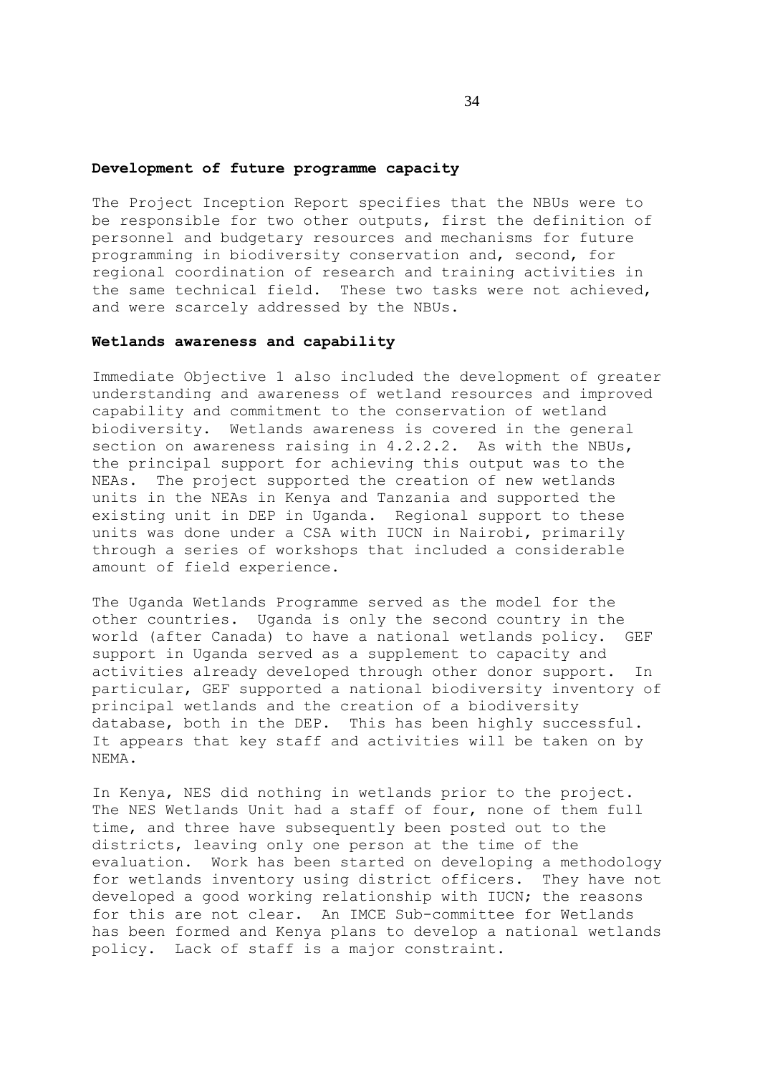#### **Development of future programme capacity**

The Project Inception Report specifies that the NBUs were to be responsible for two other outputs, first the definition of personnel and budgetary resources and mechanisms for future programming in biodiversity conservation and, second, for regional coordination of research and training activities in the same technical field. These two tasks were not achieved, and were scarcely addressed by the NBUs.

## **Wetlands awareness and capability**

Immediate Objective 1 also included the development of greater understanding and awareness of wetland resources and improved capability and commitment to the conservation of wetland biodiversity. Wetlands awareness is covered in the general section on awareness raising in 4.2.2.2. As with the NBUs, the principal support for achieving this output was to the NEAs. The project supported the creation of new wetlands units in the NEAs in Kenya and Tanzania and supported the existing unit in DEP in Uganda. Regional support to these units was done under a CSA with IUCN in Nairobi, primarily through a series of workshops that included a considerable amount of field experience.

The Uganda Wetlands Programme served as the model for the other countries. Uganda is only the second country in the world (after Canada) to have a national wetlands policy. GEF support in Uganda served as a supplement to capacity and activities already developed through other donor support. In particular, GEF supported a national biodiversity inventory of principal wetlands and the creation of a biodiversity database, both in the DEP. This has been highly successful. It appears that key staff and activities will be taken on by NEMA.

In Kenya, NES did nothing in wetlands prior to the project. The NES Wetlands Unit had a staff of four, none of them full time, and three have subsequently been posted out to the districts, leaving only one person at the time of the evaluation. Work has been started on developing a methodology for wetlands inventory using district officers. They have not developed a good working relationship with IUCN; the reasons for this are not clear. An IMCE Sub-committee for Wetlands has been formed and Kenya plans to develop a national wetlands policy. Lack of staff is a major constraint.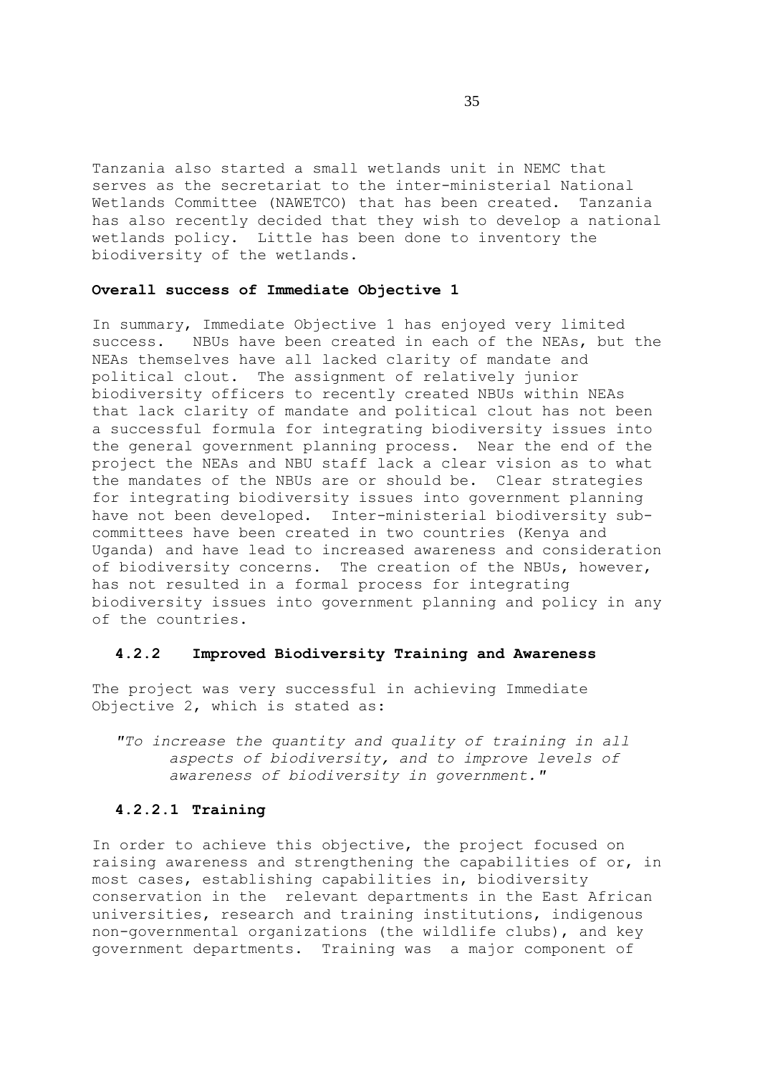Tanzania also started a small wetlands unit in NEMC that serves as the secretariat to the inter-ministerial National Wetlands Committee (NAWETCO) that has been created. Tanzania has also recently decided that they wish to develop a national wetlands policy. Little has been done to inventory the biodiversity of the wetlands.

#### **Overall success of Immediate Objective 1**

In summary, Immediate Objective 1 has enjoyed very limited success. NBUs have been created in each of the NEAs, but the NEAs themselves have all lacked clarity of mandate and political clout. The assignment of relatively junior biodiversity officers to recently created NBUs within NEAs that lack clarity of mandate and political clout has not been a successful formula for integrating biodiversity issues into the general government planning process. Near the end of the project the NEAs and NBU staff lack a clear vision as to what the mandates of the NBUs are or should be. Clear strategies for integrating biodiversity issues into government planning have not been developed. Inter-ministerial biodiversity subcommittees have been created in two countries (Kenya and Uganda) and have lead to increased awareness and consideration of biodiversity concerns. The creation of the NBUs, however, has not resulted in a formal process for integrating biodiversity issues into government planning and policy in any of the countries.

## **4.2.2 Improved Biodiversity Training and Awareness**

The project was very successful in achieving Immediate Objective 2, which is stated as:

*"To increase the quantity and quality of training in all aspects of biodiversity, and to improve levels of awareness of biodiversity in government."*

### **4.2.2.1 Training**

In order to achieve this objective, the project focused on raising awareness and strengthening the capabilities of or, in most cases, establishing capabilities in, biodiversity conservation in the relevant departments in the East African universities, research and training institutions, indigenous non-governmental organizations (the wildlife clubs), and key government departments. Training was a major component of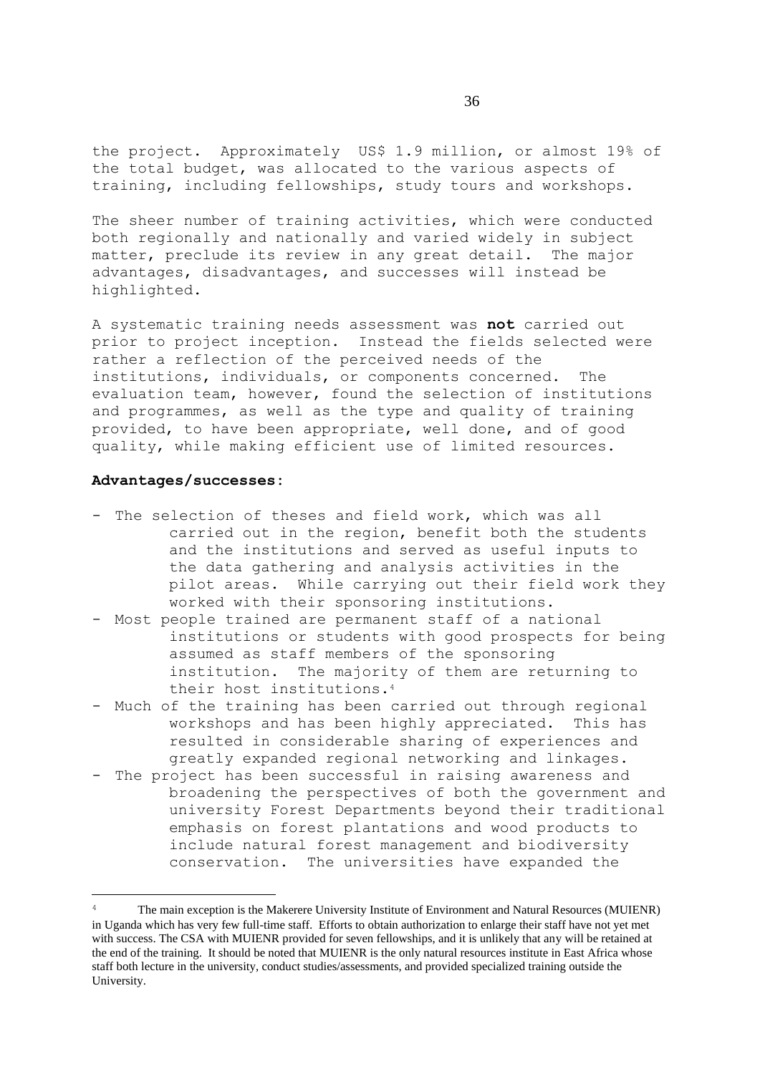the project. Approximately US\$ 1.9 million, or almost 19% of the total budget, was allocated to the various aspects of training, including fellowships, study tours and workshops.

The sheer number of training activities, which were conducted both regionally and nationally and varied widely in subject matter, preclude its review in any great detail. The major advantages, disadvantages, and successes will instead be highlighted.

A systematic training needs assessment was **not** carried out prior to project inception. Instead the fields selected were rather a reflection of the perceived needs of the institutions, individuals, or components concerned. The evaluation team, however, found the selection of institutions and programmes, as well as the type and quality of training provided, to have been appropriate, well done, and of good quality, while making efficient use of limited resources.

## **Advantages/successes:**

- The selection of theses and field work, which was all carried out in the region, benefit both the students and the institutions and served as useful inputs to the data gathering and analysis activities in the pilot areas. While carrying out their field work they worked with their sponsoring institutions.
- Most people trained are permanent staff of a national institutions or students with good prospects for being assumed as staff members of the sponsoring institution. The majority of them are returning to their host institutions.<sup>4</sup>
- Much of the training has been carried out through regional workshops and has been highly appreciated. This has resulted in considerable sharing of experiences and greatly expanded regional networking and linkages.
- The project has been successful in raising awareness and broadening the perspectives of both the government and university Forest Departments beyond their traditional emphasis on forest plantations and wood products to include natural forest management and biodiversity conservation. The universities have expanded the

<sup>4</sup> The main exception is the Makerere University Institute of Environment and Natural Resources (MUIENR) in Uganda which has very few full-time staff. Efforts to obtain authorization to enlarge their staff have not yet met with success. The CSA with MUIENR provided for seven fellowships, and it is unlikely that any will be retained at the end of the training. It should be noted that MUIENR is the only natural resources institute in East Africa whose staff both lecture in the university, conduct studies/assessments, and provided specialized training outside the University.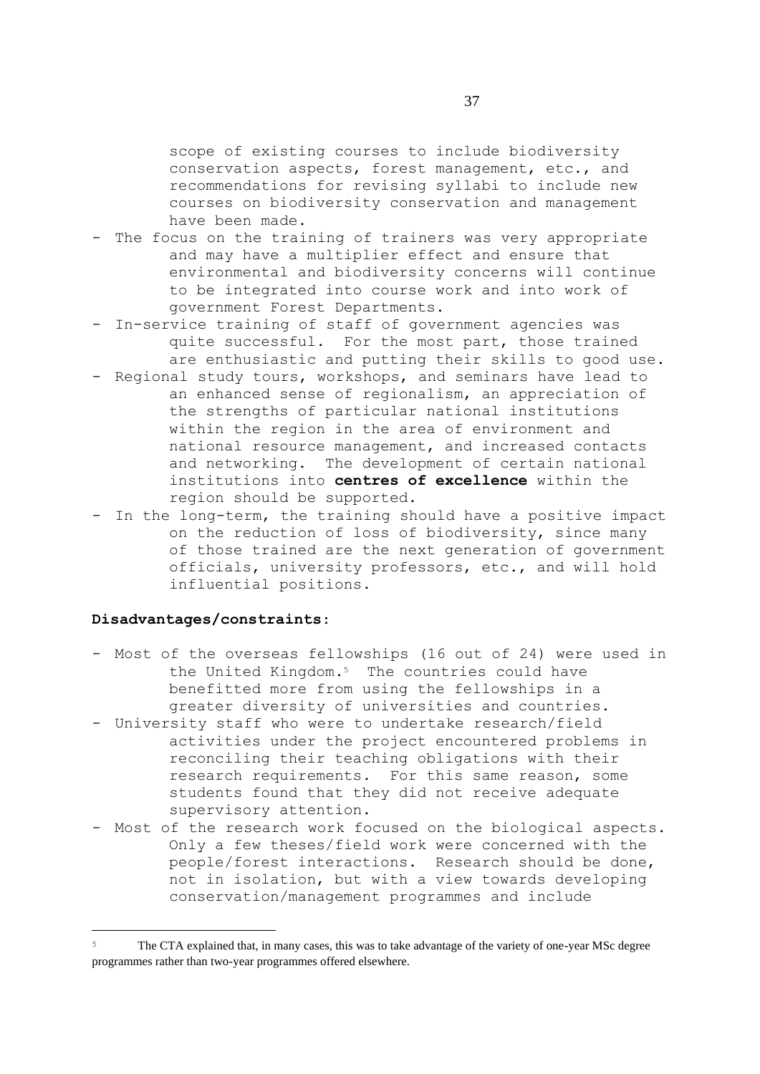scope of existing courses to include biodiversity conservation aspects, forest management, etc., and recommendations for revising syllabi to include new courses on biodiversity conservation and management have been made.

- The focus on the training of trainers was very appropriate and may have a multiplier effect and ensure that environmental and biodiversity concerns will continue to be integrated into course work and into work of government Forest Departments.
- In-service training of staff of government agencies was quite successful. For the most part, those trained are enthusiastic and putting their skills to good use.
- Regional study tours, workshops, and seminars have lead to an enhanced sense of regionalism, an appreciation of the strengths of particular national institutions within the region in the area of environment and national resource management, and increased contacts and networking. The development of certain national institutions into **centres of excellence** within the region should be supported.
- In the long-term, the training should have a positive impact on the reduction of loss of biodiversity, since many of those trained are the next generation of government officials, university professors, etc., and will hold influential positions.

### **Disadvantages/constraints**:

- Most of the overseas fellowships (16 out of 24) were used in the United Kingdom.5 The countries could have benefitted more from using the fellowships in a greater diversity of universities and countries.
- University staff who were to undertake research/field activities under the project encountered problems in reconciling their teaching obligations with their research requirements. For this same reason, some students found that they did not receive adequate supervisory attention.
- Most of the research work focused on the biological aspects. Only a few theses/field work were concerned with the people/forest interactions. Research should be done, not in isolation, but with a view towards developing conservation/management programmes and include

<sup>5</sup> The CTA explained that, in many cases, this was to take advantage of the variety of one-year MSc degree programmes rather than two-year programmes offered elsewhere.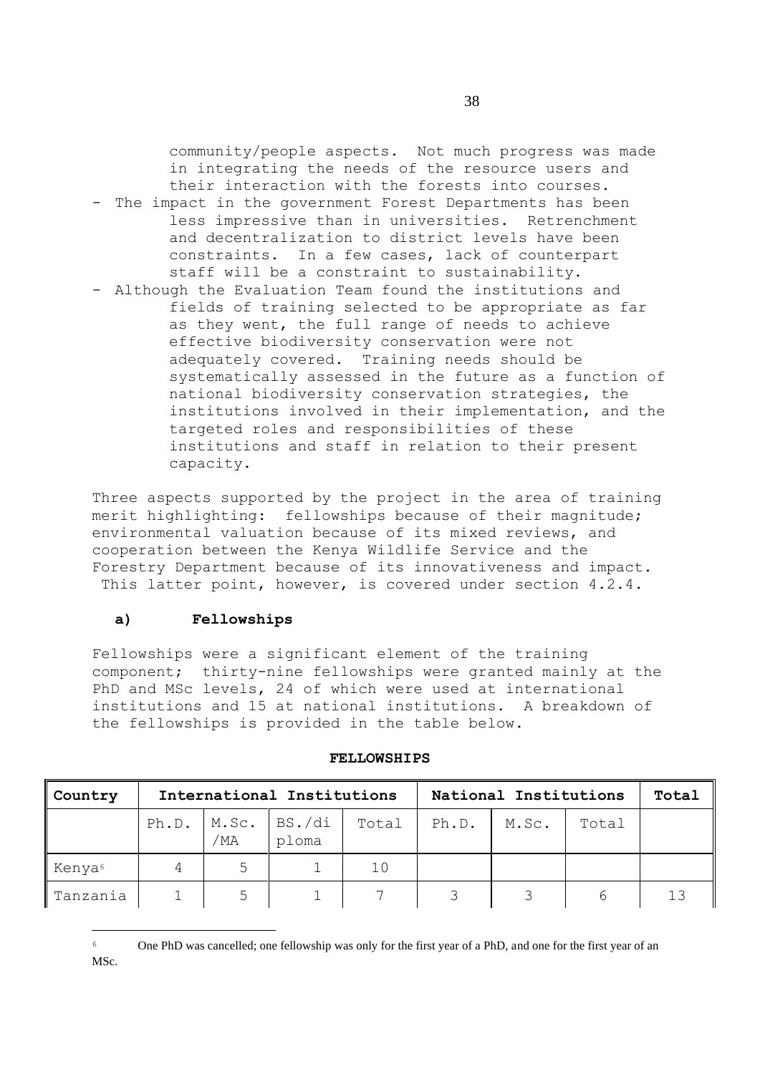community/people aspects. Not much progress was made in integrating the needs of the resource users and their interaction with the forests into courses.

- The impact in the government Forest Departments has been less impressive than in universities. Retrenchment and decentralization to district levels have been constraints. In a few cases, lack of counterpart staff will be a constraint to sustainability.
- Although the Evaluation Team found the institutions and fields of training selected to be appropriate as far as they went, the full range of needs to achieve effective biodiversity conservation were not adequately covered. Training needs should be systematically assessed in the future as a function of national biodiversity conservation strategies, the institutions involved in their implementation, and the targeted roles and responsibilities of these institutions and staff in relation to their present capacity.

Three aspects supported by the project in the area of training merit highlighting: fellowships because of their magnitude; environmental valuation because of its mixed reviews, and cooperation between the Kenya Wildlife Service and the Forestry Department because of its innovativeness and impact. This latter point, however, is covered under section 4.2.4.

## **a) Fellowships**

Fellowships were a significant element of the training component; thirty-nine fellowships were granted mainly at the PhD and MSc levels, 24 of which were used at international institutions and 15 at national institutions. A breakdown of the fellowships is provided in the table below.

| Country            |                | International Institutions                              |    | National Institutions |  |       | Total |
|--------------------|----------------|---------------------------------------------------------|----|-----------------------|--|-------|-------|
|                    | /MA            | Ph.D. $M.Sc.$ BS./di   Total   Ph.D.   M.Sc.  <br>ploma |    |                       |  | Total |       |
| Kenya <sup>6</sup> | 5 <sup>5</sup> |                                                         | 10 |                       |  |       |       |
| 'Tanzania          | $5-1$          |                                                         |    |                       |  | b     |       |

#### **FELLOWSHIPS**

<sup>&</sup>lt;sup>6</sup> One PhD was cancelled; one fellowship was only for the first year of a PhD, and one for the first year of an MSc.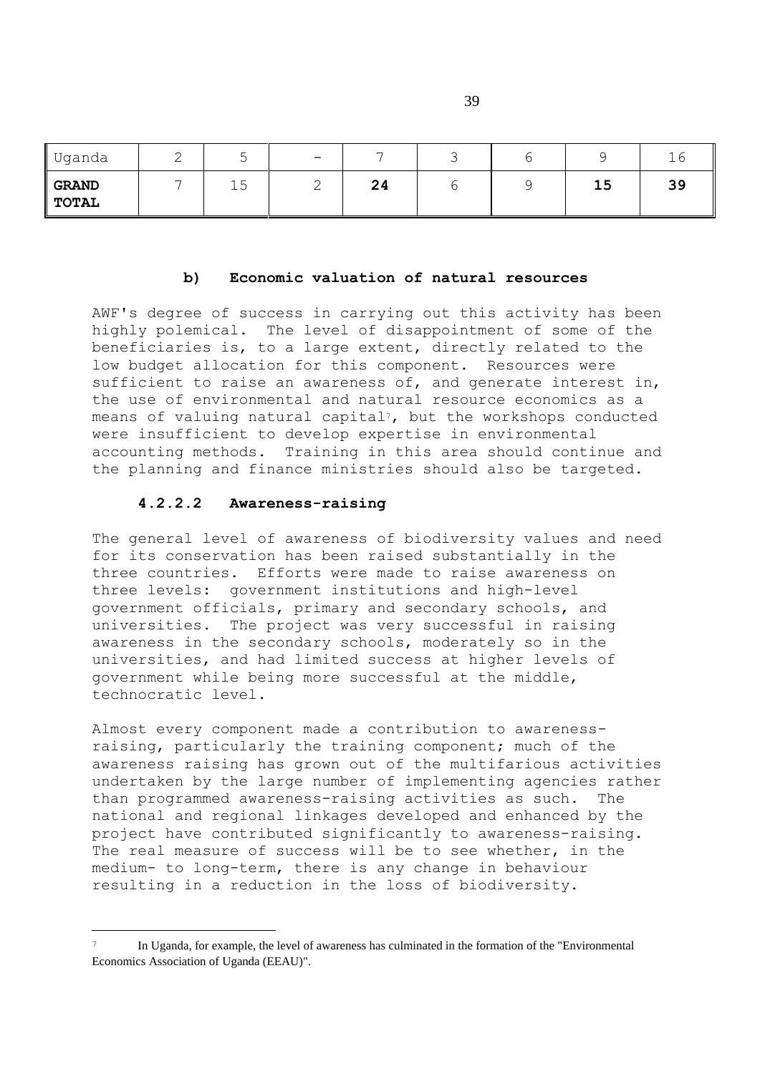| Uganda                       | ∼                        | ◡          | $\hspace{0.1mm}-\hspace{0.1mm}$ | $\overline{\phantom{0}}$ | . . |    | ◄<br>ᅩ◡ |
|------------------------------|--------------------------|------------|---------------------------------|--------------------------|-----|----|---------|
| <b>GRAND</b><br><b>TOTAL</b> | $\overline{\phantom{0}}$ | 1 E<br>∸ → | ↩                               | 24                       |     | 15 | 39      |

## **b) Economic valuation of natural resources**

AWF's degree of success in carrying out this activity has been highly polemical. The level of disappointment of some of the beneficiaries is, to a large extent, directly related to the low budget allocation for this component. Resources were sufficient to raise an awareness of, and generate interest in, the use of environmental and natural resource economics as a means of valuing natural capital<sup>7</sup>, but the workshops conducted were insufficient to develop expertise in environmental accounting methods. Training in this area should continue and the planning and finance ministries should also be targeted.

### **4.2.2.2 Awareness-raising**

The general level of awareness of biodiversity values and need for its conservation has been raised substantially in the three countries. Efforts were made to raise awareness on three levels: government institutions and high-level government officials, primary and secondary schools, and universities. The project was very successful in raising awareness in the secondary schools, moderately so in the universities, and had limited success at higher levels of government while being more successful at the middle, technocratic level.

Almost every component made a contribution to awarenessraising, particularly the training component; much of the awareness raising has grown out of the multifarious activities undertaken by the large number of implementing agencies rather than programmed awareness-raising activities as such. The national and regional linkages developed and enhanced by the project have contributed significantly to awareness-raising. The real measure of success will be to see whether, in the medium- to long-term, there is any change in behaviour resulting in a reduction in the loss of biodiversity.

39

In Uganda, for example, the level of awareness has culminated in the formation of the "Environmental" Economics Association of Uganda (EEAU)".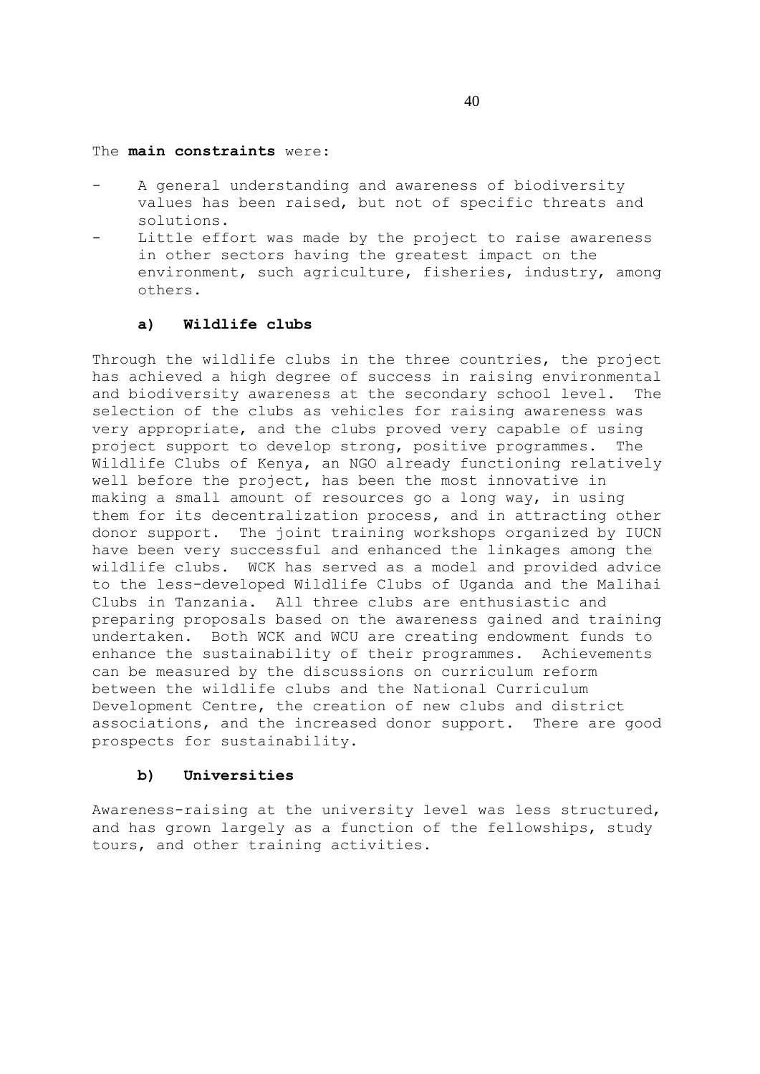### The **main constraints** were:

- A general understanding and awareness of biodiversity values has been raised, but not of specific threats and solutions.
- Little effort was made by the project to raise awareness in other sectors having the greatest impact on the environment, such agriculture, fisheries, industry, among others.

### **a) Wildlife clubs**

Through the wildlife clubs in the three countries, the project has achieved a high degree of success in raising environmental and biodiversity awareness at the secondary school level. The selection of the clubs as vehicles for raising awareness was very appropriate, and the clubs proved very capable of using project support to develop strong, positive programmes. The Wildlife Clubs of Kenya, an NGO already functioning relatively well before the project, has been the most innovative in making a small amount of resources go a long way, in using them for its decentralization process, and in attracting other donor support. The joint training workshops organized by IUCN have been very successful and enhanced the linkages among the wildlife clubs. WCK has served as a model and provided advice to the less-developed Wildlife Clubs of Uganda and the Malihai Clubs in Tanzania. All three clubs are enthusiastic and preparing proposals based on the awareness gained and training undertaken. Both WCK and WCU are creating endowment funds to enhance the sustainability of their programmes. Achievements can be measured by the discussions on curriculum reform between the wildlife clubs and the National Curriculum Development Centre, the creation of new clubs and district associations, and the increased donor support. There are good prospects for sustainability.

### **b) Universities**

Awareness-raising at the university level was less structured, and has grown largely as a function of the fellowships, study tours, and other training activities.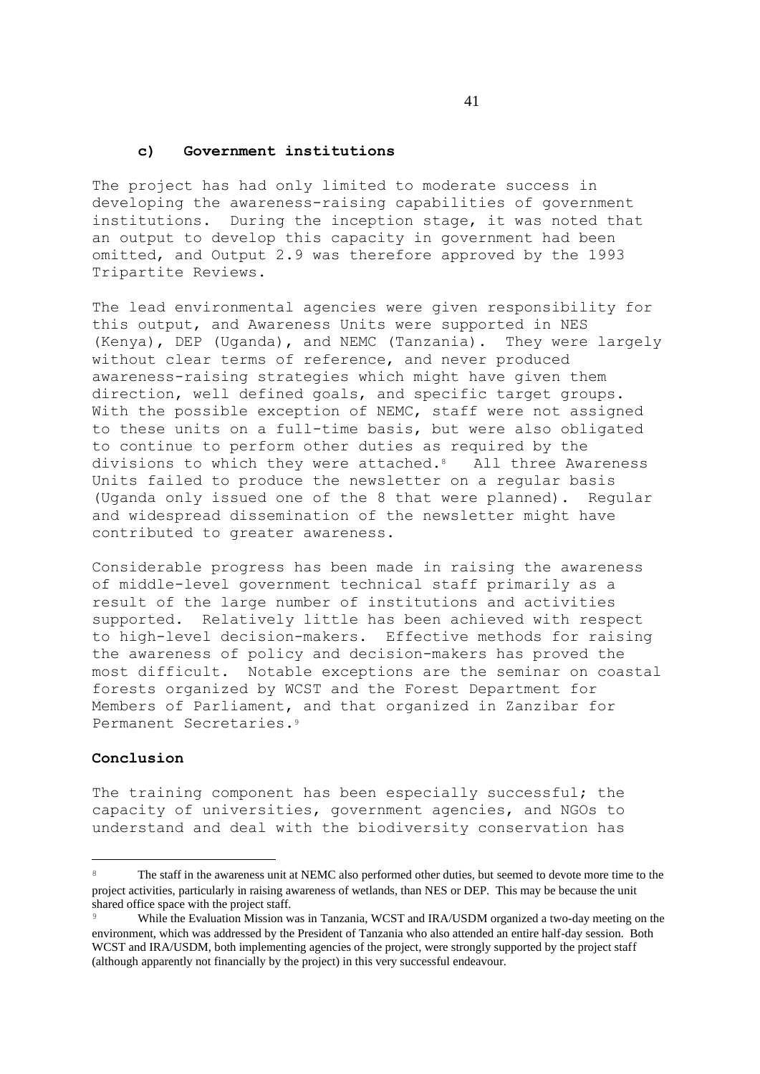#### **c) Government institutions**

The project has had only limited to moderate success in developing the awareness-raising capabilities of government institutions. During the inception stage, it was noted that an output to develop this capacity in government had been omitted, and Output 2.9 was therefore approved by the 1993 Tripartite Reviews.

The lead environmental agencies were given responsibility for this output, and Awareness Units were supported in NES (Kenya), DEP (Uganda), and NEMC (Tanzania). They were largely without clear terms of reference, and never produced awareness-raising strategies which might have given them direction, well defined goals, and specific target groups. With the possible exception of NEMC, staff were not assigned to these units on a full-time basis, but were also obligated to continue to perform other duties as required by the divisions to which they were attached.8 All three Awareness Units failed to produce the newsletter on a regular basis (Uganda only issued one of the 8 that were planned). Regular and widespread dissemination of the newsletter might have contributed to greater awareness.

Considerable progress has been made in raising the awareness of middle-level government technical staff primarily as a result of the large number of institutions and activities supported. Relatively little has been achieved with respect to high-level decision-makers. Effective methods for raising the awareness of policy and decision-makers has proved the most difficult. Notable exceptions are the seminar on coastal forests organized by WCST and the Forest Department for Members of Parliament, and that organized in Zanzibar for Permanent Secretaries.<sup>9</sup>

### **Conclusion**

The training component has been especially successful; the capacity of universities, government agencies, and NGOs to understand and deal with the biodiversity conservation has

The staff in the awareness unit at NEMC also performed other duties, but seemed to devote more time to the project activities, particularly in raising awareness of wetlands, than NES or DEP. This may be because the unit shared office space with the project staff.

While the Evaluation Mission was in Tanzania, WCST and IRA/USDM organized a two-day meeting on the environment, which was addressed by the President of Tanzania who also attended an entire half-day session. Both WCST and IRA/USDM, both implementing agencies of the project, were strongly supported by the project staff (although apparently not financially by the project) in this very successful endeavour.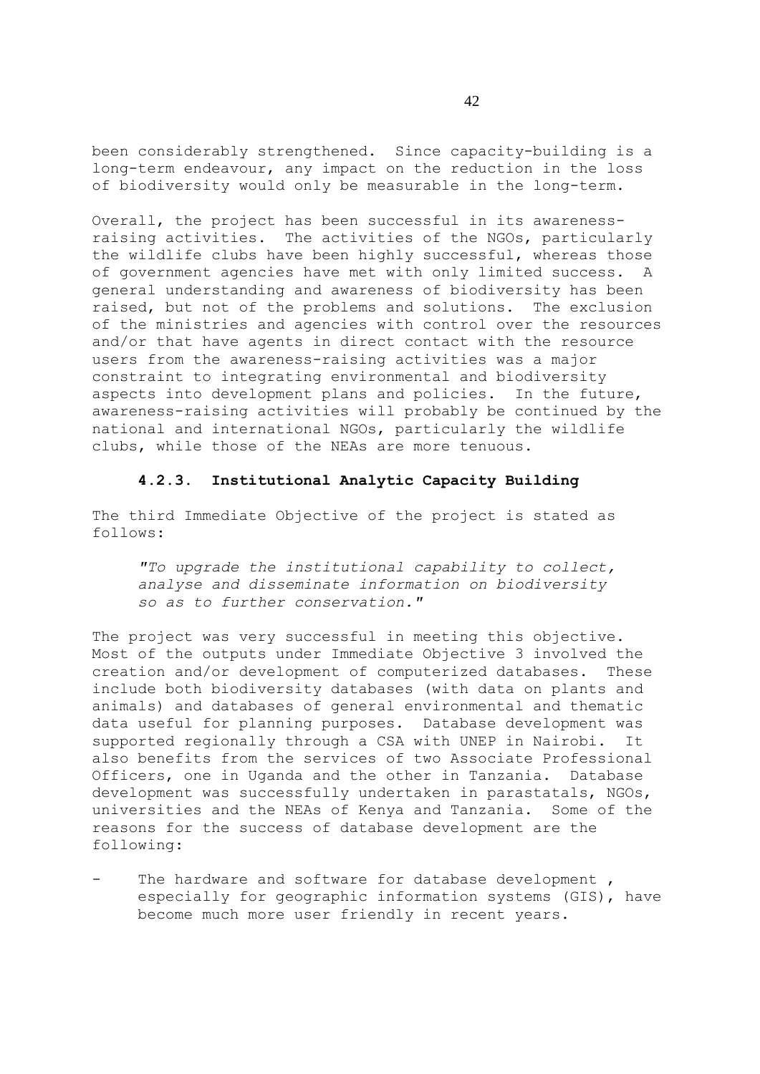been considerably strengthened. Since capacity-building is a long-term endeavour, any impact on the reduction in the loss of biodiversity would only be measurable in the long-term.

Overall, the project has been successful in its awarenessraising activities. The activities of the NGOs, particularly the wildlife clubs have been highly successful, whereas those of government agencies have met with only limited success. A general understanding and awareness of biodiversity has been raised, but not of the problems and solutions. The exclusion of the ministries and agencies with control over the resources and/or that have agents in direct contact with the resource users from the awareness-raising activities was a major constraint to integrating environmental and biodiversity aspects into development plans and policies. In the future, awareness-raising activities will probably be continued by the national and international NGOs, particularly the wildlife clubs, while those of the NEAs are more tenuous.

# **4.2.3. Institutional Analytic Capacity Building**

The third Immediate Objective of the project is stated as follows:

*"To upgrade the institutional capability to collect, analyse and disseminate information on biodiversity so as to further conservation."*

The project was very successful in meeting this objective. Most of the outputs under Immediate Objective 3 involved the creation and/or development of computerized databases. These include both biodiversity databases (with data on plants and animals) and databases of general environmental and thematic data useful for planning purposes. Database development was supported regionally through a CSA with UNEP in Nairobi. It also benefits from the services of two Associate Professional Officers, one in Uganda and the other in Tanzania. Database development was successfully undertaken in parastatals, NGOs, universities and the NEAs of Kenya and Tanzania. Some of the reasons for the success of database development are the following:

The hardware and software for database development, especially for geographic information systems (GIS), have become much more user friendly in recent years.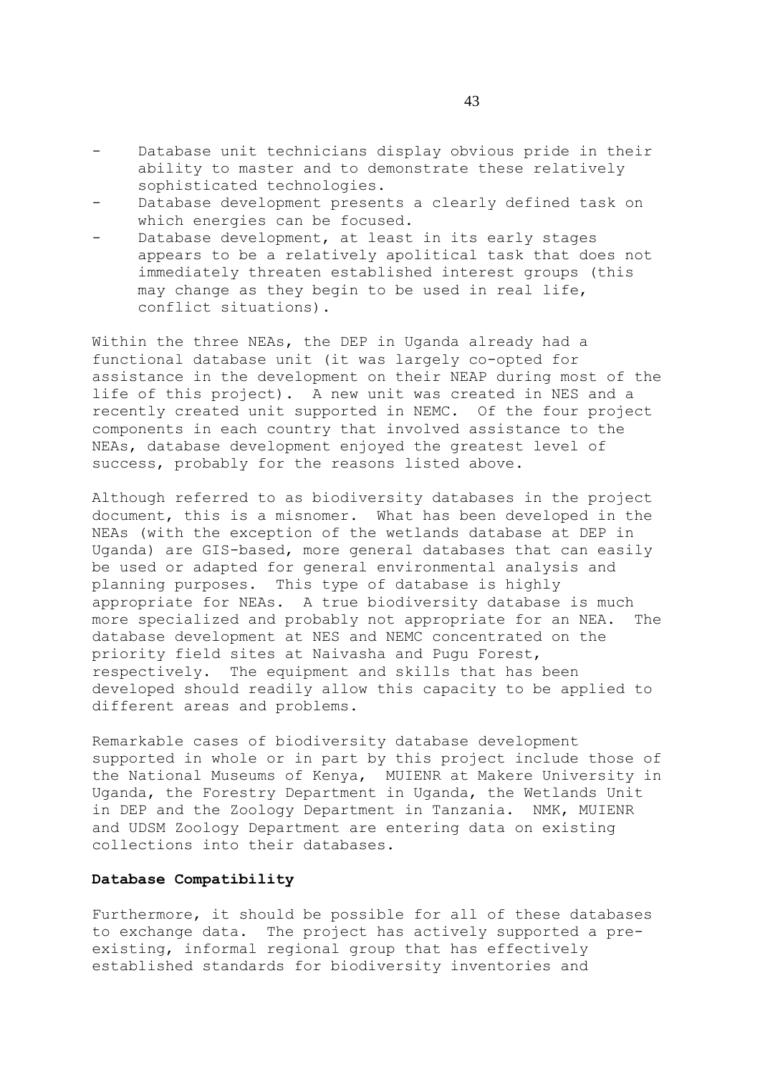- Database unit technicians display obvious pride in their ability to master and to demonstrate these relatively sophisticated technologies.
- Database development presents a clearly defined task on which energies can be focused.
- Database development, at least in its early stages appears to be a relatively apolitical task that does not immediately threaten established interest groups (this may change as they begin to be used in real life, conflict situations).

Within the three NEAs, the DEP in Uganda already had a functional database unit (it was largely co-opted for assistance in the development on their NEAP during most of the life of this project). A new unit was created in NES and a recently created unit supported in NEMC. Of the four project components in each country that involved assistance to the NEAs, database development enjoyed the greatest level of success, probably for the reasons listed above.

Although referred to as biodiversity databases in the project document, this is a misnomer. What has been developed in the NEAs (with the exception of the wetlands database at DEP in Uganda) are GIS-based, more general databases that can easily be used or adapted for general environmental analysis and planning purposes. This type of database is highly appropriate for NEAs. A true biodiversity database is much more specialized and probably not appropriate for an NEA. The database development at NES and NEMC concentrated on the priority field sites at Naivasha and Pugu Forest, respectively. The equipment and skills that has been developed should readily allow this capacity to be applied to different areas and problems.

Remarkable cases of biodiversity database development supported in whole or in part by this project include those of the National Museums of Kenya, MUIENR at Makere University in Uganda, the Forestry Department in Uganda, the Wetlands Unit in DEP and the Zoology Department in Tanzania. NMK, MUIENR and UDSM Zoology Department are entering data on existing collections into their databases.

### **Database Compatibility**

Furthermore, it should be possible for all of these databases to exchange data. The project has actively supported a preexisting, informal regional group that has effectively established standards for biodiversity inventories and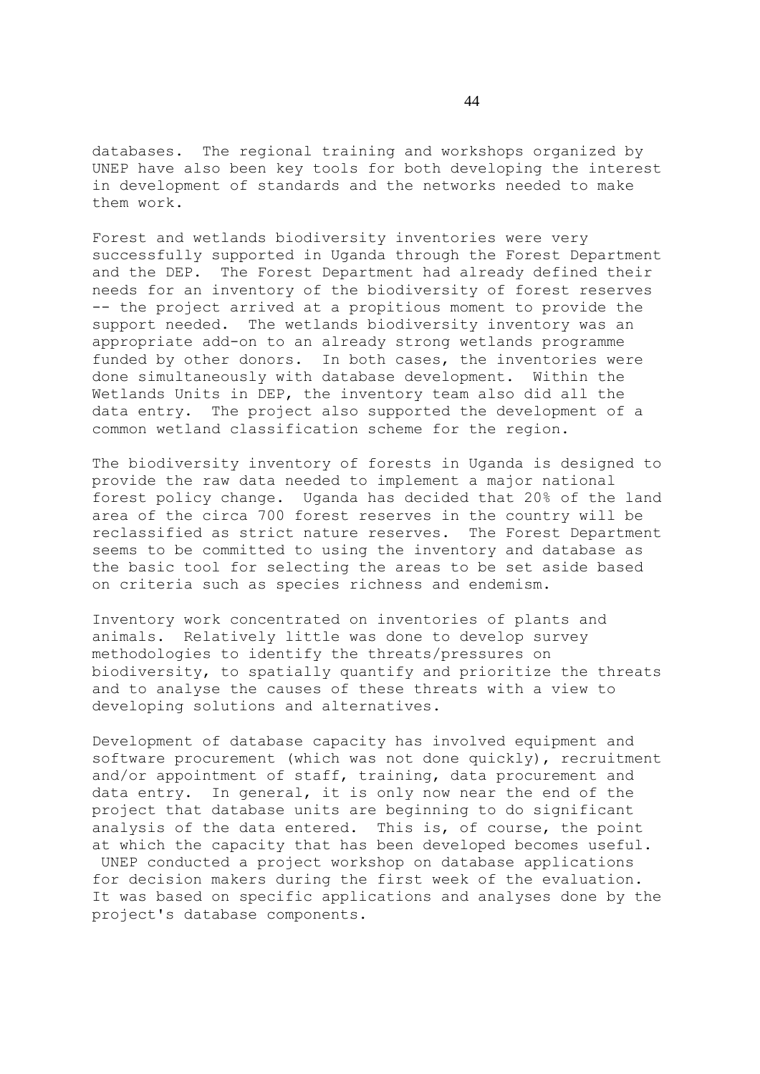databases. The regional training and workshops organized by UNEP have also been key tools for both developing the interest in development of standards and the networks needed to make them work.

Forest and wetlands biodiversity inventories were very successfully supported in Uganda through the Forest Department and the DEP. The Forest Department had already defined their needs for an inventory of the biodiversity of forest reserves -- the project arrived at a propitious moment to provide the support needed. The wetlands biodiversity inventory was an appropriate add-on to an already strong wetlands programme funded by other donors. In both cases, the inventories were done simultaneously with database development. Within the Wetlands Units in DEP, the inventory team also did all the data entry. The project also supported the development of a common wetland classification scheme for the region.

The biodiversity inventory of forests in Uganda is designed to provide the raw data needed to implement a major national forest policy change. Uganda has decided that 20% of the land area of the circa 700 forest reserves in the country will be reclassified as strict nature reserves. The Forest Department seems to be committed to using the inventory and database as the basic tool for selecting the areas to be set aside based on criteria such as species richness and endemism.

Inventory work concentrated on inventories of plants and animals. Relatively little was done to develop survey methodologies to identify the threats/pressures on biodiversity, to spatially quantify and prioritize the threats and to analyse the causes of these threats with a view to developing solutions and alternatives.

Development of database capacity has involved equipment and software procurement (which was not done quickly), recruitment and/or appointment of staff, training, data procurement and data entry. In general, it is only now near the end of the project that database units are beginning to do significant analysis of the data entered. This is, of course, the point at which the capacity that has been developed becomes useful. UNEP conducted a project workshop on database applications for decision makers during the first week of the evaluation. It was based on specific applications and analyses done by the project's database components.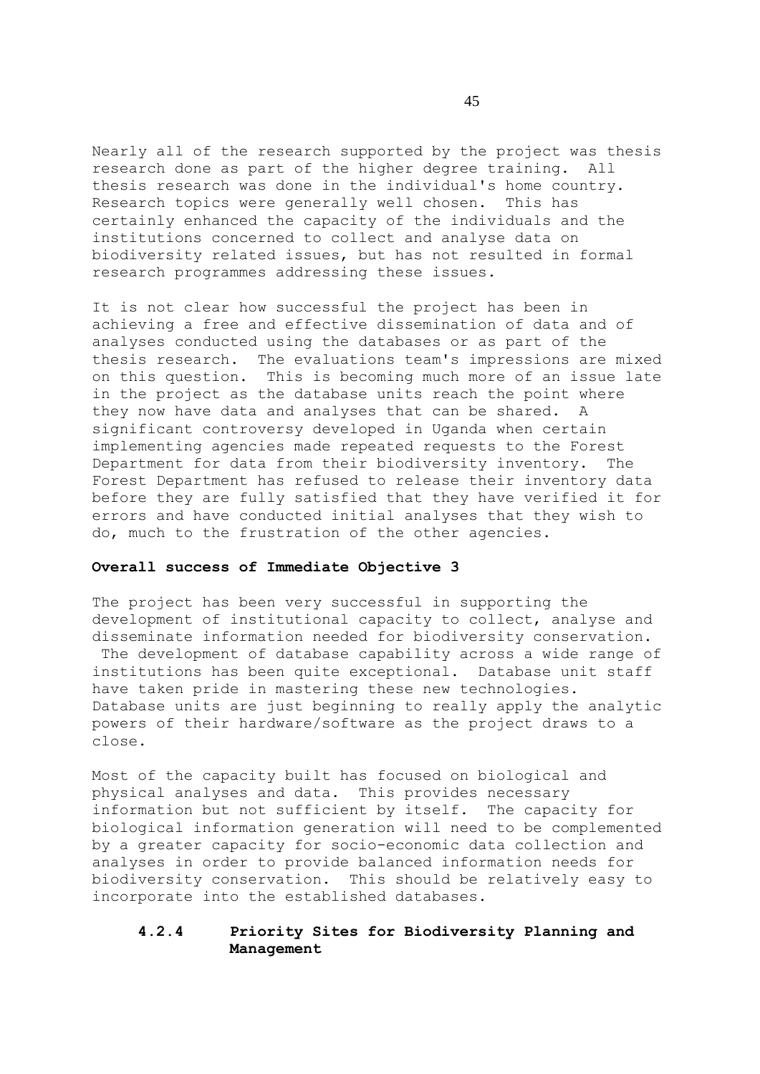Nearly all of the research supported by the project was thesis research done as part of the higher degree training. All thesis research was done in the individual's home country. Research topics were generally well chosen. This has certainly enhanced the capacity of the individuals and the institutions concerned to collect and analyse data on biodiversity related issues, but has not resulted in formal research programmes addressing these issues.

It is not clear how successful the project has been in achieving a free and effective dissemination of data and of analyses conducted using the databases or as part of the thesis research. The evaluations team's impressions are mixed on this question. This is becoming much more of an issue late in the project as the database units reach the point where they now have data and analyses that can be shared. A significant controversy developed in Uganda when certain implementing agencies made repeated requests to the Forest Department for data from their biodiversity inventory. The Forest Department has refused to release their inventory data before they are fully satisfied that they have verified it for errors and have conducted initial analyses that they wish to do, much to the frustration of the other agencies.

### **Overall success of Immediate Objective 3**

The project has been very successful in supporting the development of institutional capacity to collect, analyse and disseminate information needed for biodiversity conservation. The development of database capability across a wide range of institutions has been quite exceptional. Database unit staff have taken pride in mastering these new technologies. Database units are just beginning to really apply the analytic powers of their hardware/software as the project draws to a close.

Most of the capacity built has focused on biological and physical analyses and data. This provides necessary information but not sufficient by itself. The capacity for biological information generation will need to be complemented by a greater capacity for socio-economic data collection and analyses in order to provide balanced information needs for biodiversity conservation. This should be relatively easy to incorporate into the established databases.

# **4.2.4 Priority Sites for Biodiversity Planning and Management**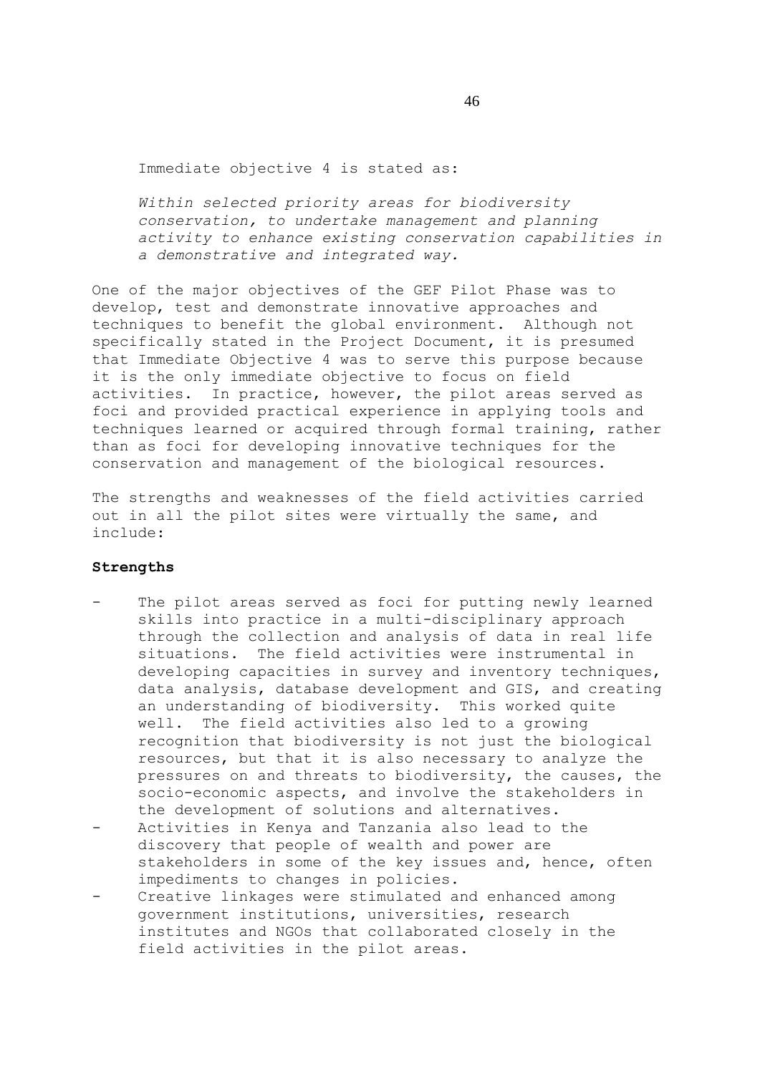Immediate objective 4 is stated as:

*Within selected priority areas for biodiversity conservation, to undertake management and planning activity to enhance existing conservation capabilities in a demonstrative and integrated way.*

One of the major objectives of the GEF Pilot Phase was to develop, test and demonstrate innovative approaches and techniques to benefit the global environment. Although not specifically stated in the Project Document, it is presumed that Immediate Objective 4 was to serve this purpose because it is the only immediate objective to focus on field activities. In practice, however, the pilot areas served as foci and provided practical experience in applying tools and techniques learned or acquired through formal training, rather than as foci for developing innovative techniques for the conservation and management of the biological resources.

The strengths and weaknesses of the field activities carried out in all the pilot sites were virtually the same, and include:

## **Strengths**

- The pilot areas served as foci for putting newly learned skills into practice in a multi-disciplinary approach through the collection and analysis of data in real life situations. The field activities were instrumental in developing capacities in survey and inventory techniques, data analysis, database development and GIS, and creating an understanding of biodiversity. This worked quite well. The field activities also led to a growing recognition that biodiversity is not just the biological resources, but that it is also necessary to analyze the pressures on and threats to biodiversity, the causes, the socio-economic aspects, and involve the stakeholders in the development of solutions and alternatives.
- Activities in Kenya and Tanzania also lead to the discovery that people of wealth and power are stakeholders in some of the key issues and, hence, often impediments to changes in policies.
- Creative linkages were stimulated and enhanced among government institutions, universities, research institutes and NGOs that collaborated closely in the field activities in the pilot areas.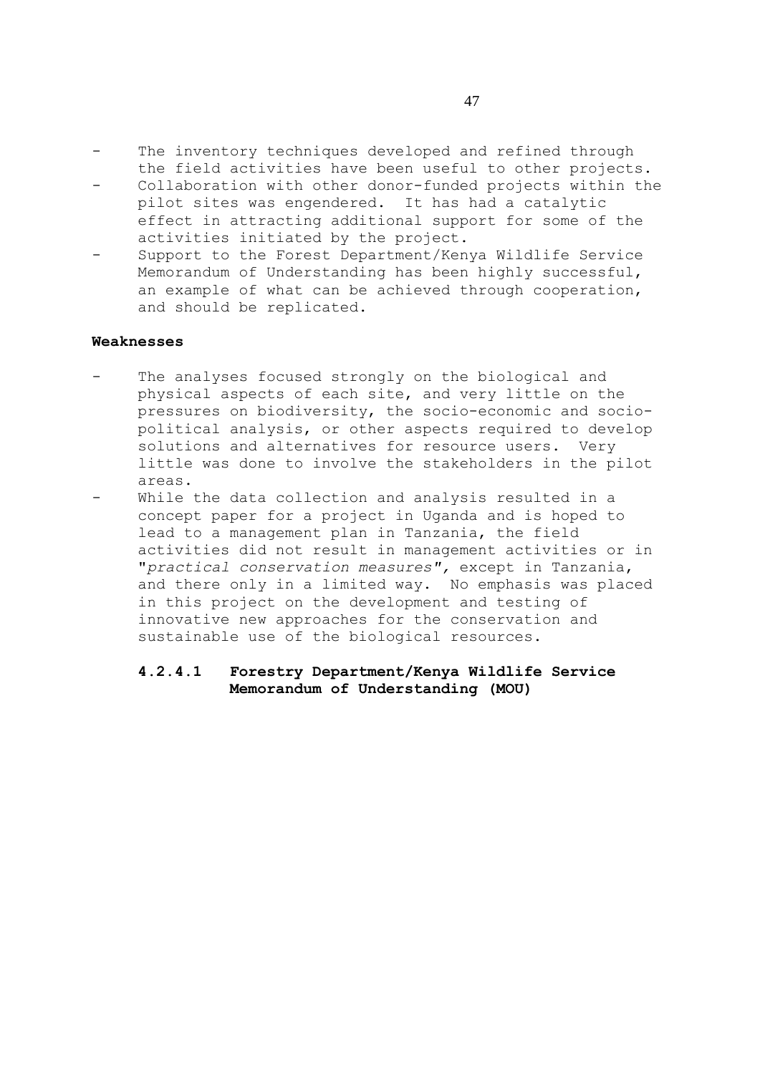- The inventory techniques developed and refined through the field activities have been useful to other projects.
- Collaboration with other donor-funded projects within the pilot sites was engendered. It has had a catalytic effect in attracting additional support for some of the activities initiated by the project.
- Support to the Forest Department/Kenya Wildlife Service Memorandum of Understanding has been highly successful, an example of what can be achieved through cooperation, and should be replicated.

# **Weaknesses**

- The analyses focused strongly on the biological and physical aspects of each site, and very little on the pressures on biodiversity, the socio-economic and sociopolitical analysis, or other aspects required to develop solutions and alternatives for resource users. Very little was done to involve the stakeholders in the pilot areas.
- While the data collection and analysis resulted in a concept paper for a project in Uganda and is hoped to lead to a management plan in Tanzania, the field activities did not result in management activities or in "*practical conservation measures",* except in Tanzania, and there only in a limited way. No emphasis was placed in this project on the development and testing of innovative new approaches for the conservation and sustainable use of the biological resources.

# **4.2.4.1 Forestry Department/Kenya Wildlife Service Memorandum of Understanding (MOU)**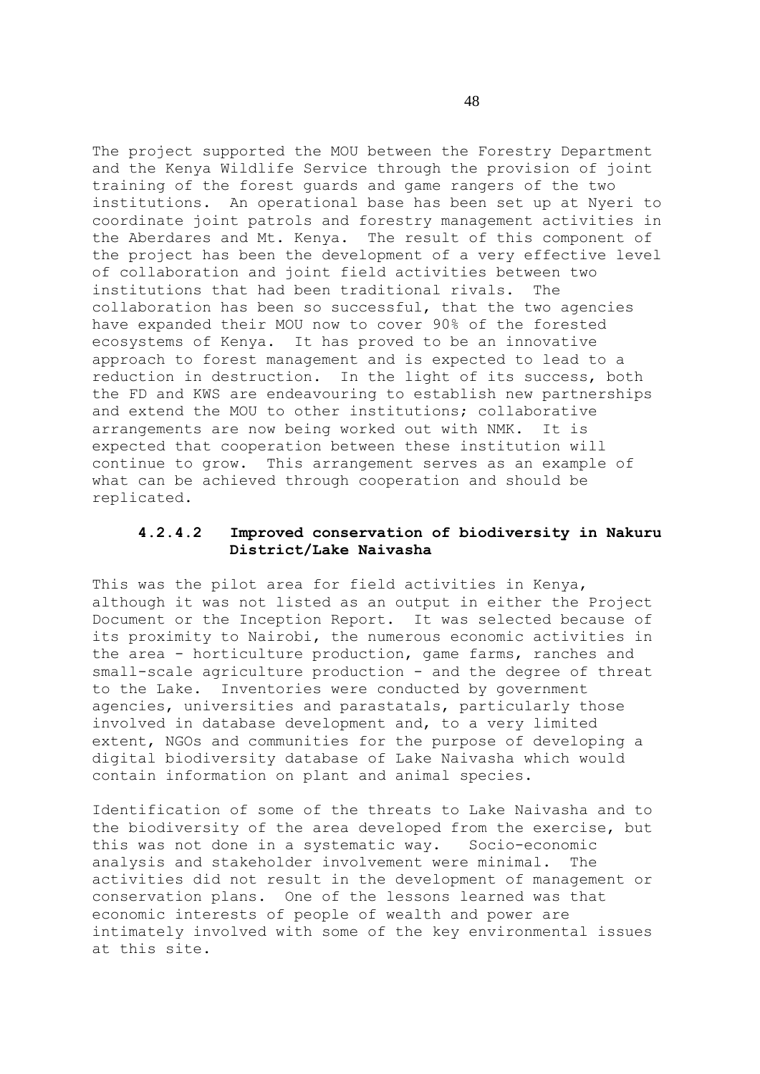The project supported the MOU between the Forestry Department and the Kenya Wildlife Service through the provision of joint training of the forest guards and game rangers of the two institutions. An operational base has been set up at Nyeri to coordinate joint patrols and forestry management activities in the Aberdares and Mt. Kenya. The result of this component of the project has been the development of a very effective level of collaboration and joint field activities between two institutions that had been traditional rivals. The collaboration has been so successful, that the two agencies have expanded their MOU now to cover 90% of the forested ecosystems of Kenya. It has proved to be an innovative approach to forest management and is expected to lead to a reduction in destruction. In the light of its success, both the FD and KWS are endeavouring to establish new partnerships and extend the MOU to other institutions; collaborative arrangements are now being worked out with NMK. It is expected that cooperation between these institution will continue to grow. This arrangement serves as an example of what can be achieved through cooperation and should be replicated.

# **4.2.4.2 Improved conservation of biodiversity in Nakuru District/Lake Naivasha**

This was the pilot area for field activities in Kenya, although it was not listed as an output in either the Project Document or the Inception Report. It was selected because of its proximity to Nairobi, the numerous economic activities in the area - horticulture production, game farms, ranches and small-scale agriculture production - and the degree of threat to the Lake. Inventories were conducted by government agencies, universities and parastatals, particularly those involved in database development and, to a very limited extent, NGOs and communities for the purpose of developing a digital biodiversity database of Lake Naivasha which would contain information on plant and animal species.

Identification of some of the threats to Lake Naivasha and to the biodiversity of the area developed from the exercise, but this was not done in a systematic way. Socio-economic analysis and stakeholder involvement were minimal. The activities did not result in the development of management or conservation plans. One of the lessons learned was that economic interests of people of wealth and power are intimately involved with some of the key environmental issues at this site.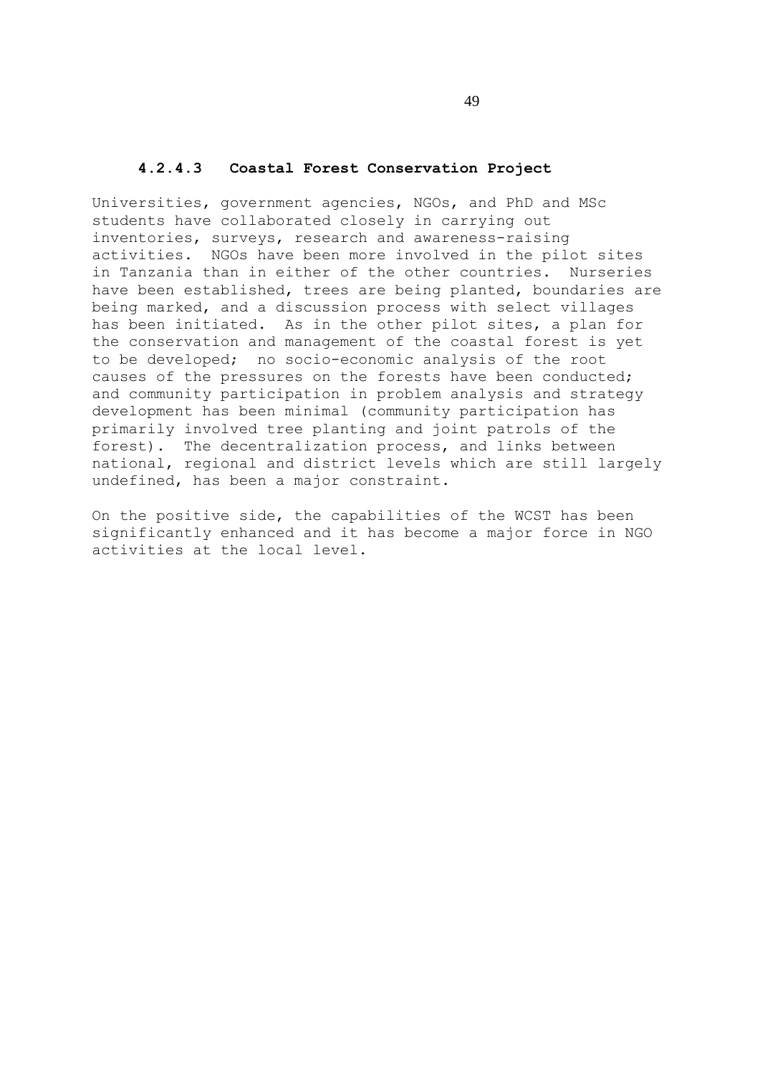### **4.2.4.3 Coastal Forest Conservation Project**

Universities, government agencies, NGOs, and PhD and MSc students have collaborated closely in carrying out inventories, surveys, research and awareness-raising activities. NGOs have been more involved in the pilot sites in Tanzania than in either of the other countries. Nurseries have been established, trees are being planted, boundaries are being marked, and a discussion process with select villages has been initiated. As in the other pilot sites, a plan for the conservation and management of the coastal forest is yet to be developed; no socio-economic analysis of the root causes of the pressures on the forests have been conducted; and community participation in problem analysis and strategy development has been minimal (community participation has primarily involved tree planting and joint patrols of the forest). The decentralization process, and links between national, regional and district levels which are still largely undefined, has been a major constraint.

On the positive side, the capabilities of the WCST has been significantly enhanced and it has become a major force in NGO activities at the local level.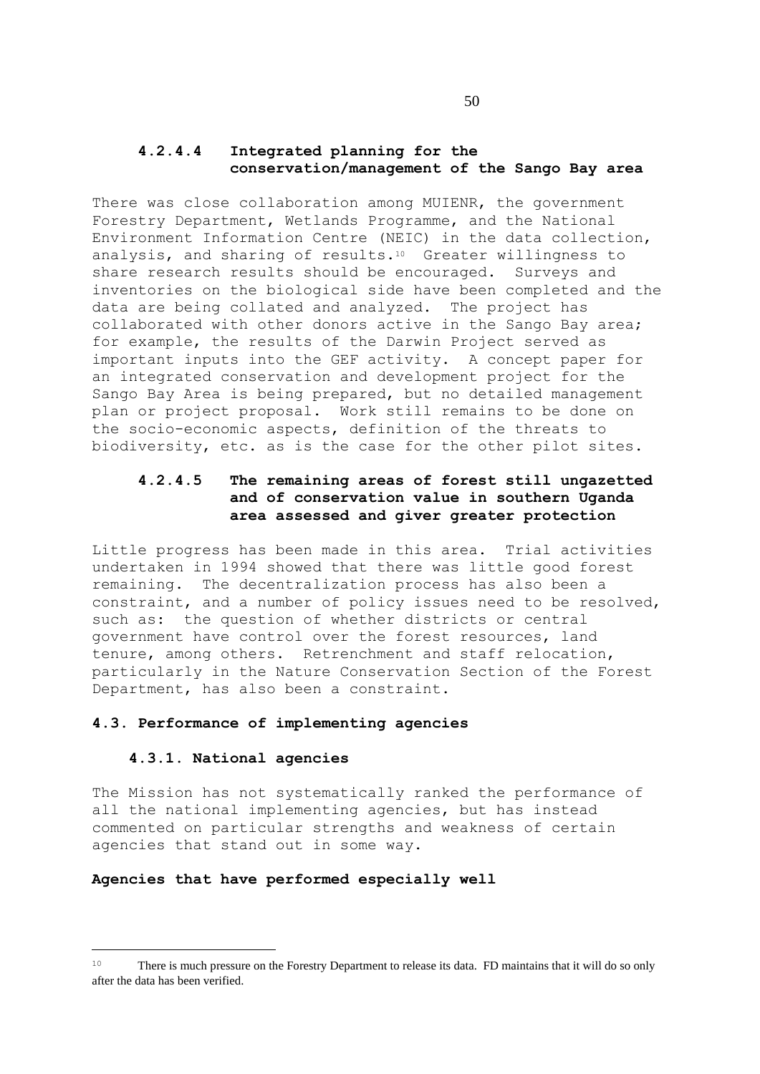# **4.2.4.4 Integrated planning for the conservation/management of the Sango Bay area**

There was close collaboration among MUIENR, the government Forestry Department, Wetlands Programme, and the National Environment Information Centre (NEIC) in the data collection, analysis, and sharing of results.10 Greater willingness to share research results should be encouraged. Surveys and inventories on the biological side have been completed and the data are being collated and analyzed. The project has collaborated with other donors active in the Sango Bay area; for example, the results of the Darwin Project served as important inputs into the GEF activity. A concept paper for an integrated conservation and development project for the Sango Bay Area is being prepared, but no detailed management plan or project proposal. Work still remains to be done on the socio-economic aspects, definition of the threats to biodiversity, etc. as is the case for the other pilot sites.

# **4.2.4.5 The remaining areas of forest still ungazetted and of conservation value in southern Uganda area assessed and giver greater protection**

Little progress has been made in this area. Trial activities undertaken in 1994 showed that there was little good forest remaining. The decentralization process has also been a constraint, and a number of policy issues need to be resolved, such as: the question of whether districts or central government have control over the forest resources, land tenure, among others. Retrenchment and staff relocation, particularly in the Nature Conservation Section of the Forest Department, has also been a constraint.

### **4.3. Performance of implementing agencies**

### **4.3.1. National agencies**

The Mission has not systematically ranked the performance of all the national implementing agencies, but has instead commented on particular strengths and weakness of certain agencies that stand out in some way.

### **Agencies that have performed especially well**

<sup>&</sup>lt;sup>10</sup> There is much pressure on the Forestry Department to release its data. FD maintains that it will do so only after the data has been verified.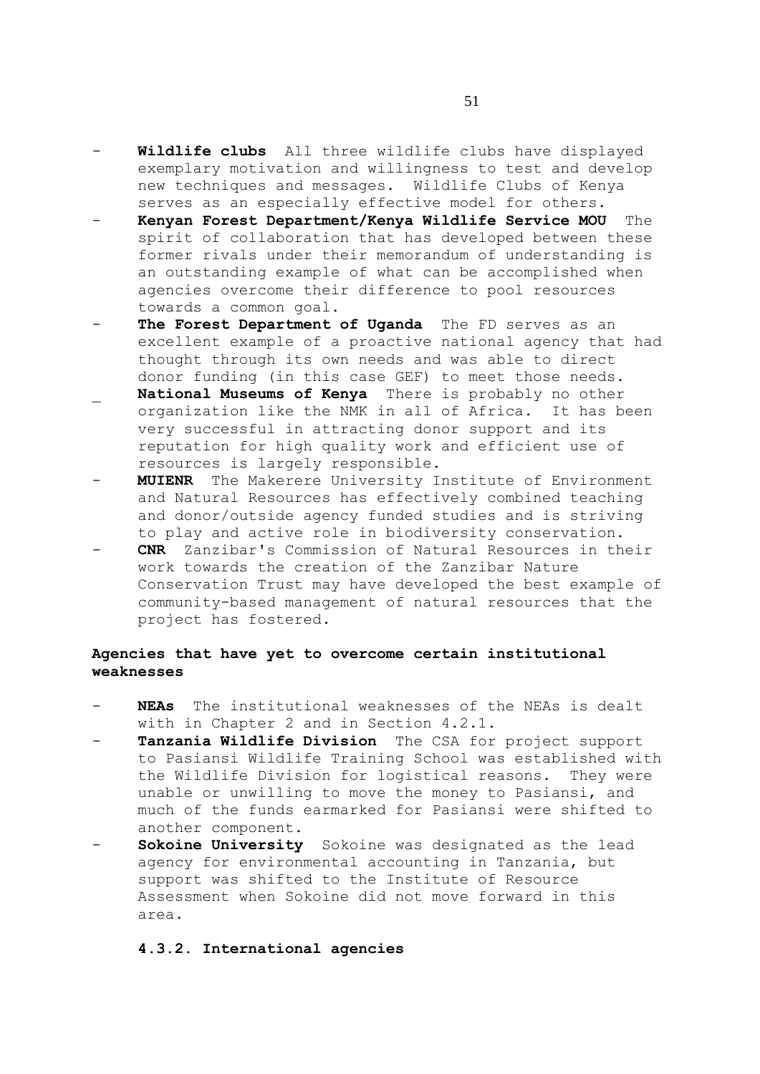- Wildlife clubs All three wildlife clubs have displayed exemplary motivation and willingness to test and develop new techniques and messages. Wildlife Clubs of Kenya serves as an especially effective model for others.
- **Kenyan Forest Department/Kenya Wildlife Service MOU** The spirit of collaboration that has developed between these former rivals under their memorandum of understanding is an outstanding example of what can be accomplished when agencies overcome their difference to pool resources towards a common goal.
- The Forest Department of Uganda The FD serves as an excellent example of a proactive national agency that had thought through its own needs and was able to direct donor funding (in this case GEF) to meet those needs.
- National Museums of Kenya There is probably no other organization like the NMK in all of Africa. It has been very successful in attracting donor support and its reputation for high quality work and efficient use of resources is largely responsible.
- **MUIENR** The Makerere University Institute of Environment and Natural Resources has effectively combined teaching and donor/outside agency funded studies and is striving to play and active role in biodiversity conservation.
- **CNR** Zanzibar's Commission of Natural Resources in their work towards the creation of the Zanzibar Nature Conservation Trust may have developed the best example of community-based management of natural resources that the project has fostered.

# **Agencies that have yet to overcome certain institutional weaknesses**

- NEAs The institutional weaknesses of the NEAs is dealt with in Chapter 2 and in Section 4.2.1.
- Tanzania Wildlife Division The CSA for project support to Pasiansi Wildlife Training School was established with the Wildlife Division for logistical reasons. They were unable or unwilling to move the money to Pasiansi, and much of the funds earmarked for Pasiansi were shifted to another component.
- Sokoine University Sokoine was designated as the lead agency for environmental accounting in Tanzania, but support was shifted to the Institute of Resource Assessment when Sokoine did not move forward in this area.

### **4.3.2. International agencies**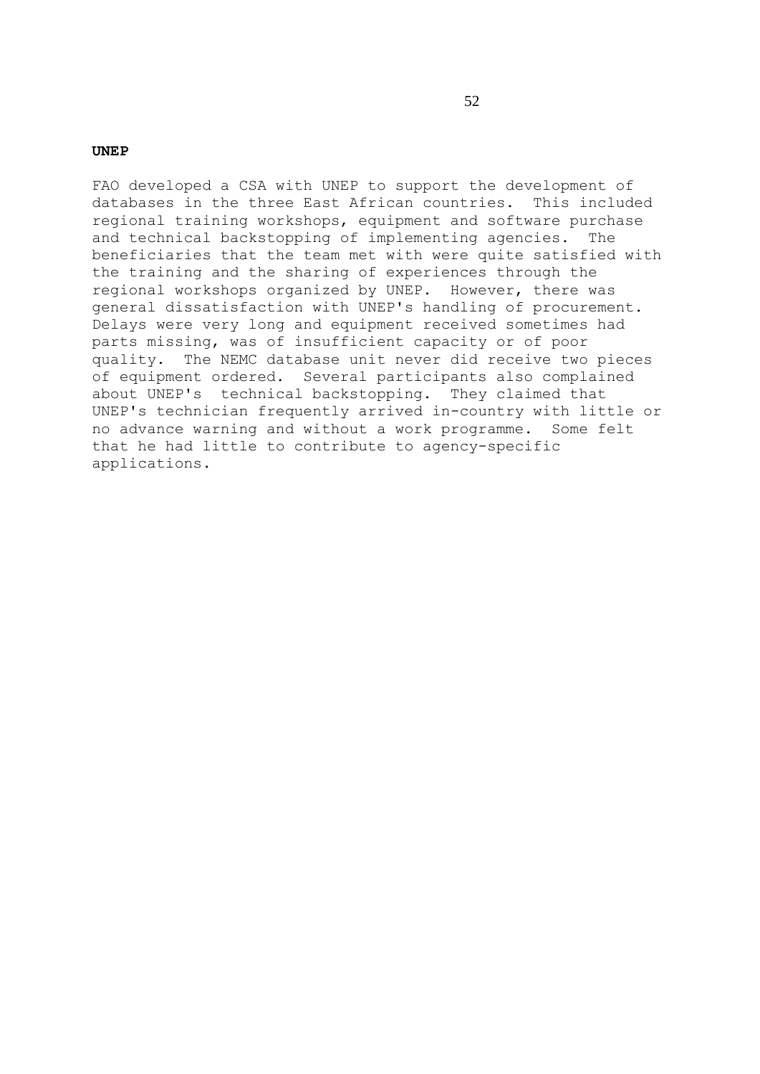#### **UNEP**

FAO developed a CSA with UNEP to support the development of databases in the three East African countries. This included regional training workshops, equipment and software purchase and technical backstopping of implementing agencies. The beneficiaries that the team met with were quite satisfied with the training and the sharing of experiences through the regional workshops organized by UNEP. However, there was general dissatisfaction with UNEP's handling of procurement. Delays were very long and equipment received sometimes had parts missing, was of insufficient capacity or of poor quality. The NEMC database unit never did receive two pieces of equipment ordered. Several participants also complained about UNEP's technical backstopping. They claimed that UNEP's technician frequently arrived in-country with little or no advance warning and without a work programme. Some felt that he had little to contribute to agency-specific applications.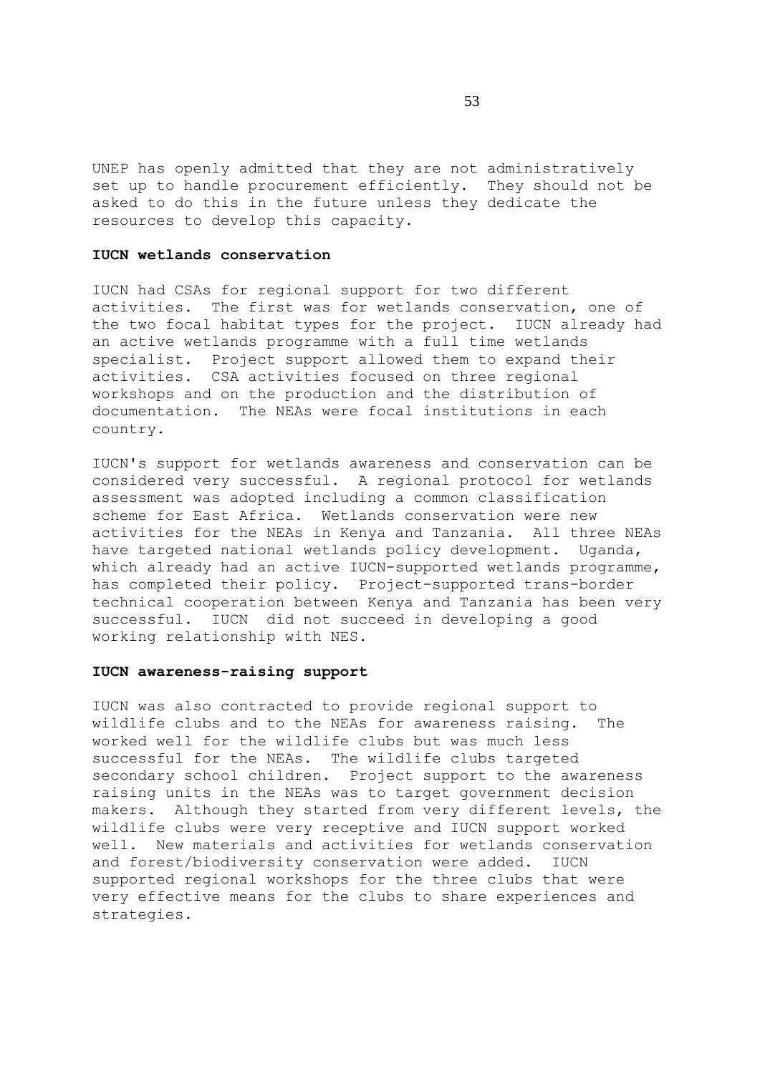UNEP has openly admitted that they are not administratively set up to handle procurement efficiently. They should not be asked to do this in the future unless they dedicate the resources to develop this capacity.

#### **IUCN wetlands conservation**

IUCN had CSAs for regional support for two different activities. The first was for wetlands conservation, one of the two focal habitat types for the project. IUCN already had an active wetlands programme with a full time wetlands specialist. Project support allowed them to expand their activities. CSA activities focused on three regional workshops and on the production and the distribution of documentation. The NEAs were focal institutions in each country.

IUCN's support for wetlands awareness and conservation can be considered very successful. A regional protocol for wetlands assessment was adopted including a common classification scheme for East Africa. Wetlands conservation were new activities for the NEAs in Kenya and Tanzania. All three NEAs have targeted national wetlands policy development. Uganda, which already had an active IUCN-supported wetlands programme, has completed their policy. Project-supported trans-border technical cooperation between Kenya and Tanzania has been very successful. IUCN did not succeed in developing a good working relationship with NES.

### **IUCN awareness-raising support**

IUCN was also contracted to provide regional support to wildlife clubs and to the NEAs for awareness raising. The worked well for the wildlife clubs but was much less successful for the NEAs. The wildlife clubs targeted secondary school children. Project support to the awareness raising units in the NEAs was to target government decision makers. Although they started from very different levels, the wildlife clubs were very receptive and IUCN support worked well. New materials and activities for wetlands conservation and forest/biodiversity conservation were added. IUCN supported regional workshops for the three clubs that were very effective means for the clubs to share experiences and strategies.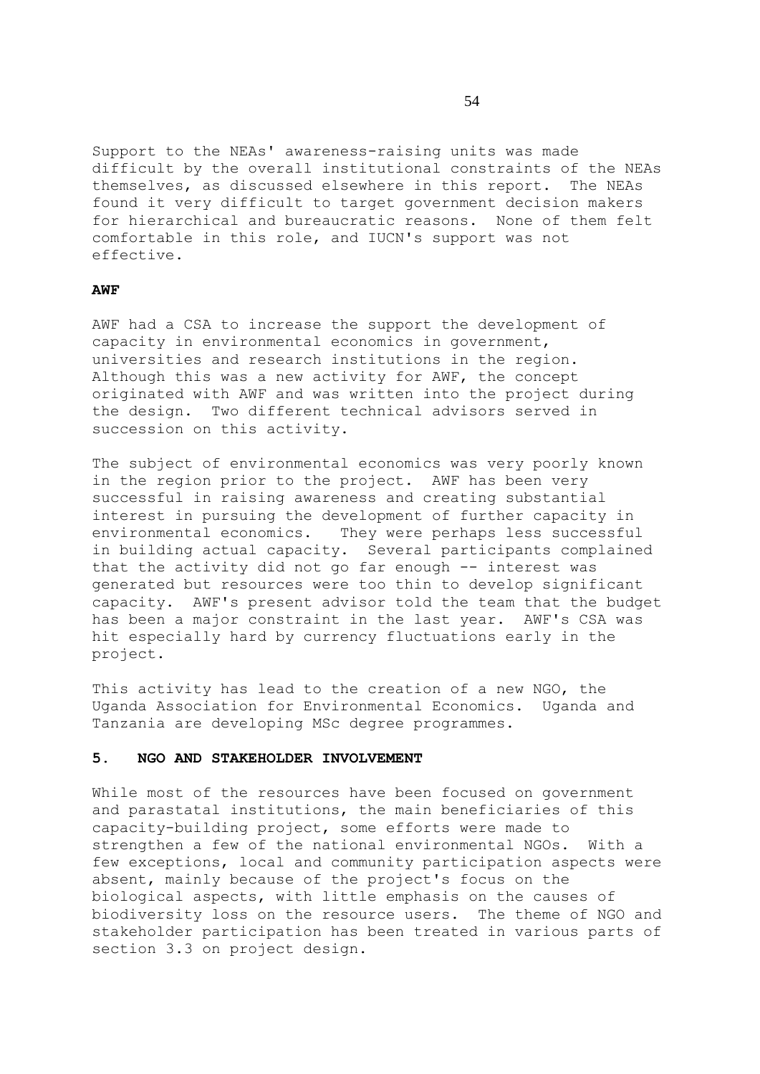Support to the NEAs' awareness-raising units was made difficult by the overall institutional constraints of the NEAs themselves, as discussed elsewhere in this report. The NEAs found it very difficult to target government decision makers for hierarchical and bureaucratic reasons. None of them felt comfortable in this role, and IUCN's support was not effective.

#### **AWF**

AWF had a CSA to increase the support the development of capacity in environmental economics in government, universities and research institutions in the region. Although this was a new activity for AWF, the concept originated with AWF and was written into the project during the design. Two different technical advisors served in succession on this activity.

The subject of environmental economics was very poorly known in the region prior to the project. AWF has been very successful in raising awareness and creating substantial interest in pursuing the development of further capacity in environmental economics. They were perhaps less successful in building actual capacity. Several participants complained that the activity did not go far enough -- interest was generated but resources were too thin to develop significant capacity. AWF's present advisor told the team that the budget has been a major constraint in the last year. AWF's CSA was hit especially hard by currency fluctuations early in the project.

This activity has lead to the creation of a new NGO, the Uganda Association for Environmental Economics. Uganda and Tanzania are developing MSc degree programmes.

### **5. NGO AND STAKEHOLDER INVOLVEMENT**

While most of the resources have been focused on government and parastatal institutions, the main beneficiaries of this capacity-building project, some efforts were made to strengthen a few of the national environmental NGOs. With a few exceptions, local and community participation aspects were absent, mainly because of the project's focus on the biological aspects, with little emphasis on the causes of biodiversity loss on the resource users. The theme of NGO and stakeholder participation has been treated in various parts of section 3.3 on project design.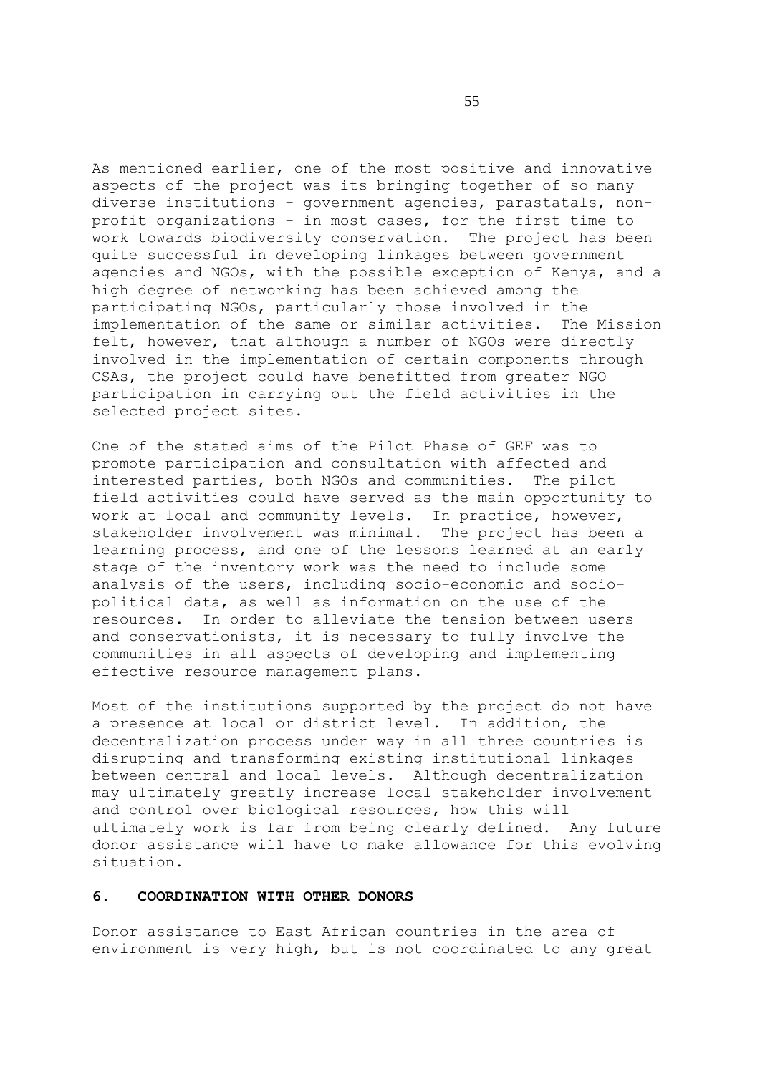As mentioned earlier, one of the most positive and innovative aspects of the project was its bringing together of so many diverse institutions - government agencies, parastatals, nonprofit organizations - in most cases, for the first time to work towards biodiversity conservation. The project has been quite successful in developing linkages between government agencies and NGOs, with the possible exception of Kenya, and a high degree of networking has been achieved among the participating NGOs, particularly those involved in the implementation of the same or similar activities. The Mission felt, however, that although a number of NGOs were directly involved in the implementation of certain components through CSAs, the project could have benefitted from greater NGO participation in carrying out the field activities in the selected project sites.

One of the stated aims of the Pilot Phase of GEF was to promote participation and consultation with affected and interested parties, both NGOs and communities. The pilot field activities could have served as the main opportunity to work at local and community levels. In practice, however, stakeholder involvement was minimal. The project has been a learning process, and one of the lessons learned at an early stage of the inventory work was the need to include some analysis of the users, including socio-economic and sociopolitical data, as well as information on the use of the resources. In order to alleviate the tension between users and conservationists, it is necessary to fully involve the communities in all aspects of developing and implementing effective resource management plans.

Most of the institutions supported by the project do not have a presence at local or district level. In addition, the decentralization process under way in all three countries is disrupting and transforming existing institutional linkages between central and local levels. Although decentralization may ultimately greatly increase local stakeholder involvement and control over biological resources, how this will ultimately work is far from being clearly defined. Any future donor assistance will have to make allowance for this evolving situation.

#### **6. COORDINATION WITH OTHER DONORS**

Donor assistance to East African countries in the area of environment is very high, but is not coordinated to any great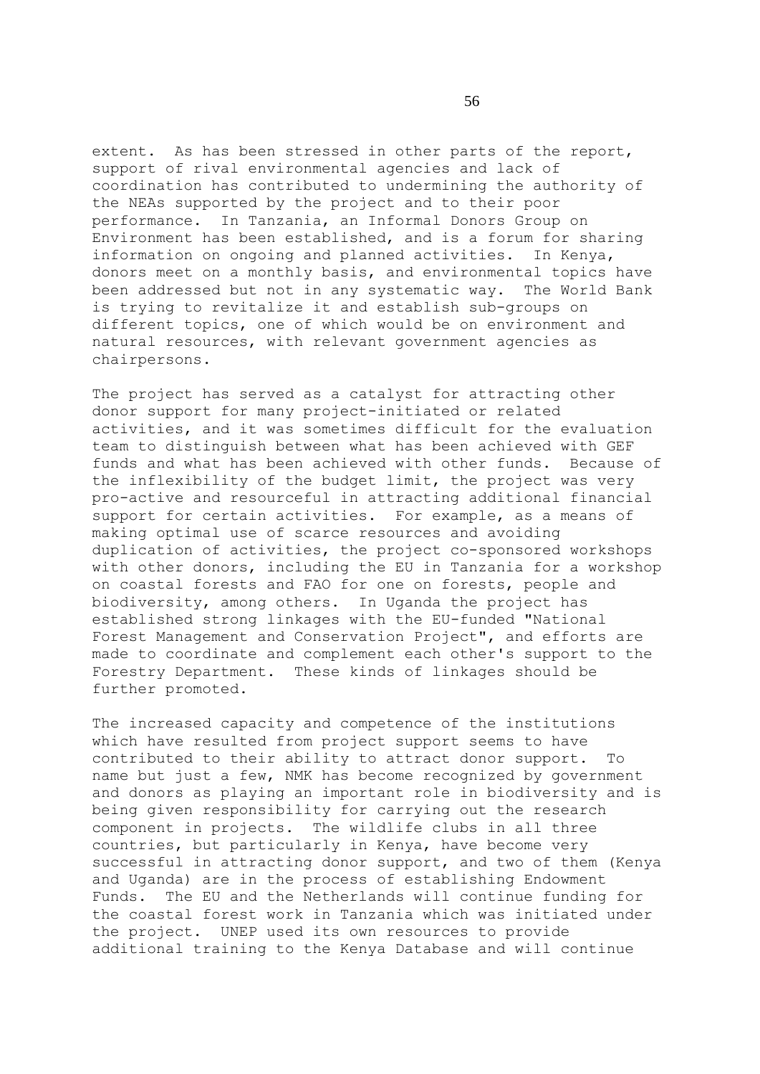extent. As has been stressed in other parts of the report, support of rival environmental agencies and lack of coordination has contributed to undermining the authority of the NEAs supported by the project and to their poor performance. In Tanzania, an Informal Donors Group on Environment has been established, and is a forum for sharing information on ongoing and planned activities. In Kenya, donors meet on a monthly basis, and environmental topics have been addressed but not in any systematic way. The World Bank is trying to revitalize it and establish sub-groups on different topics, one of which would be on environment and natural resources, with relevant government agencies as chairpersons.

The project has served as a catalyst for attracting other donor support for many project-initiated or related activities, and it was sometimes difficult for the evaluation team to distinguish between what has been achieved with GEF funds and what has been achieved with other funds. Because of the inflexibility of the budget limit, the project was very pro-active and resourceful in attracting additional financial support for certain activities. For example, as a means of making optimal use of scarce resources and avoiding duplication of activities, the project co-sponsored workshops with other donors, including the EU in Tanzania for a workshop on coastal forests and FAO for one on forests, people and biodiversity, among others. In Uganda the project has established strong linkages with the EU-funded "National Forest Management and Conservation Project", and efforts are made to coordinate and complement each other's support to the Forestry Department. These kinds of linkages should be further promoted.

The increased capacity and competence of the institutions which have resulted from project support seems to have contributed to their ability to attract donor support. To name but just a few, NMK has become recognized by government and donors as playing an important role in biodiversity and is being given responsibility for carrying out the research component in projects. The wildlife clubs in all three countries, but particularly in Kenya, have become very successful in attracting donor support, and two of them (Kenya and Uganda) are in the process of establishing Endowment Funds. The EU and the Netherlands will continue funding for the coastal forest work in Tanzania which was initiated under the project. UNEP used its own resources to provide additional training to the Kenya Database and will continue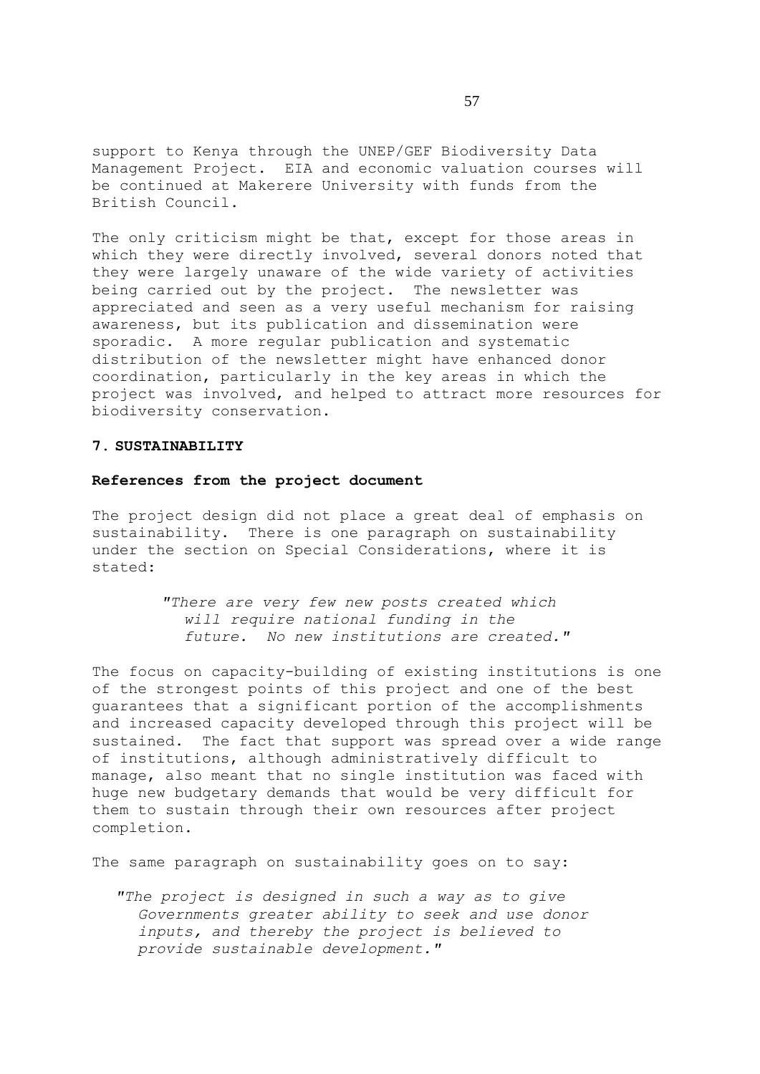support to Kenya through the UNEP/GEF Biodiversity Data Management Project. EIA and economic valuation courses will be continued at Makerere University with funds from the British Council.

The only criticism might be that, except for those areas in which they were directly involved, several donors noted that they were largely unaware of the wide variety of activities being carried out by the project. The newsletter was appreciated and seen as a very useful mechanism for raising awareness, but its publication and dissemination were sporadic. A more regular publication and systematic distribution of the newsletter might have enhanced donor coordination, particularly in the key areas in which the project was involved, and helped to attract more resources for biodiversity conservation.

### **7. SUSTAINABILITY**

# **References from the project document**

The project design did not place a great deal of emphasis on sustainability. There is one paragraph on sustainability under the section on Special Considerations, where it is stated:

> *"There are very few new posts created which will require national funding in the future. No new institutions are created."*

The focus on capacity-building of existing institutions is one of the strongest points of this project and one of the best guarantees that a significant portion of the accomplishments and increased capacity developed through this project will be sustained. The fact that support was spread over a wide range of institutions, although administratively difficult to manage, also meant that no single institution was faced with huge new budgetary demands that would be very difficult for them to sustain through their own resources after project completion.

The same paragraph on sustainability goes on to say:

*"The project is designed in such a way as to give Governments greater ability to seek and use donor inputs, and thereby the project is believed to provide sustainable development."*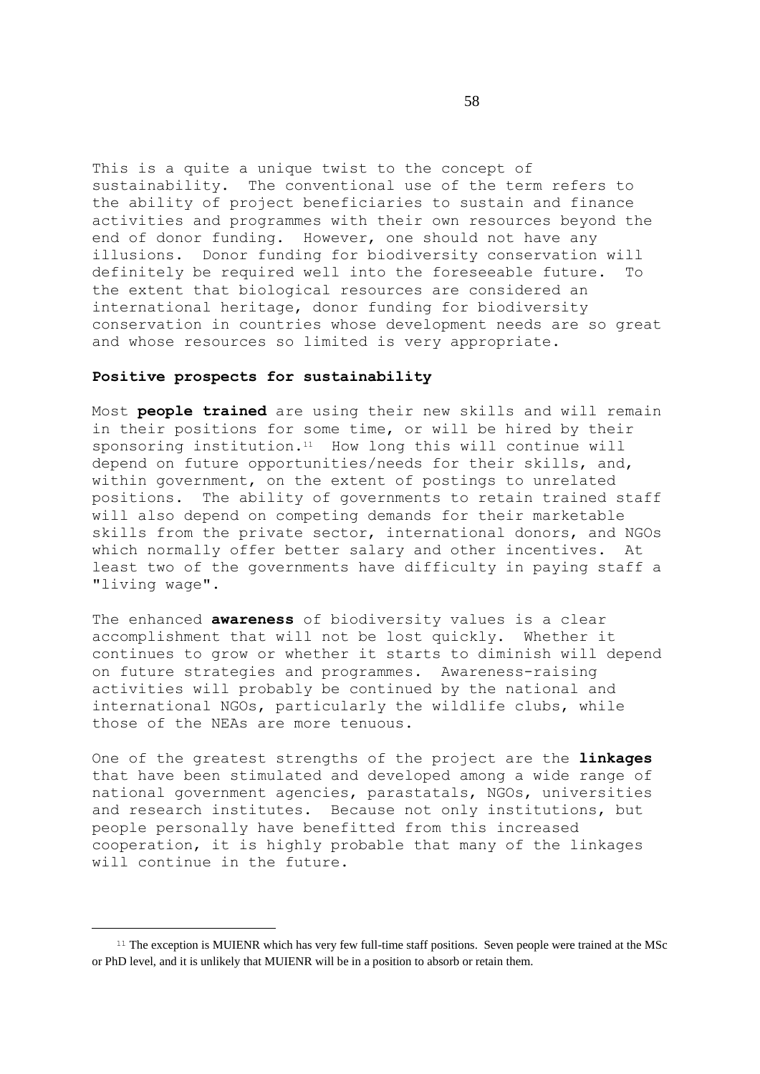This is a quite a unique twist to the concept of sustainability. The conventional use of the term refers to the ability of project beneficiaries to sustain and finance activities and programmes with their own resources beyond the end of donor funding. However, one should not have any illusions. Donor funding for biodiversity conservation will definitely be required well into the foreseeable future. To the extent that biological resources are considered an international heritage, donor funding for biodiversity conservation in countries whose development needs are so great and whose resources so limited is very appropriate.

### **Positive prospects for sustainability**

Most **people trained** are using their new skills and will remain in their positions for some time, or will be hired by their sponsoring institution.11 How long this will continue will depend on future opportunities/needs for their skills, and, within government, on the extent of postings to unrelated positions. The ability of governments to retain trained staff will also depend on competing demands for their marketable skills from the private sector, international donors, and NGOs which normally offer better salary and other incentives. At least two of the governments have difficulty in paying staff a "living wage".

The enhanced **awareness** of biodiversity values is a clear accomplishment that will not be lost quickly. Whether it continues to grow or whether it starts to diminish will depend on future strategies and programmes. Awareness-raising activities will probably be continued by the national and international NGOs, particularly the wildlife clubs, while those of the NEAs are more tenuous.

One of the greatest strengths of the project are the **linkages** that have been stimulated and developed among a wide range of national government agencies, parastatals, NGOs, universities and research institutes. Because not only institutions, but people personally have benefitted from this increased cooperation, it is highly probable that many of the linkages will continue in the future.

<sup>&</sup>lt;sup>11</sup> The exception is MUIENR which has very few full-time staff positions. Seven people were trained at the MSc or PhD level, and it is unlikely that MUIENR will be in a position to absorb or retain them.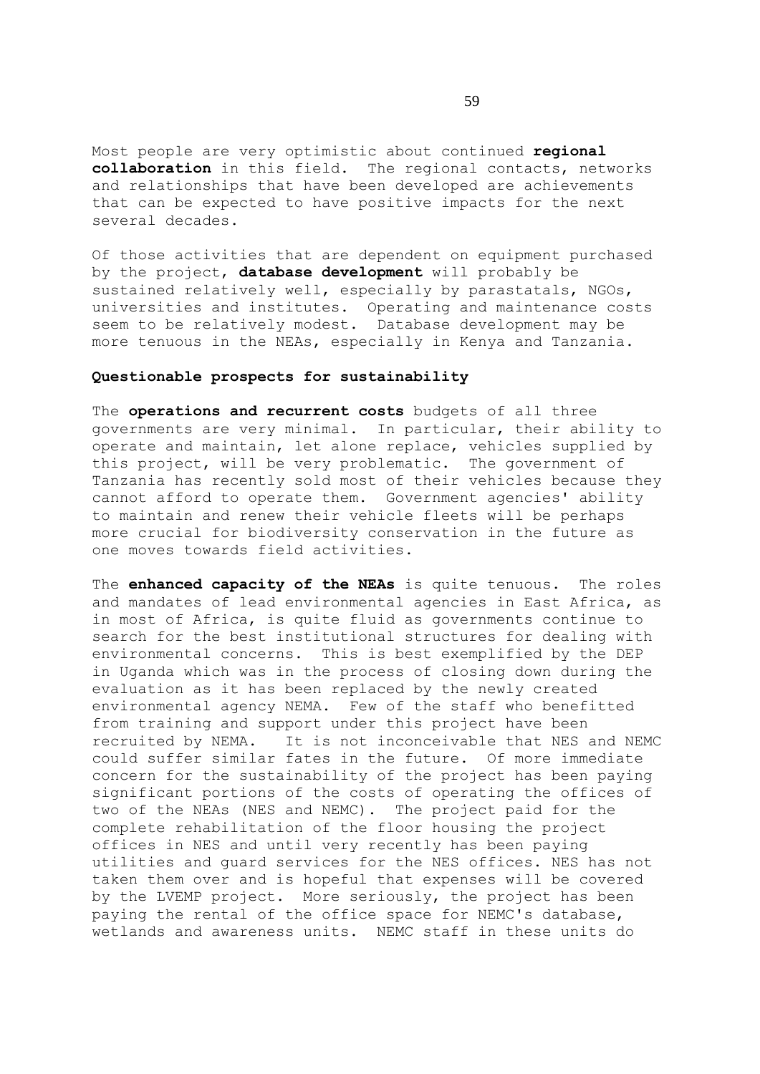Most people are very optimistic about continued **regional collaboration** in this field. The regional contacts, networks and relationships that have been developed are achievements that can be expected to have positive impacts for the next several decades.

Of those activities that are dependent on equipment purchased by the project, **database development** will probably be sustained relatively well, especially by parastatals, NGOs, universities and institutes. Operating and maintenance costs seem to be relatively modest. Database development may be more tenuous in the NEAs, especially in Kenya and Tanzania.

#### **Questionable prospects for sustainability**

The **operations and recurrent costs** budgets of all three governments are very minimal. In particular, their ability to operate and maintain, let alone replace, vehicles supplied by this project, will be very problematic. The government of Tanzania has recently sold most of their vehicles because they cannot afford to operate them. Government agencies' ability to maintain and renew their vehicle fleets will be perhaps more crucial for biodiversity conservation in the future as one moves towards field activities.

The **enhanced capacity of the NEAs** is quite tenuous. The roles and mandates of lead environmental agencies in East Africa, as in most of Africa, is quite fluid as governments continue to search for the best institutional structures for dealing with environmental concerns. This is best exemplified by the DEP in Uganda which was in the process of closing down during the evaluation as it has been replaced by the newly created environmental agency NEMA. Few of the staff who benefitted from training and support under this project have been recruited by NEMA. It is not inconceivable that NES and NEMC could suffer similar fates in the future. Of more immediate concern for the sustainability of the project has been paying significant portions of the costs of operating the offices of two of the NEAs (NES and NEMC). The project paid for the complete rehabilitation of the floor housing the project offices in NES and until very recently has been paying utilities and guard services for the NES offices. NES has not taken them over and is hopeful that expenses will be covered by the LVEMP project. More seriously, the project has been paying the rental of the office space for NEMC's database, wetlands and awareness units. NEMC staff in these units do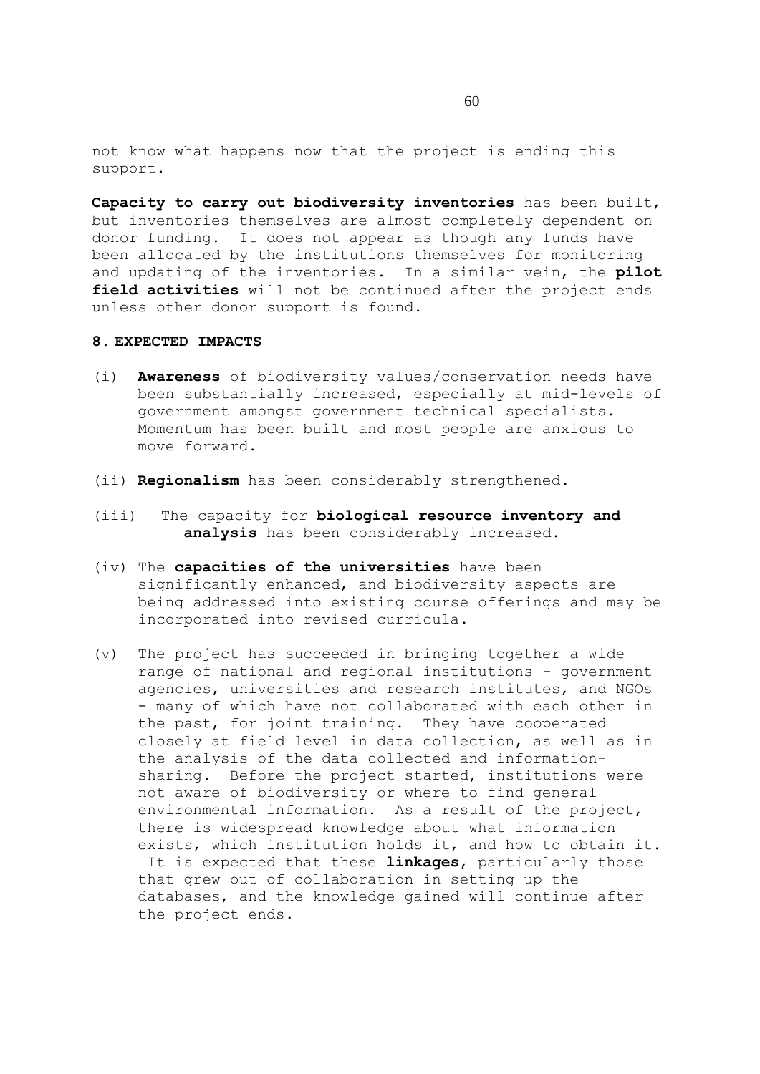not know what happens now that the project is ending this support.

**Capacity to carry out biodiversity inventories** has been built, but inventories themselves are almost completely dependent on donor funding. It does not appear as though any funds have been allocated by the institutions themselves for monitoring and updating of the inventories. In a similar vein, the **pilot field activities** will not be continued after the project ends unless other donor support is found.

### **8. EXPECTED IMPACTS**

- (i) **Awareness** of biodiversity values/conservation needs have been substantially increased, especially at mid-levels of government amongst government technical specialists. Momentum has been built and most people are anxious to move forward.
- (ii) **Regionalism** has been considerably strengthened.
- (iii) The capacity for **biological resource inventory and analysis** has been considerably increased.
- (iv) The **capacities of the universities** have been significantly enhanced, and biodiversity aspects are being addressed into existing course offerings and may be incorporated into revised curricula.
- (v) The project has succeeded in bringing together a wide range of national and regional institutions - government agencies, universities and research institutes, and NGOs - many of which have not collaborated with each other in the past, for joint training. They have cooperated closely at field level in data collection, as well as in the analysis of the data collected and informationsharing. Before the project started, institutions were not aware of biodiversity or where to find general environmental information. As a result of the project, there is widespread knowledge about what information exists, which institution holds it, and how to obtain it. It is expected that these **linkages**, particularly those that grew out of collaboration in setting up the databases, and the knowledge gained will continue after the project ends.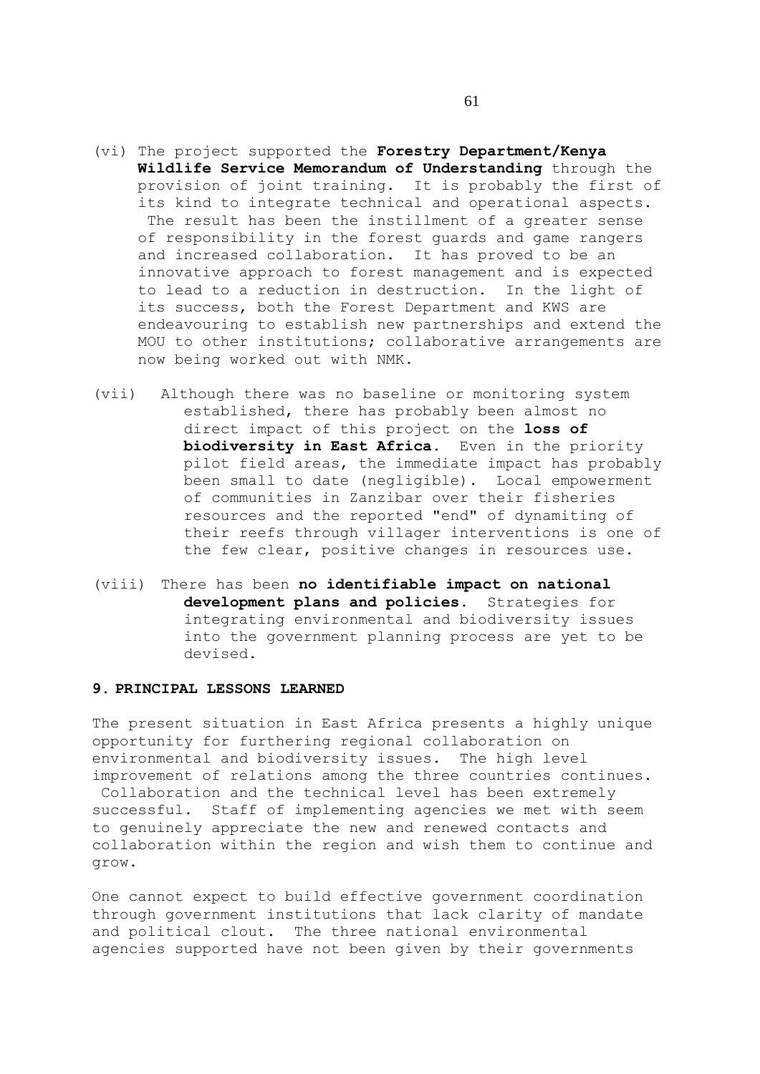- (vi) The project supported the **Forestry Department/Kenya Wildlife Service Memorandum of Understanding** through the provision of joint training. It is probably the first of its kind to integrate technical and operational aspects. The result has been the instillment of a greater sense of responsibility in the forest guards and game rangers and increased collaboration. It has proved to be an innovative approach to forest management and is expected to lead to a reduction in destruction. In the light of its success, both the Forest Department and KWS are endeavouring to establish new partnerships and extend the MOU to other institutions; collaborative arrangements are now being worked out with NMK.
- (vii) Although there was no baseline or monitoring system established, there has probably been almost no direct impact of this project on the **loss of biodiversity in East Africa**. Even in the priority pilot field areas, the immediate impact has probably been small to date (negligible). Local empowerment of communities in Zanzibar over their fisheries resources and the reported "end" of dynamiting of their reefs through villager interventions is one of the few clear, positive changes in resources use.
- (viii) There has been **no identifiable impact on national development plans and policies**. Strategies for integrating environmental and biodiversity issues into the government planning process are yet to be devised.

# **9. PRINCIPAL LESSONS LEARNED**

grow.

The present situation in East Africa presents a highly unique opportunity for furthering regional collaboration on environmental and biodiversity issues. The high level improvement of relations among the three countries continues. Collaboration and the technical level has been extremely successful. Staff of implementing agencies we met with seem to genuinely appreciate the new and renewed contacts and collaboration within the region and wish them to continue and

One cannot expect to build effective government coordination through government institutions that lack clarity of mandate and political clout. The three national environmental agencies supported have not been given by their governments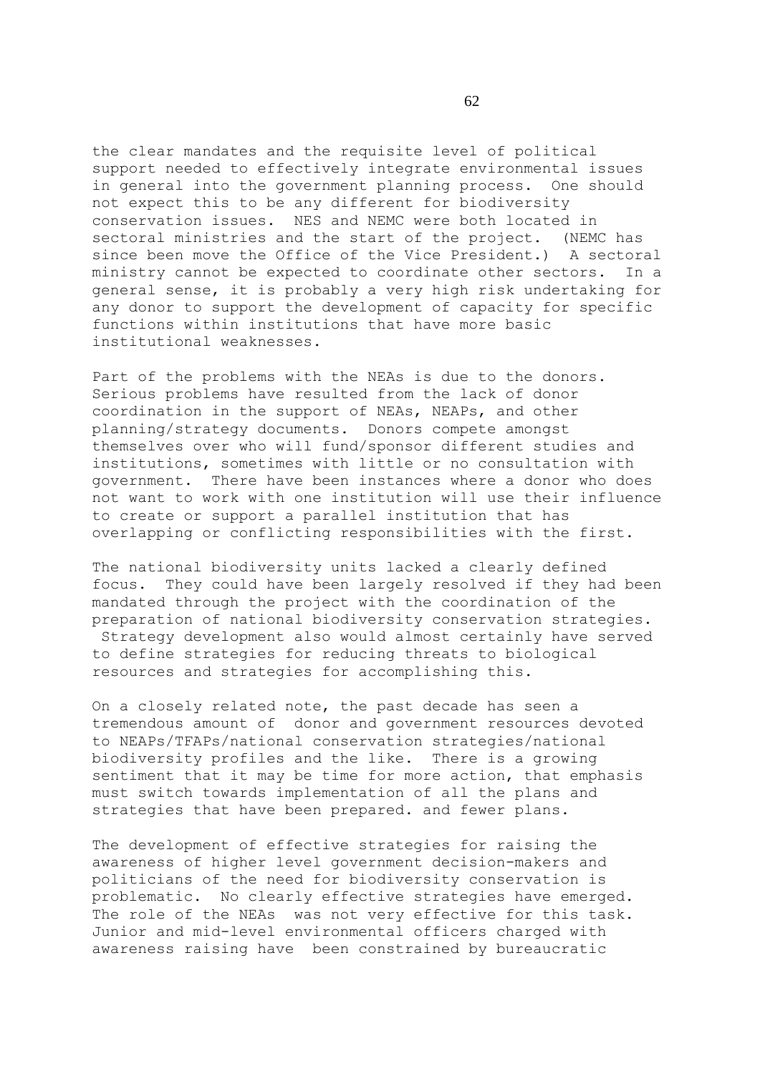the clear mandates and the requisite level of political support needed to effectively integrate environmental issues in general into the government planning process. One should not expect this to be any different for biodiversity conservation issues. NES and NEMC were both located in sectoral ministries and the start of the project. (NEMC has since been move the Office of the Vice President.) A sectoral ministry cannot be expected to coordinate other sectors. In a general sense, it is probably a very high risk undertaking for any donor to support the development of capacity for specific functions within institutions that have more basic institutional weaknesses.

Part of the problems with the NEAs is due to the donors. Serious problems have resulted from the lack of donor coordination in the support of NEAs, NEAPs, and other planning/strategy documents. Donors compete amongst themselves over who will fund/sponsor different studies and institutions, sometimes with little or no consultation with government. There have been instances where a donor who does not want to work with one institution will use their influence to create or support a parallel institution that has overlapping or conflicting responsibilities with the first.

The national biodiversity units lacked a clearly defined focus. They could have been largely resolved if they had been mandated through the project with the coordination of the preparation of national biodiversity conservation strategies. Strategy development also would almost certainly have served to define strategies for reducing threats to biological resources and strategies for accomplishing this.

On a closely related note, the past decade has seen a tremendous amount of donor and government resources devoted to NEAPs/TFAPs/national conservation strategies/national biodiversity profiles and the like. There is a growing sentiment that it may be time for more action, that emphasis must switch towards implementation of all the plans and strategies that have been prepared. and fewer plans.

The development of effective strategies for raising the awareness of higher level government decision-makers and politicians of the need for biodiversity conservation is problematic. No clearly effective strategies have emerged. The role of the NEAs was not very effective for this task. Junior and mid-level environmental officers charged with awareness raising have been constrained by bureaucratic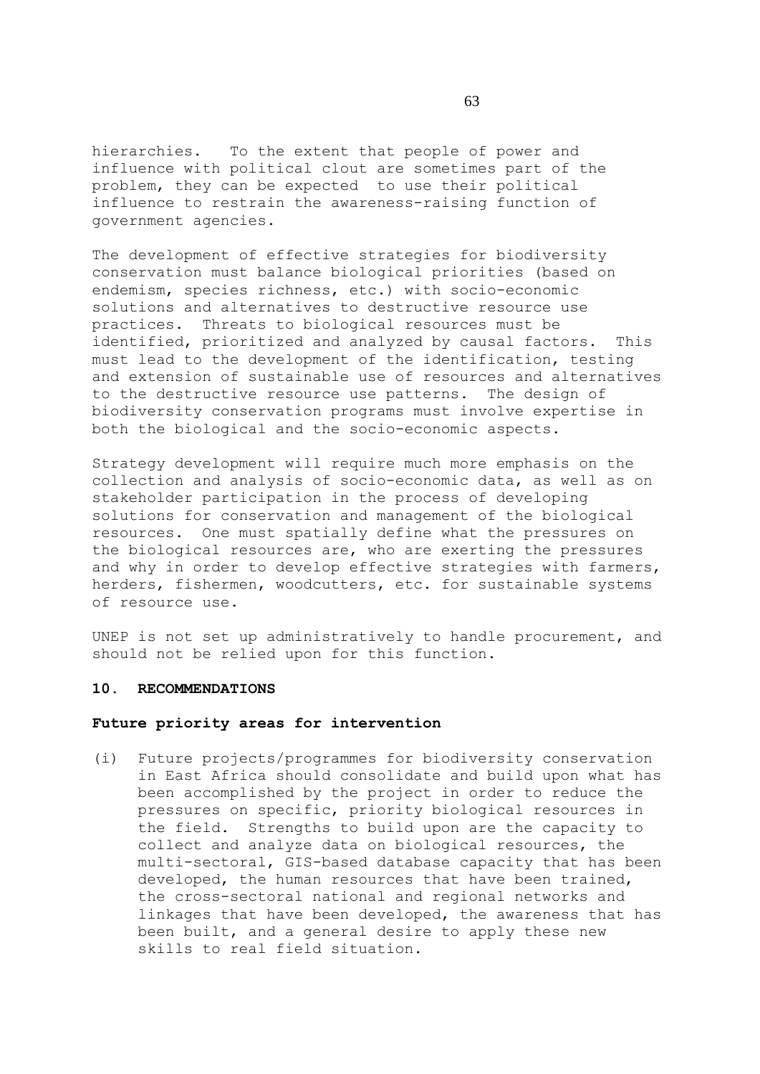hierarchies. To the extent that people of power and influence with political clout are sometimes part of the problem, they can be expected to use their political influence to restrain the awareness-raising function of government agencies.

The development of effective strategies for biodiversity conservation must balance biological priorities (based on endemism, species richness, etc.) with socio-economic solutions and alternatives to destructive resource use practices. Threats to biological resources must be identified, prioritized and analyzed by causal factors. This must lead to the development of the identification, testing and extension of sustainable use of resources and alternatives to the destructive resource use patterns. The design of biodiversity conservation programs must involve expertise in both the biological and the socio-economic aspects.

Strategy development will require much more emphasis on the collection and analysis of socio-economic data, as well as on stakeholder participation in the process of developing solutions for conservation and management of the biological resources. One must spatially define what the pressures on the biological resources are, who are exerting the pressures and why in order to develop effective strategies with farmers, herders, fishermen, woodcutters, etc. for sustainable systems of resource use.

UNEP is not set up administratively to handle procurement, and should not be relied upon for this function.

#### **10. RECOMMENDATIONS**

### **Future priority areas for intervention**

(i) Future projects/programmes for biodiversity conservation in East Africa should consolidate and build upon what has been accomplished by the project in order to reduce the pressures on specific, priority biological resources in the field. Strengths to build upon are the capacity to collect and analyze data on biological resources, the multi-sectoral, GIS-based database capacity that has been developed, the human resources that have been trained, the cross-sectoral national and regional networks and linkages that have been developed, the awareness that has been built, and a general desire to apply these new skills to real field situation.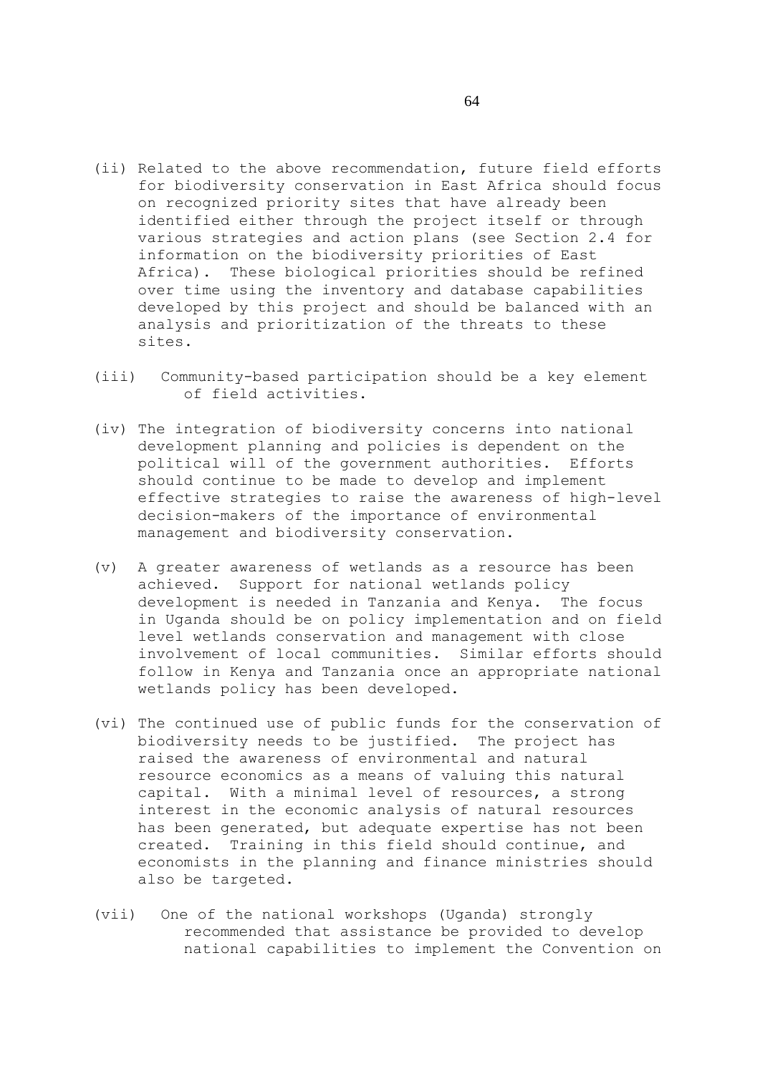- (ii) Related to the above recommendation, future field efforts for biodiversity conservation in East Africa should focus on recognized priority sites that have already been identified either through the project itself or through various strategies and action plans (see Section 2.4 for information on the biodiversity priorities of East Africa). These biological priorities should be refined over time using the inventory and database capabilities developed by this project and should be balanced with an analysis and prioritization of the threats to these sites.
- (iii) Community-based participation should be a key element of field activities.
- (iv) The integration of biodiversity concerns into national development planning and policies is dependent on the political will of the government authorities. Efforts should continue to be made to develop and implement effective strategies to raise the awareness of high-level decision-makers of the importance of environmental management and biodiversity conservation.
- (v) A greater awareness of wetlands as a resource has been achieved. Support for national wetlands policy development is needed in Tanzania and Kenya. The focus in Uganda should be on policy implementation and on field level wetlands conservation and management with close involvement of local communities. Similar efforts should follow in Kenya and Tanzania once an appropriate national wetlands policy has been developed.
- (vi) The continued use of public funds for the conservation of biodiversity needs to be justified. The project has raised the awareness of environmental and natural resource economics as a means of valuing this natural capital. With a minimal level of resources, a strong interest in the economic analysis of natural resources has been generated, but adequate expertise has not been created. Training in this field should continue, and economists in the planning and finance ministries should also be targeted.
- (vii) One of the national workshops (Uganda) strongly recommended that assistance be provided to develop national capabilities to implement the Convention on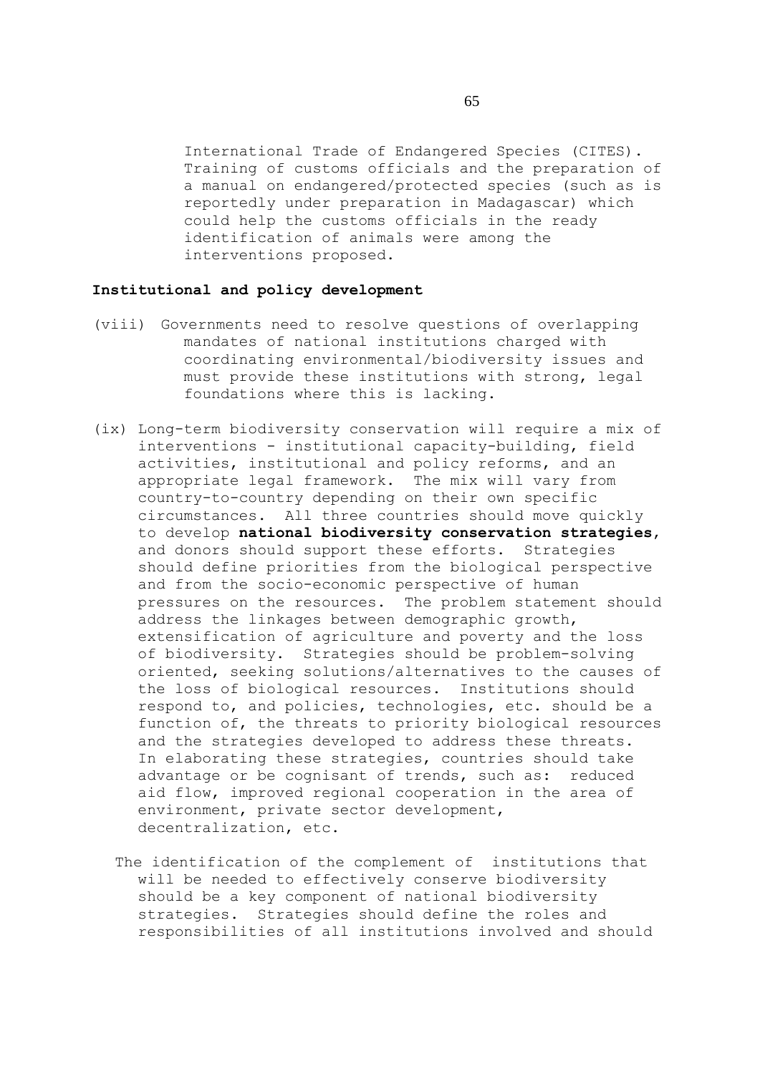International Trade of Endangered Species (CITES). Training of customs officials and the preparation of a manual on endangered/protected species (such as is reportedly under preparation in Madagascar) which could help the customs officials in the ready identification of animals were among the interventions proposed.

### **Institutional and policy development**

- (viii) Governments need to resolve questions of overlapping mandates of national institutions charged with coordinating environmental/biodiversity issues and must provide these institutions with strong, legal foundations where this is lacking.
- (ix) Long-term biodiversity conservation will require a mix of interventions - institutional capacity-building, field activities, institutional and policy reforms, and an appropriate legal framework. The mix will vary from country-to-country depending on their own specific circumstances. All three countries should move quickly to develop **national biodiversity conservation strategies**, and donors should support these efforts. Strategies should define priorities from the biological perspective and from the socio-economic perspective of human pressures on the resources. The problem statement should address the linkages between demographic growth, extensification of agriculture and poverty and the loss of biodiversity. Strategies should be problem-solving oriented, seeking solutions/alternatives to the causes of the loss of biological resources. Institutions should respond to, and policies, technologies, etc. should be a function of, the threats to priority biological resources and the strategies developed to address these threats. In elaborating these strategies, countries should take advantage or be cognisant of trends, such as: reduced aid flow, improved regional cooperation in the area of environment, private sector development, decentralization, etc.
	- The identification of the complement of institutions that will be needed to effectively conserve biodiversity should be a key component of national biodiversity strategies. Strategies should define the roles and responsibilities of all institutions involved and should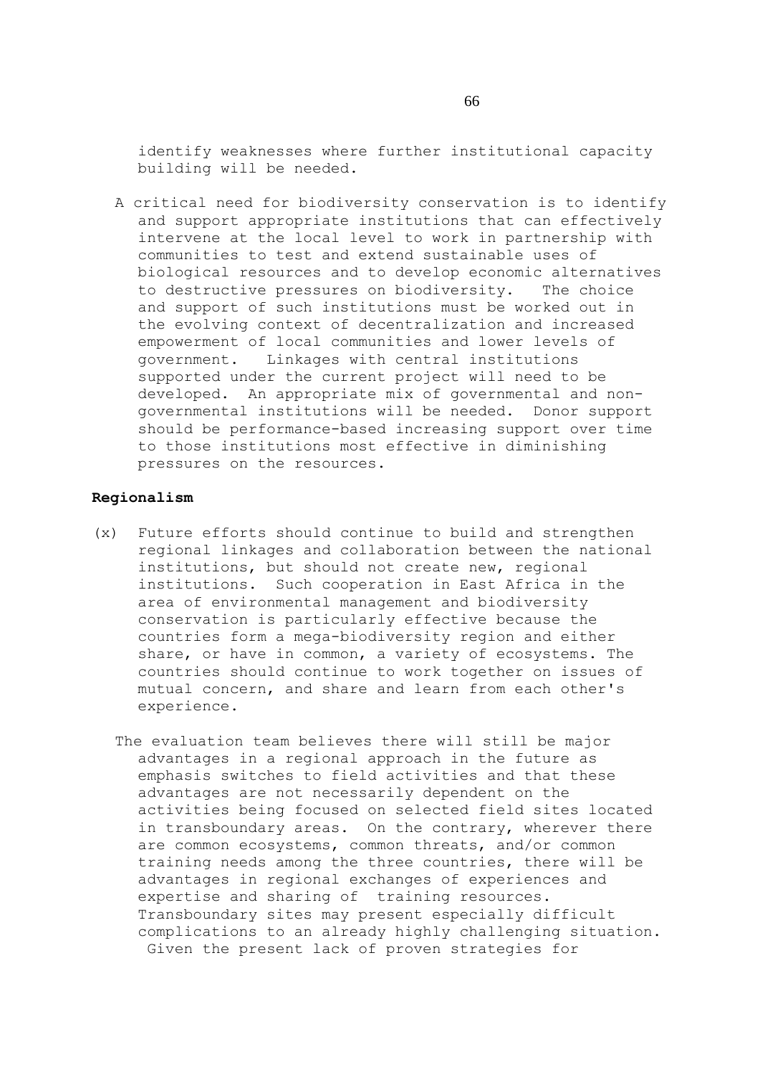identify weaknesses where further institutional capacity building will be needed.

A critical need for biodiversity conservation is to identify and support appropriate institutions that can effectively intervene at the local level to work in partnership with communities to test and extend sustainable uses of biological resources and to develop economic alternatives to destructive pressures on biodiversity. The choice and support of such institutions must be worked out in the evolving context of decentralization and increased empowerment of local communities and lower levels of government. Linkages with central institutions supported under the current project will need to be developed. An appropriate mix of governmental and nongovernmental institutions will be needed. Donor support should be performance-based increasing support over time to those institutions most effective in diminishing pressures on the resources.

## **Regionalism**

- (x) Future efforts should continue to build and strengthen regional linkages and collaboration between the national institutions, but should not create new, regional institutions. Such cooperation in East Africa in the area of environmental management and biodiversity conservation is particularly effective because the countries form a mega-biodiversity region and either share, or have in common, a variety of ecosystems. The countries should continue to work together on issues of mutual concern, and share and learn from each other's experience.
	- The evaluation team believes there will still be major advantages in a regional approach in the future as emphasis switches to field activities and that these advantages are not necessarily dependent on the activities being focused on selected field sites located in transboundary areas. On the contrary, wherever there are common ecosystems, common threats, and/or common training needs among the three countries, there will be advantages in regional exchanges of experiences and expertise and sharing of training resources. Transboundary sites may present especially difficult complications to an already highly challenging situation. Given the present lack of proven strategies for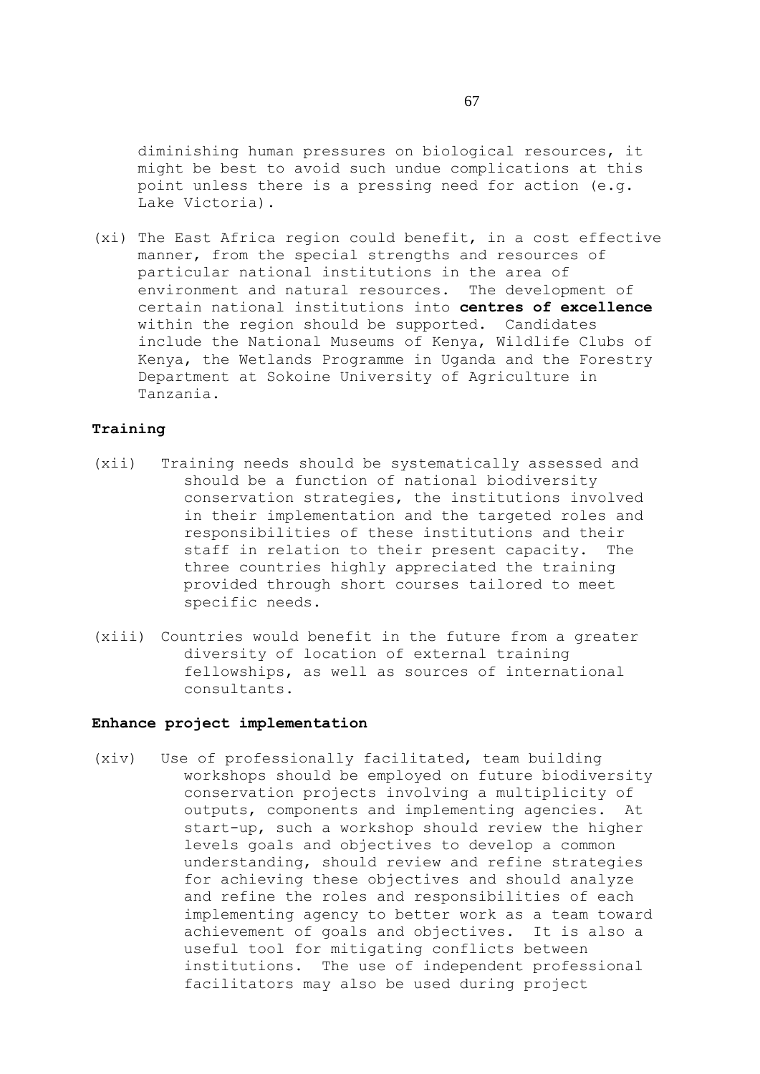diminishing human pressures on biological resources, it might be best to avoid such undue complications at this point unless there is a pressing need for action (e.g. Lake Victoria).

(xi) The East Africa region could benefit, in a cost effective manner, from the special strengths and resources of particular national institutions in the area of environment and natural resources. The development of certain national institutions into **centres of excellence** within the region should be supported. Candidates include the National Museums of Kenya, Wildlife Clubs of Kenya, the Wetlands Programme in Uganda and the Forestry Department at Sokoine University of Agriculture in Tanzania.

# **Training**

- (xii) Training needs should be systematically assessed and should be a function of national biodiversity conservation strategies, the institutions involved in their implementation and the targeted roles and responsibilities of these institutions and their staff in relation to their present capacity. The three countries highly appreciated the training provided through short courses tailored to meet specific needs.
- (xiii) Countries would benefit in the future from a greater diversity of location of external training fellowships, as well as sources of international consultants.

# **Enhance project implementation**

(xiv) Use of professionally facilitated, team building workshops should be employed on future biodiversity conservation projects involving a multiplicity of outputs, components and implementing agencies. At start-up, such a workshop should review the higher levels goals and objectives to develop a common understanding, should review and refine strategies for achieving these objectives and should analyze and refine the roles and responsibilities of each implementing agency to better work as a team toward achievement of goals and objectives. It is also a useful tool for mitigating conflicts between institutions. The use of independent professional facilitators may also be used during project